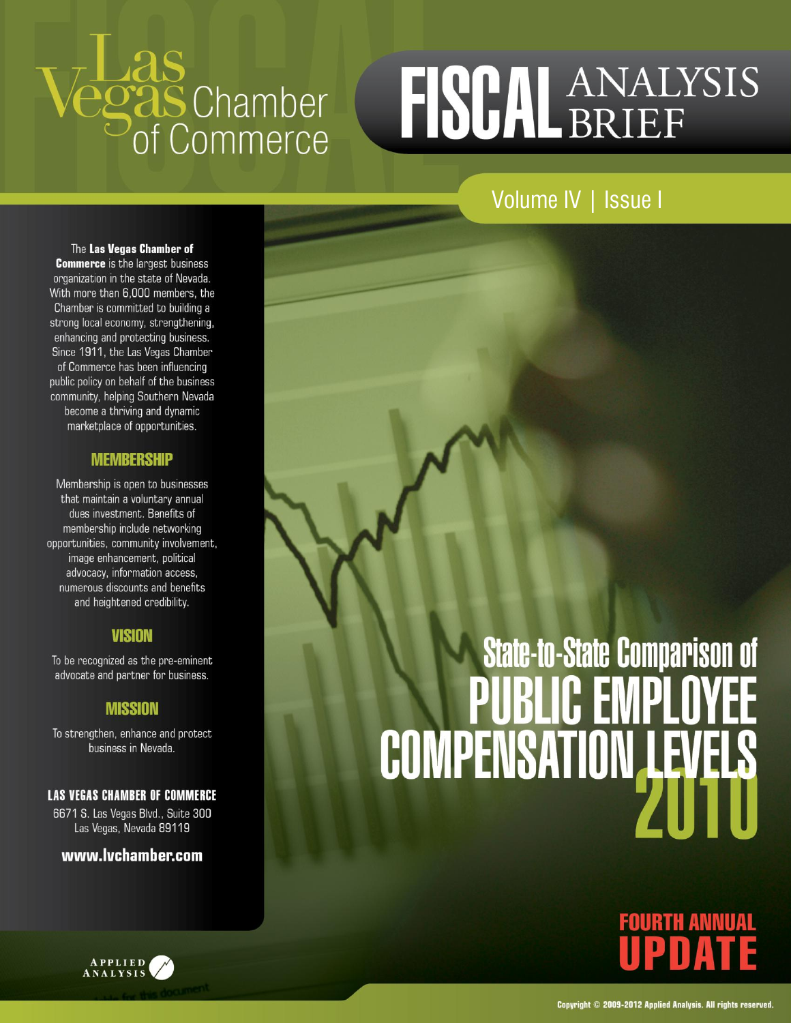# Lid.S<br>**Sas** Chamber<br>Of Commerce

## FISCAL ANALYSIS

Volume IV | Issue I

The Las Vegas Chamber of **Commerce** is the largest business organization in the state of Nevada. With more than 6,000 members, the Chamber is committed to building a strong local economy, strengthening, enhancing and protecting business. Since 1911, the Las Vegas Chamber of Commerce has been influencing public policy on behalf of the business community, helping Southern Nevada become a thriving and dynamic marketplace of opportunities.

#### **MEMBERSHIP**

Membership is open to businesses that maintain a voluntary annual dues investment. Benefits of membership include networking opportunities, community involvement, image enhancement, political advocacy, information access, numerous discounts and benefits and heightened credibility.

#### **VISION**

To be recognized as the pre-eminent advocate and partner for business.

#### **MISSION**

To strengthen, enhance and protect business in Nevada.

**LAS VEGAS CHAMBER OF COMMERCE** 

6671 S. Las Vegas Blvd., Suite 300 Las Vegas, Nevada 89119

#### www.lvchamber.com





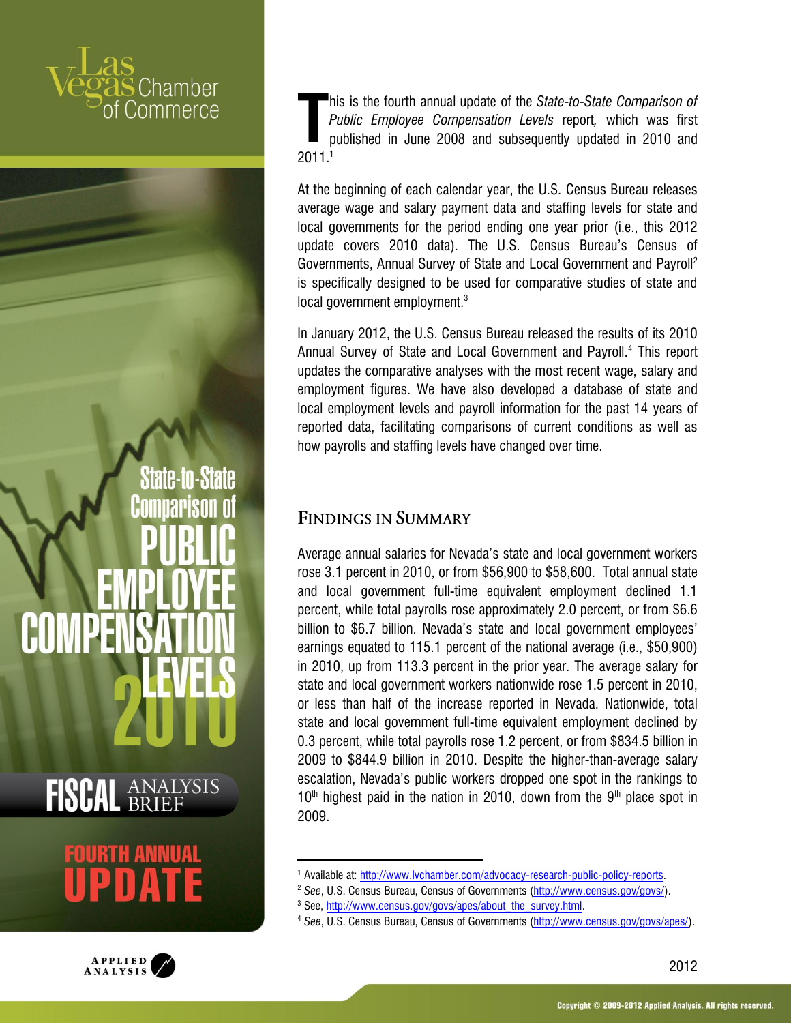## hamber immerce

**State-to-State** 

**FISCAL ANALYSIS** 



his is the fourth annual update of the *State-to-State Comparison of Public Employee Compensation Levels* report*,* which was first published in June 2008 and subsequently updated in 2010 and  $\prod_{r}$ <sup>t</sup>

At the beginning of each calendar year, the U.S. Census Bureau releases average wage and salary payment data and staffing levels for state and local governments for the period ending one year prior (i.e., this 2012 update covers 2010 data). The U.S. Census Bureau's Census of Governments, Annual Survey of State and Local Government and Payroll<sup>2</sup> is specifically designed to be used for comparative studies of state and local government employment.<sup>3</sup>

In January 2012, the U.S. Census Bureau released the results of its 2010 Annual Survey of State and Local Government and Payroll.<sup>4</sup> This report updates the comparative analyses with the most recent wage, salary and employment figures. We have also developed a database of state and local employment levels and payroll information for the past 14 years of reported data, facilitating comparisons of current conditions as well as how payrolls and staffing levels have changed over time.

#### **FINDINGS IN SUMMARY**

Average annual salaries for Nevada's state and local government workers rose 3.1 percent in 2010, or from \$56,900 to \$58,600. Total annual state and local government full-time equivalent employment declined 1.1 percent, while total payrolls rose approximately 2.0 percent, or from \$6.6 billion to \$6.7 billion. Nevada's state and local government employees' earnings equated to 115.1 percent of the national average (i.e., \$50,900) in 2010, up from 113.3 percent in the prior year. The average salary for state and local government workers nationwide rose 1.5 percent in 2010, or less than half of the increase reported in Nevada. Nationwide, total state and local government full-time equivalent employment declined by 0.3 percent, while total payrolls rose 1.2 percent, or from \$834.5 billion in 2009 to \$844.9 billion in 2010. Despite the higher-than-average salary escalation, Nevada's public workers dropped one spot in the rankings to  $10<sup>th</sup>$  highest paid in the nation in 2010, down from the  $9<sup>th</sup>$  place spot in 2009.

 $\overline{a}$ 

<sup>&</sup>lt;sup>1</sup> Available at: http://www.lvchamber.com/advocacy-research-public-policy-reports.

<sup>2</sup> *See*, U.S. Census Bureau, Census of Governments [\(http://www.census.gov/govs/\)](http://www.census.gov/govs/).

<sup>&</sup>lt;sup>3</sup> See[, http://www.census.gov/govs/apes/about\\_the\\_survey.html.](http://www.census.gov/govs/apes/about_the_survey.html)

<sup>4</sup> *See*, U.S. Census Bureau, Census of Governments [\(http://www.census.gov/govs/apes/\)](http://www.census.gov/govs/apes/).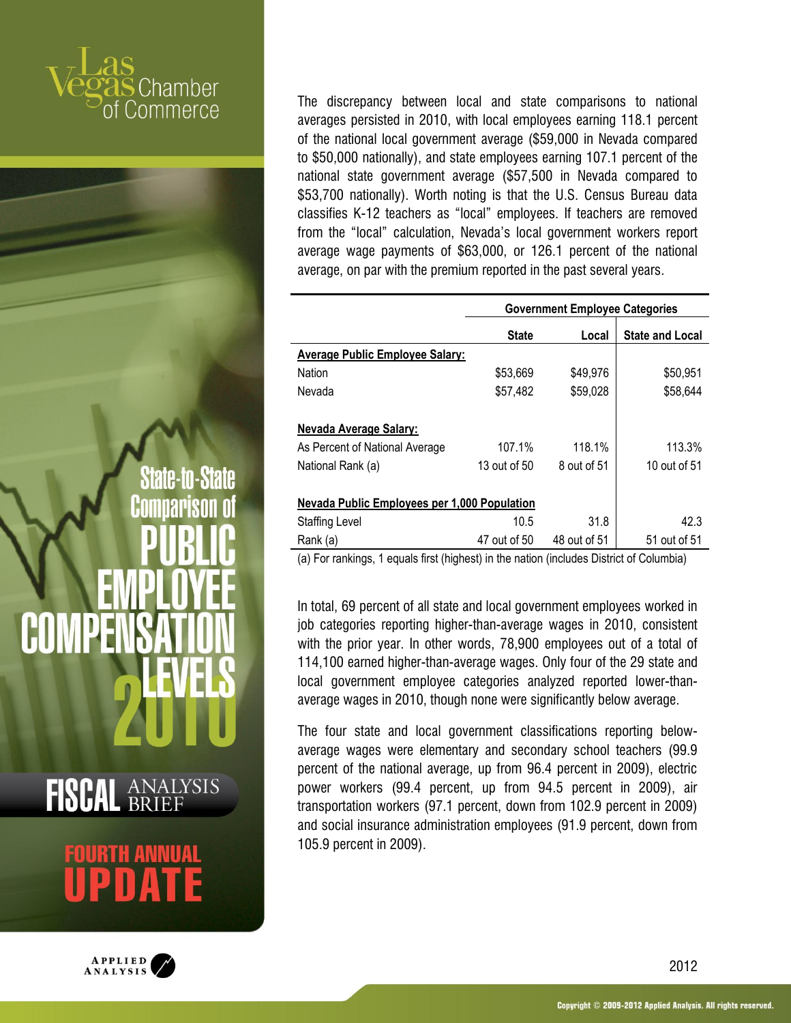**State-to-State** 





The discrepancy between local and state comparisons to national averages persisted in 2010, with local employees earning 118.1 percent of the national local government average (\$59,000 in Nevada compared to \$50,000 nationally), and state employees earning 107.1 percent of the national state government average (\$57,500 in Nevada compared to \$53,700 nationally). Worth noting is that the U.S. Census Bureau data classifies K-12 teachers as "local" employees. If teachers are removed from the "local" calculation, Nevada's local government workers report average wage payments of \$63,000, or 126.1 percent of the national average, on par with the premium reported in the past several years.

|                                                     |              | <b>Government Employee Categories</b> |                        |
|-----------------------------------------------------|--------------|---------------------------------------|------------------------|
|                                                     | <b>State</b> | Local                                 | <b>State and Local</b> |
| <b>Average Public Employee Salary:</b>              |              |                                       |                        |
| Nation                                              | \$53,669     | \$49,976                              | \$50,951               |
| Nevada                                              | \$57,482     | \$59,028                              | \$58,644               |
|                                                     |              |                                       |                        |
| <u>Nevada Average Salary:</u>                       |              |                                       |                        |
| As Percent of National Average                      | 107.1%       | 118.1%                                | 113.3%                 |
| National Rank (a)                                   | 13 out of 50 | 8 out of 51                           | 10 out of 51           |
|                                                     |              |                                       |                        |
| <b>Nevada Public Employees per 1,000 Population</b> |              |                                       |                        |
| <b>Staffing Level</b>                               | 10.5         | 31.8                                  | 42.3                   |
| Rank (a)                                            | 47 out of 50 | 48 out of 51                          | 51 out of 51           |

(a) For rankings, 1 equals first (highest) in the nation (includes District of Columbia)

In total, 69 percent of all state and local government employees worked in job categories reporting higher-than-average wages in 2010, consistent with the prior year. In other words, 78,900 employees out of a total of 114,100 earned higher-than-average wages. Only four of the 29 state and local government employee categories analyzed reported lower-thanaverage wages in 2010, though none were significantly below average.

The four state and local government classifications reporting belowaverage wages were elementary and secondary school teachers (99.9 percent of the national average, up from 96.4 percent in 2009), electric power workers (99.4 percent, up from 94.5 percent in 2009), air transportation workers (97.1 percent, down from 102.9 percent in 2009) and social insurance administration employees (91.9 percent, down from 105.9 percent in 2009).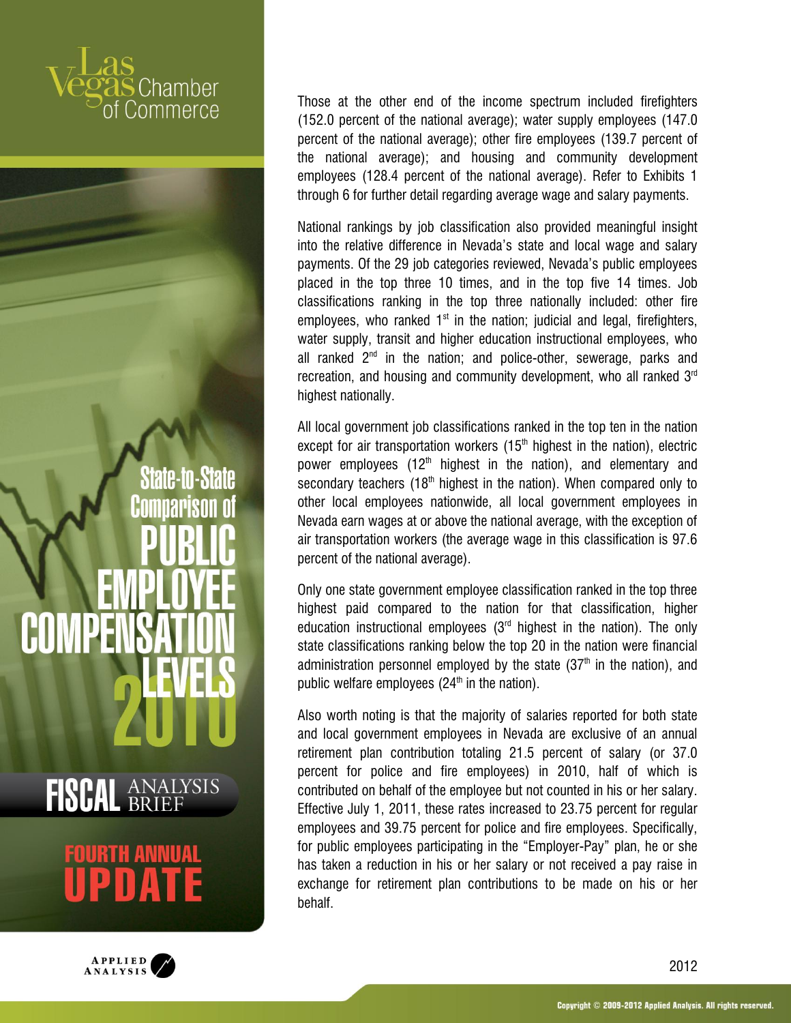**State-to-State** nariso  $\mathbf{D}$ 

## **FISCAL ANALYSIS**



Those at the other end of the income spectrum included firefighters (152.0 percent of the national average); water supply employees (147.0 percent of the national average); other fire employees (139.7 percent of the national average); and housing and community development employees (128.4 percent of the national average). Refer to Exhibits 1 through 6 for further detail regarding average wage and salary payments.

National rankings by job classification also provided meaningful insight into the relative difference in Nevada's state and local wage and salary payments. Of the 29 job categories reviewed, Nevada's public employees placed in the top three 10 times, and in the top five 14 times. Job classifications ranking in the top three nationally included: other fire employees, who ranked  $1<sup>st</sup>$  in the nation; judicial and legal, firefighters, water supply, transit and higher education instructional employees, who all ranked  $2<sup>nd</sup>$  in the nation; and police-other, sewerage, parks and recreation, and housing and community development, who all ranked  $3<sup>rd</sup>$ highest nationally.

All local government job classifications ranked in the top ten in the nation except for air transportation workers  $(15<sup>th</sup>$  highest in the nation), electric power employees (12<sup>th</sup> highest in the nation), and elementary and secondary teachers (18<sup>th</sup> highest in the nation). When compared only to other local employees nationwide, all local government employees in Nevada earn wages at or above the national average, with the exception of air transportation workers (the average wage in this classification is 97.6 percent of the national average).

Only one state government employee classification ranked in the top three highest paid compared to the nation for that classification, higher education instructional employees  $(3<sup>rd</sup>$  highest in the nation). The only state classifications ranking below the top 20 in the nation were financial administration personnel employed by the state  $(37<sup>th</sup>$  in the nation), and public welfare employees  $(24<sup>th</sup>$  in the nation).

Also worth noting is that the majority of salaries reported for both state and local government employees in Nevada are exclusive of an annual retirement plan contribution totaling 21.5 percent of salary (or 37.0 percent for police and fire employees) in 2010, half of which is contributed on behalf of the employee but not counted in his or her salary. Effective July 1, 2011, these rates increased to 23.75 percent for regular employees and 39.75 percent for police and fire employees. Specifically, for public employees participating in the "Employer-Pay" plan, he or she has taken a reduction in his or her salary or not received a pay raise in exchange for retirement plan contributions to be made on his or her behalf.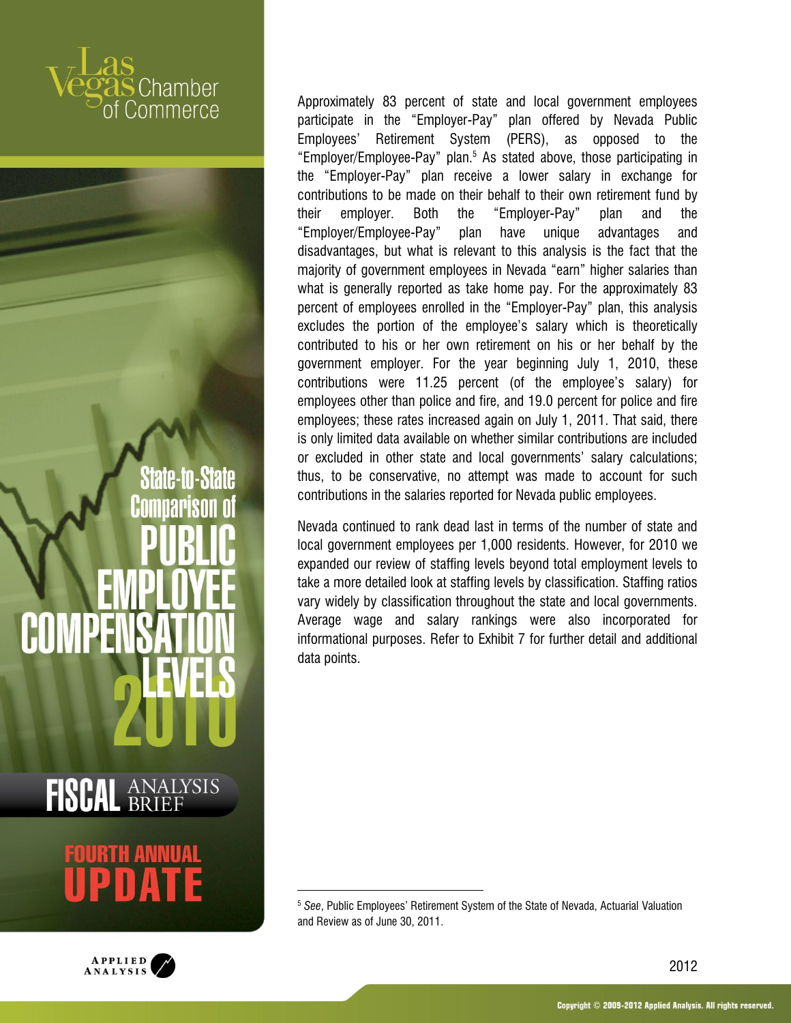State-to-State nariso

**FISCAL ANALYSIS** 

 $\overline{a}$ 



Approximately 83 percent of state and local government employees participate in the "Employer-Pay" plan offered by Nevada Public Employees' Retirement System (PERS), as opposed to the "Employer/Employee-Pay" plan.<sup>5</sup> As stated above, those participating in the "Employer-Pay" plan receive a lower salary in exchange for contributions to be made on their behalf to their own retirement fund by their employer. Both the "Employer-Pay" plan and the "Employer/Employee-Pay" plan have unique advantages and disadvantages, but what is relevant to this analysis is the fact that the majority of government employees in Nevada "earn" higher salaries than what is generally reported as take home pay. For the approximately 83 percent of employees enrolled in the "Employer-Pay" plan, this analysis excludes the portion of the employee's salary which is theoretically contributed to his or her own retirement on his or her behalf by the government employer. For the year beginning July 1, 2010, these contributions were 11.25 percent (of the employee's salary) for employees other than police and fire, and 19.0 percent for police and fire employees; these rates increased again on July 1, 2011. That said, there is only limited data available on whether similar contributions are included or excluded in other state and local governments' salary calculations; thus, to be conservative, no attempt was made to account for such contributions in the salaries reported for Nevada public employees.

Nevada continued to rank dead last in terms of the number of state and local government employees per 1,000 residents. However, for 2010 we expanded our review of staffing levels beyond total employment levels to take a more detailed look at staffing levels by classification. Staffing ratios vary widely by classification throughout the state and local governments. Average wage and salary rankings were also incorporated for informational purposes. Refer to Exhibit 7 for further detail and additional data points.

<sup>5</sup> *See*, Public Employees' Retirement System of the State of Nevada, Actuarial Valuation and Review as of June 30, 2011.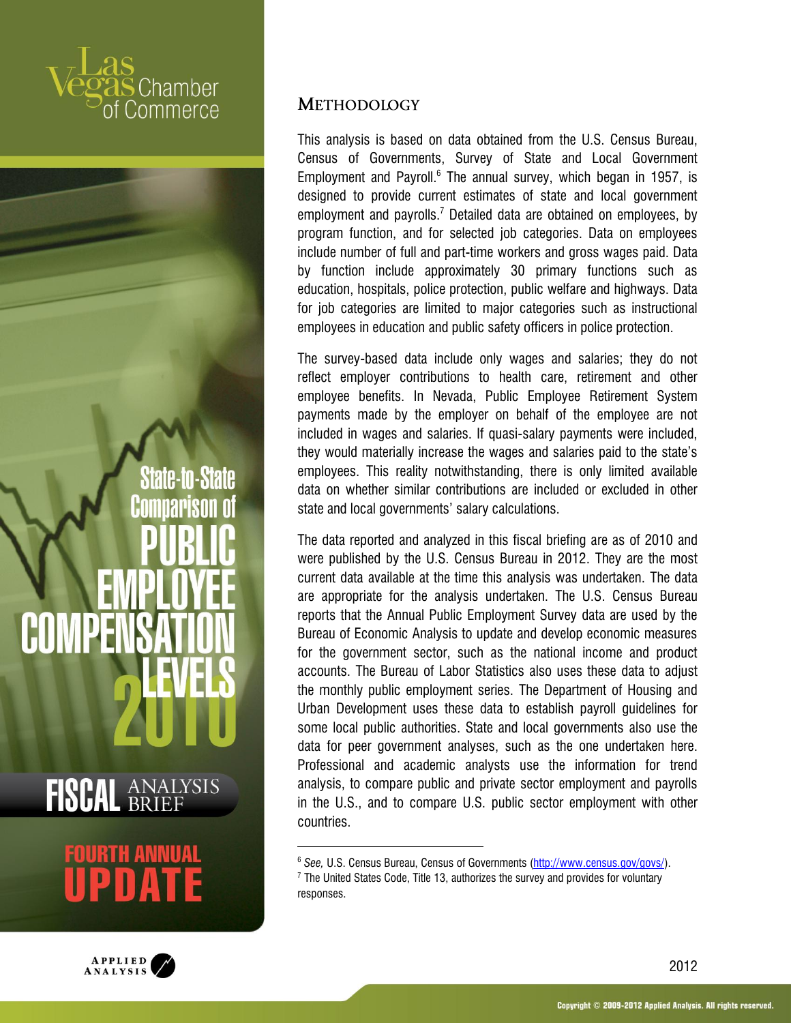**State-to-State** nariso  $\mathbf{D}$ 

## **FISCAL ANALYSIS**

 $\overline{a}$ 



#### **METHODOLOGY**

This analysis is based on data obtained from the U.S. Census Bureau, Census of Governments, Survey of State and Local Government Employment and Payroll.<sup>6</sup> The annual survey, which began in 1957, is designed to provide current estimates of state and local government employment and payrolls.<sup>7</sup> Detailed data are obtained on employees, by program function, and for selected job categories. Data on employees include number of full and part-time workers and gross wages paid. Data by function include approximately 30 primary functions such as education, hospitals, police protection, public welfare and highways. Data for job categories are limited to major categories such as instructional employees in education and public safety officers in police protection.

The survey-based data include only wages and salaries; they do not reflect employer contributions to health care, retirement and other employee benefits. In Nevada, Public Employee Retirement System payments made by the employer on behalf of the employee are not included in wages and salaries. If quasi-salary payments were included, they would materially increase the wages and salaries paid to the state's employees. This reality notwithstanding, there is only limited available data on whether similar contributions are included or excluded in other state and local governments' salary calculations.

The data reported and analyzed in this fiscal briefing are as of 2010 and were published by the U.S. Census Bureau in 2012. They are the most current data available at the time this analysis was undertaken. The data are appropriate for the analysis undertaken. The U.S. Census Bureau reports that the Annual Public Employment Survey data are used by the Bureau of Economic Analysis to update and develop economic measures for the government sector, such as the national income and product accounts. The Bureau of Labor Statistics also uses these data to adjust the monthly public employment series. The Department of Housing and Urban Development uses these data to establish payroll guidelines for some local public authorities. State and local governments also use the data for peer government analyses, such as the one undertaken here. Professional and academic analysts use the information for trend analysis, to compare public and private sector employment and payrolls in the U.S., and to compare U.S. public sector employment with other countries.

<sup>6</sup> *See,* U.S. Census Bureau, Census of Governments [\(http://www.census.gov/govs/\)](http://www.census.gov/govs/). <sup>7</sup> The United States Code, Title 13, authorizes the survey and provides for voluntary responses.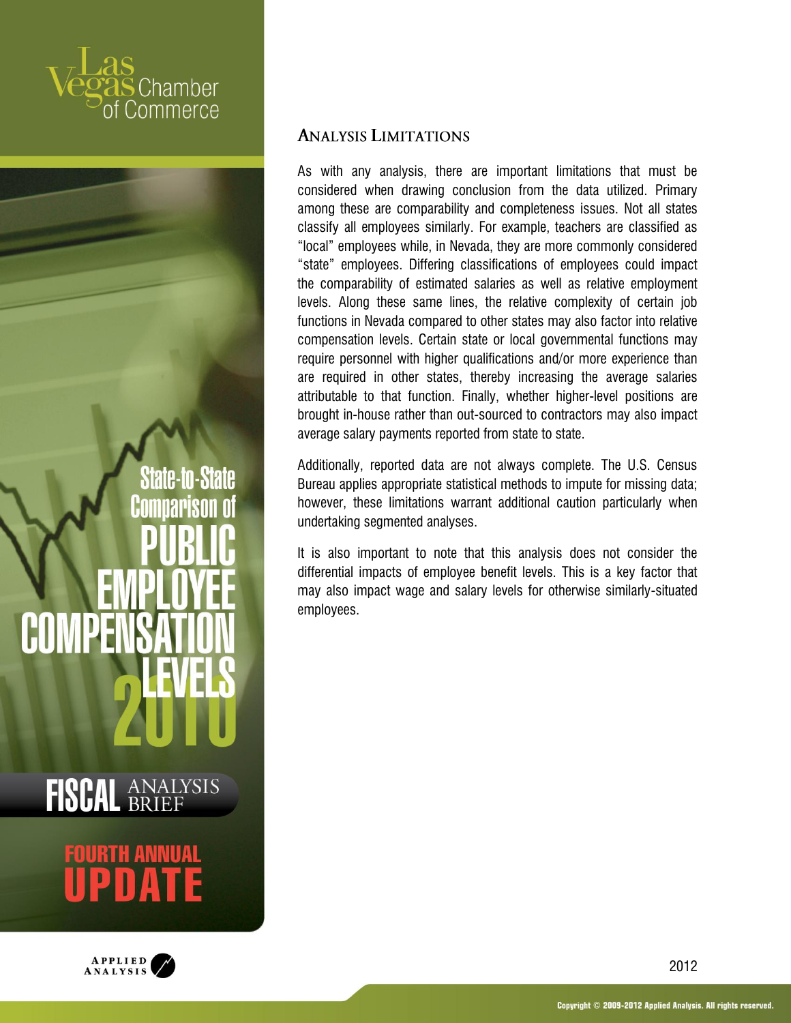

## DA.



#### **ANALYSIS LIMITATIONS**

As with any analysis, there are important limitations that must be considered when drawing conclusion from the data utilized. Primary among these are comparability and completeness issues. Not all states classify all employees similarly. For example, teachers are classified as "local" employees while, in Nevada, they are more commonly considered "state" employees. Differing classifications of employees could impact the comparability of estimated salaries as well as relative employment levels. Along these same lines, the relative complexity of certain job functions in Nevada compared to other states may also factor into relative compensation levels. Certain state or local governmental functions may require personnel with higher qualifications and/or more experience than are required in other states, thereby increasing the average salaries attributable to that function. Finally, whether higher-level positions are brought in-house rather than out-sourced to contractors may also impact average salary payments reported from state to state.

Additionally, reported data are not always complete. The U.S. Census Bureau applies appropriate statistical methods to impute for missing data; however, these limitations warrant additional caution particularly when undertaking segmented analyses.

It is also important to note that this analysis does not consider the differential impacts of employee benefit levels. This is a key factor that may also impact wage and salary levels for otherwise similarly-situated employees.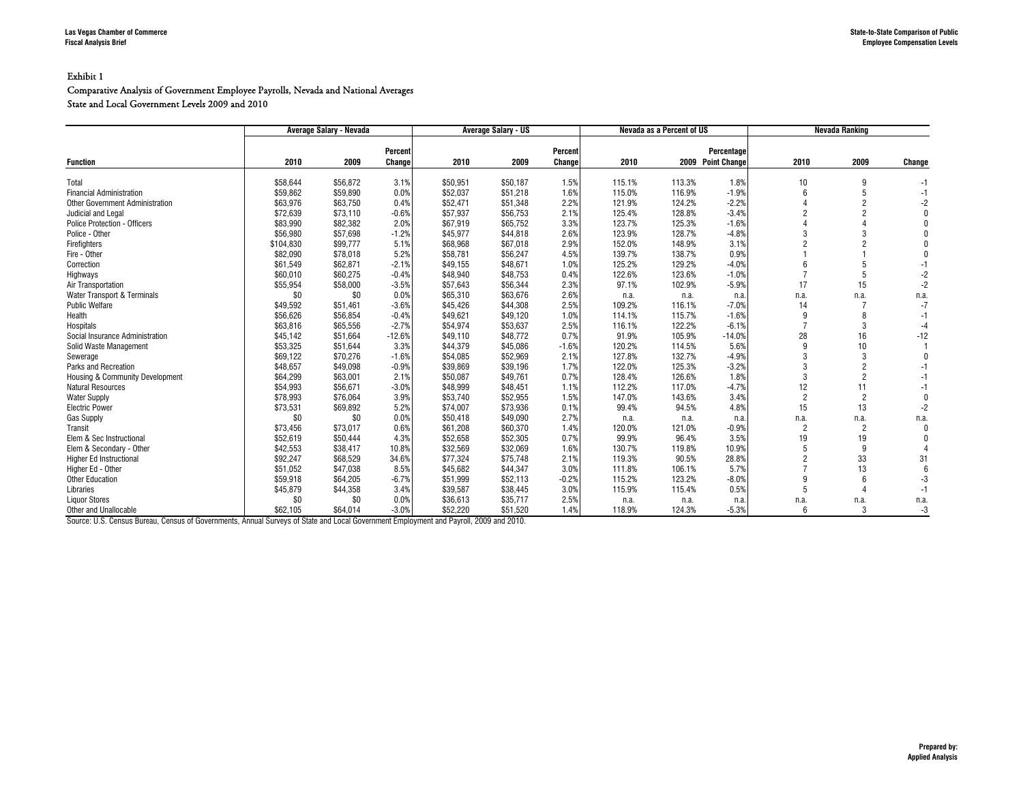#### Comparative Analysis of Government Employee Payrolls, Nevada and National Averages State and Local Government Levels 2009 and 2010

|                                 | Average Salary - Nevada |          | <b>Average Salary - US</b> |          |          | Nevada as a Percent of US |        |        | Nevada Ranking    |                |                |        |
|---------------------------------|-------------------------|----------|----------------------------|----------|----------|---------------------------|--------|--------|-------------------|----------------|----------------|--------|
|                                 |                         |          | Percent                    |          |          | Percent                   |        |        | Percentage        |                |                |        |
| <b>Function</b>                 | 2010                    | 2009     | Change                     | 2010     | 2009     | Change                    | 2010   |        | 2009 Point Change | 2010           | 2009           | Change |
| Total                           | \$58,644                | \$56,872 | 3.1%                       | \$50,951 | \$50,187 | 1.5%                      | 115.1% | 113.3% | 1.8%              | 10             | 9              |        |
| <b>Financial Administration</b> | \$59,862                | \$59,890 | 0.0%                       | \$52,037 | \$51,218 | 1.6%                      | 115.0% | 116.9% | $-1.9%$           |                | 5              |        |
| Other Government Administration | \$63,976                | \$63,750 | 0.4%                       | \$52,471 | \$51,348 | 2.2%                      | 121.9% | 124.2% | $-2.2%$           |                | $\overline{2}$ |        |
| Judicial and Legal              | \$72,639                | \$73,110 | $-0.6%$                    | \$57.937 | \$56,753 | 2.1%                      | 125.4% | 128.8% | $-3.4%$           |                | <sup>o</sup>   |        |
| Police Protection - Officers    | \$83,990                | \$82,382 | 2.0%                       | \$67,919 | \$65,752 | 3.3%                      | 123.7% | 125.3% | $-1.6%$           |                |                |        |
| Police - Other                  | \$56.980                | \$57.698 | $-1.2%$                    | \$45.977 | \$44.818 | 2.6%                      | 123.9% | 128.7% | $-4.8%$           | 3              | 3              |        |
| Firefighters                    | \$104,830               | \$99,777 | 5.1%                       | \$68,968 | \$67,018 | 2.9%                      | 152.0% | 148.9% | 3.1%              | $\overline{c}$ | $\overline{2}$ |        |
| Fire - Other                    | \$82,090                | \$78,018 | 5.2%                       | \$58.781 | \$56,247 | 4.5%                      | 139.7% | 138.7% | 0.9%              |                |                |        |
| Correction                      | \$61,549                | \$62,871 | $-2.1%$                    | \$49.155 | \$48,671 | 1.0%                      | 125.2% | 129.2% | $-4.0%$           |                | 5              |        |
| Highways                        | \$60,010                | \$60,275 | $-0.4%$                    | \$48,940 | \$48,753 | 0.4%                      | 122.6% | 123.6% | $-1.0%$           |                | 5              |        |
| Air Transportation              | \$55,954                | \$58,000 | $-3.5%$                    | \$57,643 | \$56,344 | 2.3%                      | 97.1%  | 102.9% | $-5.9%$           | 17             | 15             | $-2$   |
| Water Transport & Terminals     | \$0                     | \$0      | 0.0%                       | \$65,310 | \$63,676 | 2.6%                      | n.a.   | n.a.   | n.a.              | n.a.           | n.a.           | n.a.   |
| <b>Public Welfare</b>           | \$49,592                | \$51,461 | $-3.6%$                    | \$45,426 | \$44,308 | 2.5%                      | 109.2% | 116.1% | $-7.0%$           | 14             |                | $-7$   |
| Health                          | \$56,626                | \$56.854 | $-0.4%$                    | \$49.621 | \$49.120 | 1.0%                      | 114.1% | 115.7% | $-1.6%$           |                | 8              |        |
| Hospitals                       | \$63,816                | \$65,556 | $-2.7%$                    | \$54.974 | \$53.637 | 2.5%                      | 116.1% | 122.2% | $-6.1%$           | $\overline{ }$ | 3              |        |
| Social Insurance Administration | \$45,142                | \$51.664 | $-12.6%$                   | \$49.110 | \$48.772 | 0.7%                      | 91.9%  | 105.9% | $-14.0%$          | 28             | 16             | $-12$  |
| Solid Waste Management          | \$53,325                | \$51.644 | 3.3%                       | \$44,379 | \$45,086 | $-1.6%$                   | 120.2% | 114.5% | 5.6%              | q              | 10             |        |
| Sewerage                        | \$69,122                | \$70,276 | $-1.6%$                    | \$54,085 | \$52,969 | 2.1%                      | 127.8% | 132.7% | $-4.9%$           | 3              | 3              |        |
| Parks and Recreation            | \$48,657                | \$49,098 | $-0.9%$                    | \$39,869 | \$39,196 | 1.7%                      | 122.0% | 125.3% | $-3.2%$           | 3              | $\overline{2}$ |        |
| Housing & Community Development | \$64,299                | \$63,001 | 2.1%                       | \$50,087 | \$49,761 | 0.7%                      | 128.4% | 126.6% | 1.8%              | 3              | $\overline{2}$ |        |
| <b>Natural Resources</b>        | \$54,993                | \$56,671 | $-3.0%$                    | \$48.999 | \$48.451 | 1.1%                      | 112.2% | 117.0% | $-4.7%$           | 12             | 11             |        |
| <b>Water Supply</b>             | \$78,993                | \$76,064 | 3.9%                       | \$53.740 | \$52.955 | 1.5%                      | 147.0% | 143.6% | 3.4%              | $\overline{2}$ | $\overline{2}$ |        |
| <b>Electric Power</b>           | \$73,531                | \$69,892 | 5.2%                       | \$74.007 | \$73,936 | 0.1%                      | 99.4%  | 94.5%  | 4.8%              | 15             | 13             |        |
| <b>Gas Supply</b>               | \$0                     | \$0      | 0.0%                       | \$50,418 | \$49,090 | 2.7%                      | n.a.   | n.a.   | n.a.              | n.a.           | n.a.           | n.a.   |
| Transit                         | \$73,456                | \$73,017 | 0.6%                       | \$61,208 | \$60,370 | 1.4%                      | 120.0% | 121.0% | $-0.9%$           | $\overline{2}$ | $\overline{2}$ |        |
| Elem & Sec Instructional        | \$52,619                | \$50,444 | 4.3%                       | \$52,658 | \$52,305 | 0.7%                      | 99.9%  | 96.4%  | 3.5%              | 19             | 19             |        |
| Elem & Secondary - Other        | \$42,553                | \$38,417 | 10.8%                      | \$32,569 | \$32,069 | 1.6%                      | 130.7% | 119.8% | 10.9%             | 5              | 9              |        |
| <b>Higher Ed Instructional</b>  | \$92,247                | \$68,529 | 34.6%                      | \$77.324 | \$75,748 | 2.1%                      | 119.3% | 90.5%  | 28.8%             | $\overline{c}$ | 33             | 31     |
| Higher Ed - Other               | \$51,052                | \$47,038 | 8.5%                       | \$45.682 | \$44,347 | 3.0%                      | 111.8% | 106.1% | 5.7%              |                | 13             |        |
| <b>Other Education</b>          | \$59,918                | \$64,205 | $-6.7%$                    | \$51,999 | \$52,113 | $-0.2%$                   | 115.2% | 123.2% | $-8.0%$           | q              | 6              |        |
| Libraries                       | \$45,879                | \$44,358 | 3.4%                       | \$39.587 | \$38,445 | 3.0%                      | 115.9% | 115.4% | 0.5%              | 5              |                | -1     |
| <b>Liquor Stores</b>            | \$0                     | \$0      | 0.0%                       | \$36,613 | \$35,717 | 2.5%                      | n.a.   | n.a.   | n.a               | n.a.           | n.a.           | n.a.   |
| Other and Unallocable           | \$62,105                | \$64,014 | $-3.0%$                    | \$52,220 | \$51,520 | 1.4%                      | 118.9% | 124.3% | $-5.3%$           | 6              | 3              | $-3$   |

Source: U.S. Census Bureau, Census of Governments, Annual Surveys of State and Local Government Employment and Payroll, 2009 and 2010.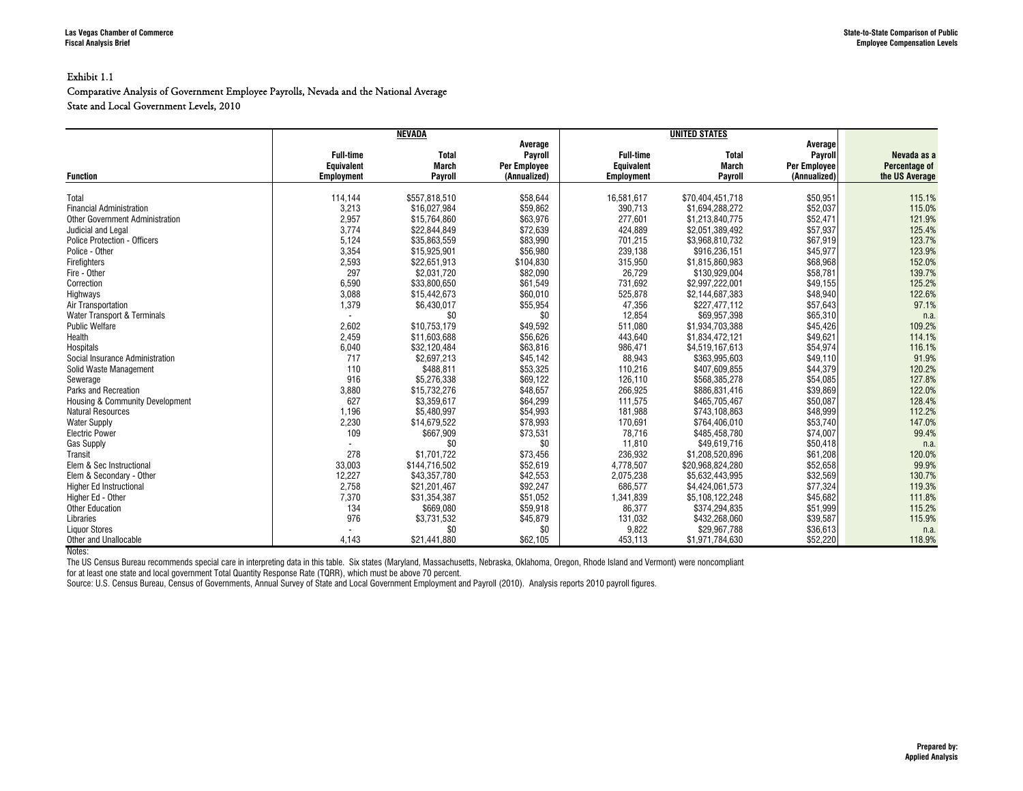#### Exhibit 1.1

#### Comparative Analysis of Government Employee Payrolls, Nevada and the National Average State and Local Government Levels, 2010

|                                        |                                                            | NEVADA                                  |                                                           |                                                            |                                         |                                                           |                                                |
|----------------------------------------|------------------------------------------------------------|-----------------------------------------|-----------------------------------------------------------|------------------------------------------------------------|-----------------------------------------|-----------------------------------------------------------|------------------------------------------------|
| <b>Function</b>                        | <b>Full-time</b><br><b>Equivalent</b><br><b>Employment</b> | <b>Total</b><br><b>March</b><br>Payroll | Average<br>Payroll<br><b>Per Employee</b><br>(Annualized) | <b>Full-time</b><br><b>Equivalent</b><br><b>Employment</b> | <b>Total</b><br><b>March</b><br>Payroll | Average<br>Payroll<br><b>Per Employee</b><br>(Annualized) | Nevada as a<br>Percentage of<br>the US Average |
|                                        |                                                            |                                         |                                                           |                                                            |                                         |                                                           |                                                |
| Total                                  | 114,144                                                    | \$557,818,510                           | \$58,644                                                  | 16,581,617                                                 | \$70,404,451,718                        | \$50,951                                                  | 115.1%                                         |
| <b>Financial Administration</b>        | 3,213                                                      | \$16,027,984                            | \$59,862                                                  | 390,713                                                    | \$1,694,288,272                         | \$52,037                                                  | 115.0%                                         |
| <b>Other Government Administration</b> | 2,957                                                      | \$15,764,860                            | \$63,976                                                  | 277.601                                                    | \$1,213,840,775                         | \$52,471                                                  | 121.9%                                         |
| Judicial and Legal                     | 3,774                                                      | \$22,844,849                            | \$72,639                                                  | 424,889                                                    | \$2,051,389,492                         | \$57,937                                                  | 125.4%                                         |
| <b>Police Protection - Officers</b>    | 5,124                                                      | \$35,863,559                            | \$83,990                                                  | 701,215                                                    | \$3,968,810,732                         | \$67,919                                                  | 123.7%                                         |
| Police - Other                         | 3,354                                                      | \$15,925,901                            | \$56,980                                                  | 239,138                                                    | \$916,236,151                           | \$45,977                                                  | 123.9%                                         |
| Firefighters                           | 2,593                                                      | \$22.651.913                            | \$104,830                                                 | 315.950                                                    | \$1,815,860,983                         | \$68,968                                                  | 152.0%                                         |
| Fire - Other                           | 297                                                        | \$2,031,720                             | \$82,090                                                  | 26,729                                                     | \$130,929,004                           | \$58,781                                                  | 139.7%                                         |
| Correction                             | 6,590                                                      | \$33,800,650                            | \$61,549                                                  | 731,692                                                    | \$2,997,222,001                         | \$49,155                                                  | 125.2%                                         |
| Highways                               | 3,088                                                      | \$15,442,673                            | \$60,010                                                  | 525,878                                                    | \$2,144,687,383                         | \$48,940                                                  | 122.6%                                         |
| Air Transportation                     | 1,379                                                      | \$6,430,017                             | \$55,954                                                  | 47,356                                                     | \$227,477,112                           | \$57,643                                                  | 97.1%                                          |
| Water Transport & Terminals            |                                                            | \$0                                     | \$0                                                       | 12,854                                                     | \$69,957,398                            | \$65,310                                                  | n.a.                                           |
| <b>Public Welfare</b>                  | 2,602                                                      | \$10,753,179                            | \$49,592                                                  | 511,080                                                    | \$1,934,703,388                         | \$45,426                                                  | 109.2%                                         |
| Health                                 | 2,459                                                      | \$11,603,688                            | \$56,626                                                  | 443,640                                                    | \$1,834,472,121                         | \$49,621                                                  | 114.1%                                         |
| <b>Hospitals</b>                       | 6,040                                                      | \$32,120,484                            | \$63,816                                                  | 986.471                                                    | \$4,519,167,613                         | \$54,974                                                  | 116.1%                                         |
| Social Insurance Administration        | 717                                                        | \$2,697,213                             | \$45,142                                                  | 88,943                                                     | \$363,995,603                           | \$49,110                                                  | 91.9%                                          |
| Solid Waste Management                 | 110                                                        | \$488,811                               | \$53,325                                                  | 110,216                                                    | \$407,609,855                           | \$44,379                                                  | 120.2%                                         |
| Sewerage                               | 916                                                        | \$5.276.338                             | \$69.122                                                  | 126.110                                                    | \$568.385.278                           | \$54,085                                                  | 127.8%                                         |
| Parks and Recreation                   | 3,880                                                      | \$15,732,276                            | \$48,657                                                  | 266,925                                                    | \$886,831,416                           | \$39,869                                                  | 122.0%                                         |
| Housing & Community Development        | 627                                                        | \$3,359,617                             | \$64,299                                                  | 111,575                                                    | \$465,705,467                           | \$50,087                                                  | 128.4%                                         |
| <b>Natural Resources</b>               | 1,196                                                      | \$5,480,997                             | \$54,993                                                  | 181,988                                                    | \$743,108,863                           | \$48,999                                                  | 112.2%                                         |
| <b>Water Supply</b>                    | 2,230                                                      | \$14,679,522                            | \$78,993                                                  | 170.691                                                    | \$764,406,010                           | \$53,740                                                  | 147.0%                                         |
| <b>Electric Power</b>                  | 109                                                        | \$667,909                               | \$73,531                                                  | 78,716                                                     | \$485,458,780                           | \$74,007                                                  | 99.4%                                          |
| <b>Gas Supply</b>                      |                                                            | \$0                                     | \$0                                                       | 11,810                                                     | \$49.619.716                            | \$50,418                                                  | n.a.                                           |
| Transit                                | 278                                                        | \$1,701,722                             | \$73,456                                                  | 236,932                                                    | \$1,208,520,896                         | \$61,208                                                  | 120.0%                                         |
| Elem & Sec Instructional               | 33,003                                                     | \$144,716,502                           | \$52,619                                                  | 4,778,507                                                  | \$20,968,824,280                        | \$52,658                                                  | 99.9%                                          |
| Elem & Secondary - Other               | 12,227                                                     | \$43,357,780                            | \$42,553                                                  | 2,075,238                                                  | \$5,632,443,995                         | \$32,569                                                  | 130.7%                                         |
| <b>Higher Ed Instructional</b>         | 2,758                                                      | \$21,201,467                            | \$92,247                                                  | 686.577                                                    | \$4,424,061,573                         | \$77,324                                                  | 119.3%                                         |
| Higher Ed - Other                      | 7,370                                                      | \$31,354,387                            | \$51,052                                                  | 1,341,839                                                  | \$5,108,122,248                         | \$45,682                                                  | 111.8%                                         |
| <b>Other Education</b>                 | 134                                                        | \$669.080                               | \$59,918                                                  | 86.377                                                     | \$374.294.835                           | \$51.999                                                  | 115.2%                                         |
| Libraries                              | 976                                                        | \$3,731,532                             | \$45,879                                                  | 131,032                                                    | \$432,268,060                           | \$39,587                                                  | 115.9%                                         |
| <b>Liquor Stores</b>                   |                                                            | \$0                                     | \$0                                                       | 9,822                                                      | \$29,967,788                            | \$36,613                                                  | n.a.                                           |
| <b>Other and Unallocable</b>           | 4.143                                                      | \$21,441,880                            | \$62,105                                                  | 453,113                                                    | \$1,971,784,630                         | \$52,220                                                  | 118.9%                                         |

Notes:

The US Census Bureau recommends special care in interpreting data in this table. Six states (Maryland, Massachusetts, Nebraska, Oklahoma, Oregon, Rhode Island and Vermont) were noncompliant

for at least one state and local government Total Quantity Response Rate (TQRR), which must be above 70 percent.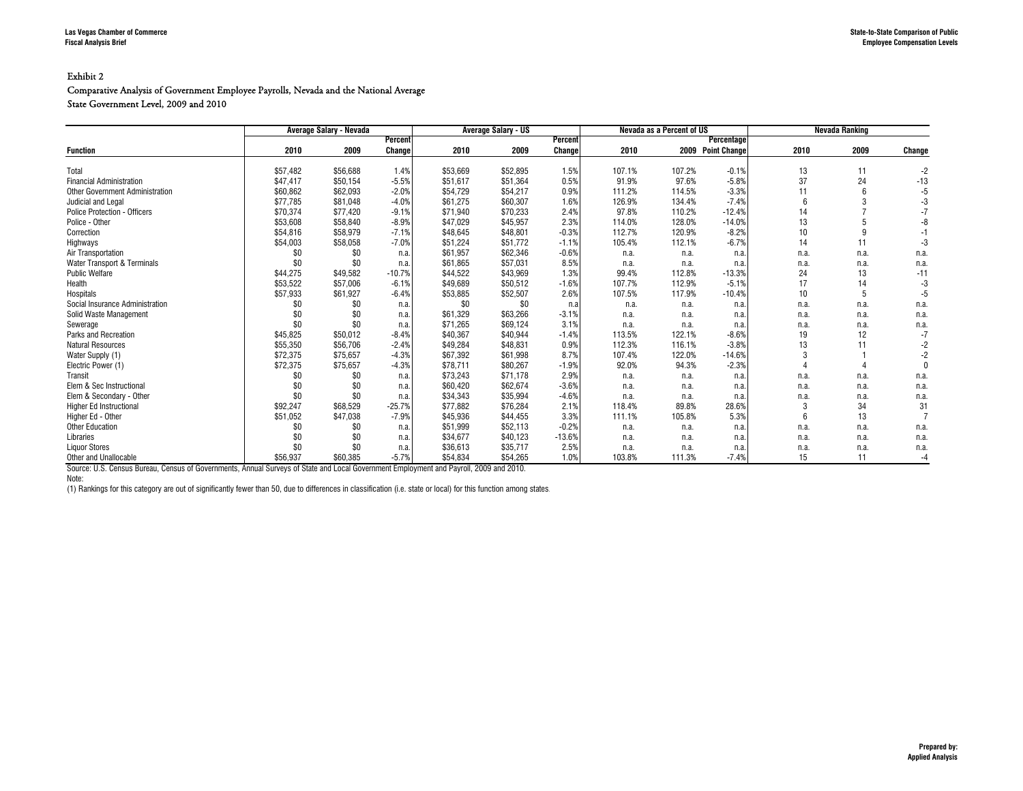#### Comparative Analysis of Government Employee Payrolls, Nevada and the National Average State Government Level, 2009 and 2010

|                                        |          | Average Salary - Nevada |          |          | <b>Average Salary - US</b> |          |        | Nevada as a Percent of US |                   |                 | <b>Nevada Ranking</b> |        |
|----------------------------------------|----------|-------------------------|----------|----------|----------------------------|----------|--------|---------------------------|-------------------|-----------------|-----------------------|--------|
|                                        |          |                         | Percent  |          |                            | Percent  |        |                           | Percentage        |                 |                       |        |
| <b>Function</b>                        | 2010     | 2009                    | Change   | 2010     | 2009                       | Changel  | 2010   |                           | 2009 Point Change | 2010            | 2009                  | Change |
|                                        |          |                         |          |          |                            |          |        |                           |                   |                 |                       |        |
| Total                                  | \$57,482 | \$56,688                | 1.4%     | \$53.669 | \$52.895                   | 1.5%     | 107.1% | 107.2%                    | $-0.1%$           | 13              | 11                    | $-2$   |
| <b>Financial Administration</b>        | \$47,417 | \$50,154                | $-5.5%$  | \$51.617 | \$51.364                   | 0.5%     | 91.9%  | 97.6%                     | $-5.8%$           | 37              | 24                    | $-13$  |
| <b>Other Government Administration</b> | \$60,862 | \$62,093                | $-2.0%$  | \$54.729 | \$54.217                   | 0.9%     | 111.2% | 114.5%                    | $-3.3%$           | 11              |                       |        |
| Judicial and Legal                     | \$77,785 | \$81,048                | $-4.0%$  | \$61.275 | \$60,307                   | 1.6%     | 126.9% | 134.4%                    | $-7.4%$           |                 | 3                     |        |
| <b>Police Protection - Officers</b>    | \$70,374 | \$77,420                | $-9.1%$  | \$71.940 | \$70.233                   | 2.4%     | 97.8%  | 110.2%                    | $-12.4%$          | 14              |                       |        |
| Police - Other                         | \$53,608 | \$58,840                | $-8.9%$  | \$47,029 | \$45,957                   | 2.3%     | 114.0% | 128.0%                    | $-14.0%$          | 13              |                       |        |
| Correction                             | \$54,816 | \$58,979                | $-7.1%$  | \$48,645 | \$48,801                   | $-0.3%$  | 112.7% | 120.9%                    | $-8.2%$           | 10              | 9                     |        |
| Highways                               | \$54,003 | \$58,058                | $-7.0%$  | \$51,224 | \$51,772                   | $-1.1%$  | 105.4% | 112.1%                    | $-6.7%$           | 14              | 11                    |        |
| Air Transportation                     | \$0      | \$0                     | n.a.     | \$61.957 | \$62,346                   | $-0.6%$  | n.a.   | n.a.                      | n.a.              | n.a.            | n.a.                  | n.a.   |
| Water Transport & Terminals            | \$0      | \$0                     | n.a.     | \$61.865 | \$57.031                   | 8.5%     | n.a.   | n.a.                      | n.a.              | n.a.            | n.a.                  | n.a.   |
| <b>Public Welfare</b>                  | \$44,275 | \$49,582                | $-10.7%$ | \$44.522 | \$43,969                   | 1.3%     | 99.4%  | 112.8%                    | $-13.3%$          | 24              | 13                    | $-11$  |
| Health                                 | \$53,522 | \$57,006                | $-6.1%$  | \$49.689 | \$50,512                   | $-1.6%$  | 107.7% | 112.9%                    | $-5.1%$           | 17              | 14                    |        |
| Hospitals                              | \$57,933 | \$61,927                | $-6.4%$  | \$53,885 | \$52,507                   | 2.6%     | 107.5% | 117.9%                    | $-10.4%$          | 10              | 5                     | -5     |
| Social Insurance Administration        | \$0      | \$0                     | n.a.     | \$0      | \$0                        | n.a      | n.a.   | n.a.                      | n.a.              | n.a.            | n.a.                  | n.a.   |
| Solid Waste Management                 | \$0      | \$0                     | n.a.     | \$61.329 | \$63,266                   | $-3.1%$  | n.a.   | n.a.                      | n.a.              | n.a.            | n.a.                  | n.a.   |
| Sewerage                               | \$0      | \$0                     | n.a.     | \$71,265 | \$69,124                   | 3.1%     | n.a.   | n.a.                      | n.a               | n.a.            | n.a.                  | n.a.   |
| Parks and Recreation                   | \$45,825 | \$50,012                | $-8.4%$  | \$40,367 | \$40,944                   | $-1.4%$  | 113.5% | 122.1%                    | $-8.6%$           | 19              | 12                    | $-7$   |
| <b>Natural Resources</b>               | \$55,350 | \$56,706                | $-2.4%$  | \$49.284 | \$48.831                   | 0.9%     | 112.3% | 116.1%                    | $-3.8%$           | 13              | 11                    |        |
| Water Supply (1)                       | \$72,375 | \$75,657                | $-4.3%$  | \$67,392 | \$61,998                   | 8.7%     | 107.4% | 122.0%                    | $-14.6%$          |                 |                       |        |
| Electric Power (1)                     | \$72,375 | \$75,657                | $-4.3%$  | \$78.711 | \$80,267                   | $-1.9%$  | 92.0%  | 94.3%                     | $-2.3%$           |                 |                       |        |
| Transit                                | \$0      | \$0                     | n.a.     | \$73.243 | \$71.178                   | 2.9%     | n.a.   | n.a.                      | n.a.              | n.a.            | n.a.                  | n.a.   |
| Elem & Sec Instructional               | \$0      | \$0                     | n.a.     | \$60,420 | \$62.674                   | $-3.6%$  | n.a.   | n.a.                      | n.a.              | n.a.            | n.a.                  | n.a.   |
| Elem & Secondary - Other               | \$0      | \$0                     | n.a.     | \$34,343 | \$35,994                   | $-4.6%$  | n.a.   | n.a.                      | n.a.              | n.a.            | n.a.                  | n.a.   |
| <b>Higher Ed Instructional</b>         | \$92,247 | \$68,529                | $-25.7%$ | \$77,882 | \$76,284                   | 2.1%     | 118.4% | 89.8%                     | 28.6%             | 3               | 34                    | 31     |
| Higher Ed - Other                      | \$51,052 | \$47,038                | $-7.9%$  | \$45.936 | \$44,455                   | 3.3%     | 111.1% | 105.8%                    | 5.3%              | $6\overline{6}$ | 13                    |        |
| <b>Other Education</b>                 | \$0      | \$0                     | n.a.     | \$51.999 | \$52.113                   | $-0.2%$  | n.a.   | n.a.                      | n.a.              | n.a.            | n.a.                  | n.a.   |
| Libraries                              | \$0      | \$0                     | n.a.     | \$34,677 | \$40,123                   | $-13.6%$ | n.a.   | n.a.                      | n.a.              | n.a.            | n.a.                  | n.a.   |
| <b>Liquor Stores</b>                   | \$0      | \$0                     | n.a.     | \$36,613 | \$35.717                   | 2.5%     | n.a.   | n.a.                      | n.a.              | n.a.            | n.a.                  | n.a.   |
| Other and Unallocable                  | \$56,937 | \$60,385                | $-5.7%$  | \$54,834 | \$54,265                   | 1.0%     | 103.8% | 111.3%                    | $-7.4%$           | 15              | 11                    | $-4$   |

Source: U.S. Census Bureau, Census of Governments, Annual Surveys of State and Local Government Employment and Payroll, 2009 and 2010.

Note:

(1) Rankings for this category are out of significantly fewer than 50, due to differences in classification (i.e. state or local) for this function among states.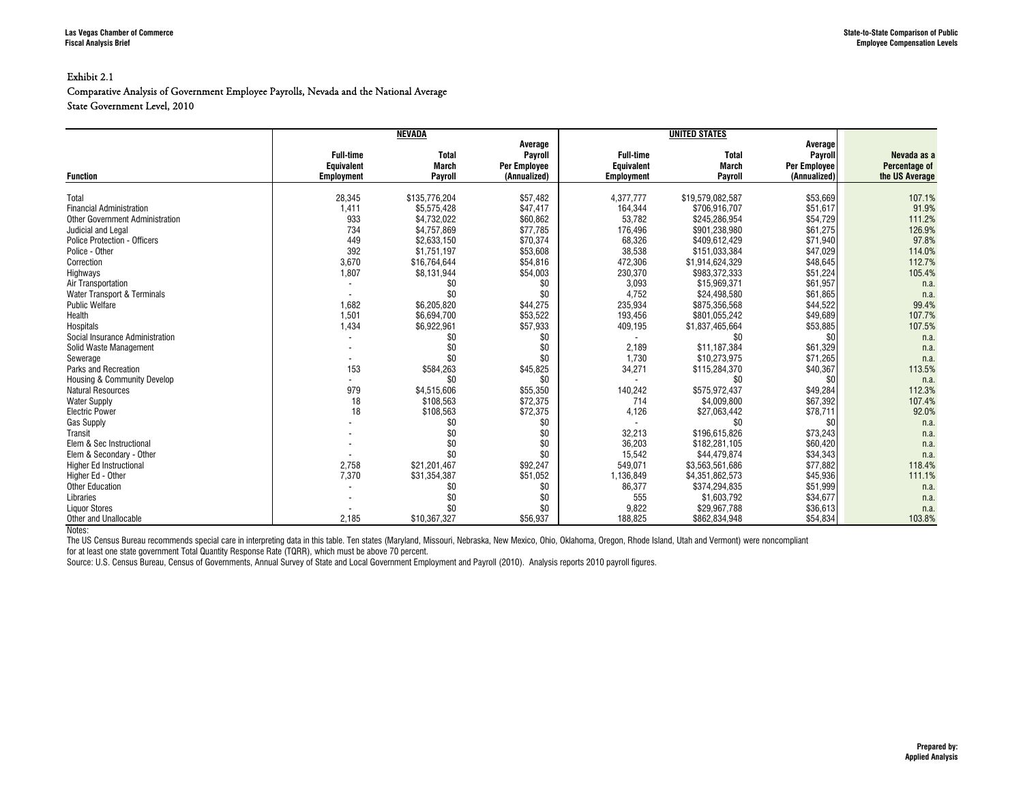#### Exhibit 2.1

#### Comparative Analysis of Government Employee Payrolls, Nevada and the National Average State Government Level, 2010

|                                        |                   | <b>NEVADA</b> |                     |                   |                  |                     |                |
|----------------------------------------|-------------------|---------------|---------------------|-------------------|------------------|---------------------|----------------|
|                                        |                   |               | Average             |                   |                  | Average             |                |
|                                        | <b>Full-time</b>  | <b>Total</b>  | Payroll             | <b>Full-time</b>  | <b>Total</b>     | Payroll             | Nevada as a    |
|                                        | Equivalent        | March         | <b>Per Employee</b> | <b>Equivalent</b> | <b>March</b>     | <b>Per Employee</b> | Percentage of  |
| <b>Function</b>                        | <b>Employment</b> | Payroll       | (Annualized)        | <b>Employment</b> | Payroll          | (Annualized)        | the US Average |
|                                        |                   |               |                     |                   |                  |                     |                |
| Total                                  | 28,345            | \$135.776.204 | \$57,482            | 4.377.777         | \$19,579,082,587 | \$53.669            | 107.1%         |
| <b>Financial Administration</b>        | 1,411             | \$5,575,428   | \$47,417            | 164,344           | \$706,916,707    | \$51,617            | 91.9%          |
| <b>Other Government Administration</b> | 933               | \$4,732,022   | \$60,862            | 53,782            | \$245,286,954    | \$54,729            | 111.2%         |
| Judicial and Legal                     | 734               | \$4,757,869   | \$77,785            | 176,496           | \$901,238,980    | \$61,275            | 126.9%         |
| <b>Police Protection - Officers</b>    | 449               | \$2,633,150   | \$70,374            | 68,326            | \$409,612,429    | \$71,940            | 97.8%          |
| Police - Other                         | 392               | \$1,751,197   | \$53,608            | 38,538            | \$151,033,384    | \$47,029            | 114.0%         |
| Correction                             | 3,670             | \$16,764,644  | \$54,816            | 472,306           | \$1,914,624,329  | \$48,645            | 112.7%         |
| Highways                               | 1,807             | \$8,131,944   | \$54,003            | 230,370           | \$983.372.333    | \$51,224            | 105.4%         |
| Air Transportation                     |                   | \$0           | \$0                 | 3,093             | \$15,969,371     | \$61,957            | n.a.           |
| Water Transport & Terminals            |                   | \$0           | \$0                 | 4.752             | \$24.498.580     | \$61.865            | n.a.           |
| <b>Public Welfare</b>                  | 1,682             | \$6,205,820   | \$44,275            | 235,934           | \$875,356,568    | \$44,522            | 99.4%          |
| Health                                 | 1,501             | \$6,694,700   | \$53,522            | 193.456           | \$801.055.242    | \$49.689            | 107.7%         |
| <b>Hospitals</b>                       | 1,434             | \$6,922,961   | \$57,933            | 409,195           | \$1,837,465,664  | \$53,885            | 107.5%         |
| Social Insurance Administration        |                   | \$0           | \$0                 |                   | \$0              | \$0                 | n.a            |
| Solid Waste Management                 |                   | \$0           | \$0                 | 2,189             | \$11,187,384     | \$61,329            | n.a.           |
| Sewerage                               |                   | \$0           | \$0                 | 1.730             | \$10,273,975     | \$71,265            | n.a.           |
| Parks and Recreation                   | 153               | \$584,263     | \$45,825            | 34,271            | \$115,284,370    | \$40,367            | 113.5%         |
| <b>Housing &amp; Community Develop</b> |                   | \$0           | \$0                 |                   | \$0              | \$0                 | n.a            |
| <b>Natural Resources</b>               | 979               | \$4,515,606   | \$55,350            | 140,242           | \$575,972,437    | \$49,284            | 112.3%         |
| <b>Water Supply</b>                    | 18                | \$108,563     | \$72,375            | 714               | \$4,009,800      | \$67,392            | 107.4%         |
| <b>Electric Power</b>                  | 18                | \$108.563     | \$72,375            | 4,126             | \$27.063.442     | \$78,711            | 92.0%          |
| <b>Gas Supply</b>                      |                   | \$0           | \$0                 |                   | \$0              | \$0                 | n.a            |
| Transit                                |                   | \$0           | \$0                 | 32,213            | \$196,615,826    | \$73,243            | n.a.           |
| Elem & Sec Instructional               |                   | \$0           | \$0                 | 36,203            | \$182.281.105    | \$60,420            | n.a.           |
| Elem & Secondary - Other               |                   | \$0           | \$0                 | 15.542            | \$44,479.874     | \$34,343            | n.a.           |
| Higher Ed Instructional                | 2,758             | \$21.201.467  | \$92,247            | 549.071           | \$3,563,561,686  | \$77.882            | 118.4%         |
| Higher Ed - Other                      | 7,370             | \$31,354,387  | \$51,052            | 1,136,849         | \$4,351,862,573  | \$45,936            | 111.1%         |
| <b>Other Education</b>                 |                   | \$0           | \$0                 | 86,377            | \$374,294,835    | \$51,999            | n.a.           |
| Libraries                              |                   | \$0           | \$0                 | 555               | \$1,603,792      | \$34,677            | n.a.           |
| <b>Liquor Stores</b>                   |                   | \$0           | \$0                 | 9,822             | \$29,967,788     | \$36,613            | n.a.           |
| Other and Unallocable                  | 2,185             | \$10,367,327  | \$56,937            | 188,825           | \$862,834,948    | \$54,834            | 103.8%         |

Notes:

The US Census Bureau recommends special care in interpreting data in this table. Ten states (Maryland, Missouri, Nebraska, New Mexico, Ohio, Oklahoma, Oregon, Rhode Island, Utah and Vermont) were noncompliant

for at least one state government Total Quantity Response Rate (TQRR), which must be above 70 percent.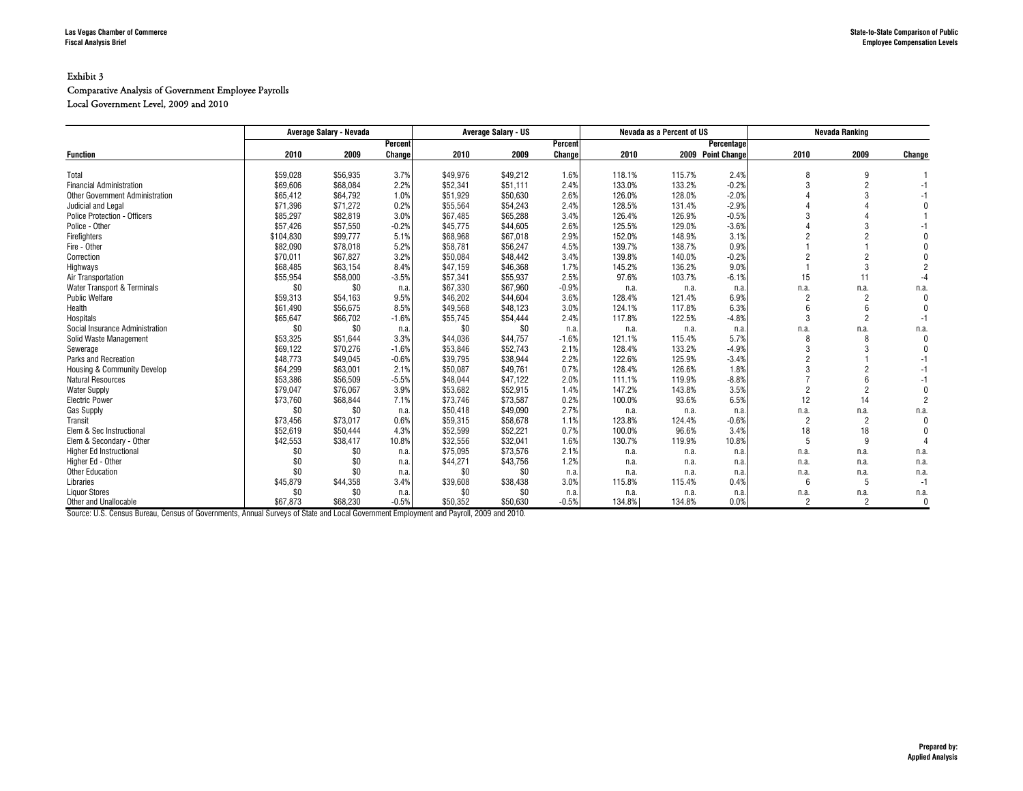#### Exhibit 3 Comparative Analysis of Government Employee Payrolls

Local Government Level, 2009 and 2010

|                                        |           | Average Salary - Nevada |         |          | <b>Average Salary - US</b> |         |        | Nevada as a Percent of US |                   |                 | <b>Nevada Ranking</b> |              |
|----------------------------------------|-----------|-------------------------|---------|----------|----------------------------|---------|--------|---------------------------|-------------------|-----------------|-----------------------|--------------|
|                                        |           |                         | Percent |          |                            | Percent |        |                           | Percentage        |                 |                       |              |
| <b>Function</b>                        | 2010      | 2009                    | Change  | 2010     | 2009                       | Change  | 2010   |                           | 2009 Point Change | 2010            | 2009                  | Change       |
| Total                                  | \$59,028  | \$56,935                | 3.7%    | \$49,976 | \$49,212                   | 1.6%    | 118.1% | 115.7%                    | 2.4%              | R               | 9                     |              |
| <b>Financial Administration</b>        | \$69,606  | \$68,084                | 2.2%    | \$52,341 | \$51,111                   | 2.4%    | 133.0% | 133.2%                    | $-0.2%$           | 3               | $\overline{c}$        | -1           |
| <b>Other Government Administration</b> | \$65,412  | \$64,792                | 1.0%    | \$51,929 | \$50.630                   | 2.6%    | 126.0% | 128.0%                    | $-2.0%$           |                 | 3                     |              |
|                                        |           |                         |         | \$55.564 |                            | 2.4%    | 128.5% | 131.4%                    | $-2.9%$           |                 |                       |              |
| Judicial and Legal                     | \$71,396  | \$71,272                | 0.2%    |          | \$54,243                   |         |        |                           | $-0.5%$           |                 |                       |              |
| <b>Police Protection - Officers</b>    | \$85,297  | \$82,819                | 3.0%    | \$67,485 | \$65,288                   | 3.4%    | 126.4% | 126.9%                    |                   |                 |                       |              |
| Police - Other                         | \$57,426  | \$57,550                | $-0.2%$ | \$45,775 | \$44,605                   | 2.6%    | 125.5% | 129.0%                    | $-3.6%$           |                 |                       |              |
| Firefighters                           | \$104,830 | \$99,777                | 5.1%    | \$68,968 | \$67,018                   | 2.9%    | 152.0% | 148.9%                    | 3.1%              |                 |                       |              |
| Fire - Other                           | \$82,090  | \$78,018                | 5.2%    | \$58,781 | \$56,247                   | 4.5%    | 139.7% | 138.7%                    | 0.9%              |                 |                       |              |
| Correction                             | \$70,011  | \$67,827                | 3.2%    | \$50,084 | \$48,442                   | 3.4%    | 139.8% | 140.0%                    | $-0.2%$           | 2               | $\overline{c}$        |              |
| Highways                               | \$68,485  | \$63,154                | 8.4%    | \$47,159 | \$46,368                   | 1.7%    | 145.2% | 136.2%                    | 9.0%              |                 | 3                     |              |
| Air Transportation                     | \$55,954  | \$58,000                | $-3.5%$ | \$57,341 | \$55,937                   | 2.5%    | 97.6%  | 103.7%                    | $-6.1%$           | 15              | 11                    | -4           |
| Water Transport & Terminals            | \$0       | \$0                     | n.a.    | \$67.330 | \$67.960                   | $-0.9%$ | n.a.   | n.a.                      | n.a               | n.a.            | n.a.                  | n.a.         |
| <b>Public Welfare</b>                  | \$59,313  | \$54.163                | 9.5%    | \$46,202 | \$44.604                   | 3.6%    | 128.4% | 121.4%                    | 6.9%              | $\overline{2}$  | $\overline{c}$        | $\Omega$     |
| Health                                 | \$61,490  | \$56,675                | 8.5%    | \$49,568 | \$48,123                   | 3.0%    | 124.1% | 117.8%                    | 6.3%              |                 |                       |              |
| Hospitals                              | \$65,647  | \$66,702                | $-1.6%$ | \$55,745 | \$54,444                   | 2.4%    | 117.8% | 122.5%                    | $-4.8%$           | 3               | $\overline{c}$        | $-1$         |
| Social Insurance Administration        | \$0       | \$0                     | n.a.    | \$0      | \$0                        | n.a     | n.a.   | n.a.                      | n.a               | n.a.            | n.a.                  | n.a.         |
| Solid Waste Management                 | \$53,325  | \$51,644                | 3.3%    | \$44,036 | \$44,757                   | $-1.6%$ | 121.1% | 115.4%                    | 5.7%              | $\mathsf{R}$    | 8                     | $\Omega$     |
| Sewerage                               | \$69,122  | \$70,276                | $-1.6%$ | \$53,846 | \$52,743                   | 2.1%    | 128.4% | 133.2%                    | $-4.9%$           | 3               | 3                     |              |
| Parks and Recreation                   | \$48,773  | \$49,045                | $-0.6%$ | \$39,795 | \$38,944                   | 2.2%    | 122.6% | 125.9%                    | $-3.4%$           | $\mathfrak{p}$  |                       | -1           |
| Housing & Community Develop            | \$64,299  | \$63,001                | 2.1%    | \$50,087 | \$49,761                   | 0.7%    | 128.4% | 126.6%                    | 1.8%              |                 | $\overline{c}$        | -1           |
| <b>Natural Resources</b>               | \$53,386  | \$56,509                | $-5.5%$ | \$48.044 | \$47.122                   | 2.0%    | 111.1% | 119.9%                    | $-8.8%$           |                 |                       | -1           |
| <b>Water Supply</b>                    | \$79,047  | \$76,067                | 3.9%    | \$53,682 | \$52,915                   | 1.4%    | 147.2% | 143.8%                    | 3.5%              | $\overline{2}$  | $\overline{c}$        |              |
| <b>Electric Power</b>                  | \$73,760  | \$68,844                | 7.1%    | \$73,746 | \$73,587                   | 0.2%    | 100.0% | 93.6%                     | 6.5%              | 12              | 14                    |              |
| <b>Gas Supply</b>                      | \$0       | \$0                     | n.a.    | \$50,418 | \$49,090                   | 2.7%    | n.a.   | n.a.                      | n.a               | n.a.            | n.a.                  | n.a.         |
| Transit                                | \$73,456  | \$73,017                | 0.6%    | \$59,315 | \$58,678                   | 1.1%    | 123.8% | 124.4%                    | $-0.6%$           | $\overline{2}$  | $\overline{2}$        | $\Omega$     |
| Elem & Sec Instructional               | \$52,619  | \$50,444                | 4.3%    | \$52,599 | \$52,221                   | 0.7%    | 100.0% | 96.6%                     | 3.4%              | 18              | 18                    |              |
| Elem & Secondary - Other               | \$42,553  | \$38,417                | 10.8%   | \$32,556 | \$32,041                   | 1.6%    | 130.7% | 119.9%                    | 10.8%             | 5               | 9                     |              |
| <b>Higher Ed Instructional</b>         | \$0       | \$0                     | n.a.    | \$75,095 | \$73,576                   | 2.1%    | n.a.   | n.a.                      | n.a               | n.a.            | n.a.                  | n.a.         |
| Higher Ed - Other                      | \$0       | \$0                     | n.a.    | \$44,271 | \$43,756                   | 1.2%    | n.a.   | n.a.                      | n.a.              | n.a.            | n.a.                  | n.a.         |
| <b>Other Education</b>                 | \$0       | \$0                     | n.a.    | \$0      | \$0                        | n.a     | n.a.   | n.a.                      | n.a               | n.a.            | n.a.                  | n.a.         |
| Libraries                              | \$45,879  | \$44,358                | 3.4%    | \$39,608 | \$38,438                   | 3.0%    | 115.8% | 115.4%                    | 0.4%              | $6\overline{6}$ | 5                     | $-1$         |
| <b>Liquor Stores</b>                   | \$0       | \$0                     | n.a.    | \$0      | \$0                        | n.a     | n.a.   | n.a.                      | n.a               | n.a.            | n.a.                  | n.a.         |
| Other and Unallocable                  | \$67.873  | \$68,230                | $-0.5%$ | \$50.352 | \$50.630                   | $-0.5%$ | 134.8% | 134.8%                    | 0.0%              | $\mathcal{P}$   | $\overline{c}$        | $\mathbf{0}$ |

Source: U.S. Census Bureau, Census of Governments, Annual Surveys of State and Local Government Employment and Payroll, 2009 and 2010.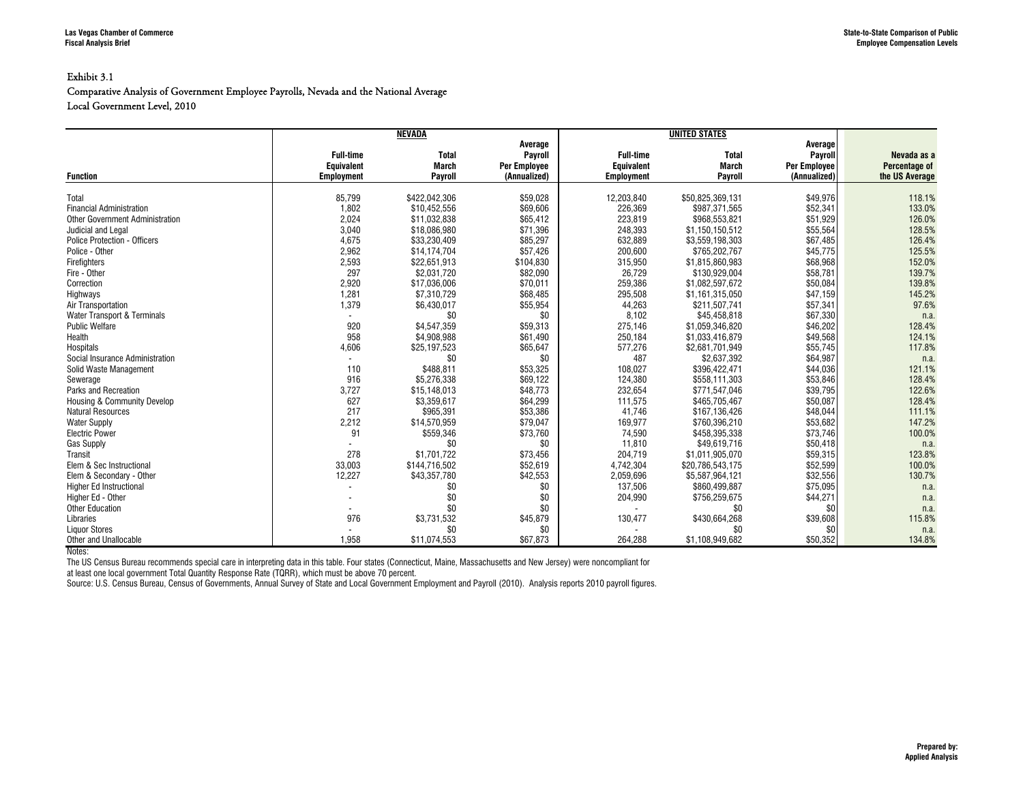#### Exhibit 3.1

#### Comparative Analysis of Government Employee Payrolls, Nevada and the National Average Local Government Level, 2010

|                                        |                   | <b>NEVADA</b> |                     |                   |                  |                     |                |
|----------------------------------------|-------------------|---------------|---------------------|-------------------|------------------|---------------------|----------------|
|                                        |                   |               | Average             |                   |                  | Average             |                |
|                                        | <b>Full-time</b>  | <b>Total</b>  | Payroll             | <b>Full-time</b>  | <b>Total</b>     | Payroll             | Nevada as a    |
|                                        | <b>Equivalent</b> | <b>March</b>  | <b>Per Employee</b> | Equivalent        | March            | <b>Per Employee</b> | Percentage of  |
| <b>Function</b>                        | <b>Employment</b> | Payroll       | (Annualized)        | <b>Employment</b> | Payroll          | (Annualized)        | the US Average |
| Total                                  | 85,799            | \$422,042,306 | \$59,028            | 12,203,840        | \$50,825,369,131 | \$49,976            | 118.1%         |
| <b>Financial Administration</b>        | 1,802             | \$10,452,556  | \$69,606            | 226,369           | \$987,371,565    | \$52,341            | 133.0%         |
| <b>Other Government Administration</b> | 2,024             | \$11,032,838  | \$65,412            | 223,819           | \$968,553,821    | \$51,929            | 126.0%         |
| Judicial and Legal                     | 3,040             | \$18,086,980  | \$71,396            | 248,393           | \$1,150,150,512  | \$55,564            | 128.5%         |
| <b>Police Protection - Officers</b>    | 4,675             | \$33,230,409  | \$85,297            | 632,889           | \$3,559,198,303  | \$67,485            | 126.4%         |
| Police - Other                         | 2,962             | \$14,174,704  | \$57,426            | 200,600           | \$765,202,767    | \$45,775            | 125.5%         |
| Firefighters                           | 2,593             | \$22,651,913  | \$104,830           | 315,950           | \$1,815,860,983  | \$68,968            | 152.0%         |
| Fire - Other                           | 297               | \$2,031,720   | \$82,090            | 26,729            | \$130,929,004    | \$58,781            | 139.7%         |
| Correction                             | 2,920             | \$17,036,006  | \$70,011            | 259,386           | \$1,082,597,672  | \$50,084            | 139.8%         |
| Highways                               | 1,281             | \$7,310,729   | \$68,485            | 295,508           | \$1,161,315,050  | \$47,159            | 145.2%         |
| Air Transportation                     | 1,379             | \$6,430,017   | \$55,954            | 44,263            | \$211,507,741    | \$57,341            | 97.6%          |
| Water Transport & Terminals            |                   | \$0           | \$0                 | 8.102             | \$45,458,818     | \$67,330            | n.a.           |
| <b>Public Welfare</b>                  | 920               | \$4,547,359   | \$59,313            | 275,146           | \$1.059.346.820  | \$46,202            | 128.4%         |
| Health                                 | 958               | \$4,908,988   | \$61,490            | 250,184           | \$1,033,416,879  | \$49,568            | 124.1%         |
| Hospitals                              | 4,606             | \$25,197,523  | \$65,647            | 577,276           | \$2,681,701,949  | \$55.745            | 117.8%         |
| Social Insurance Administration        |                   | \$0           | \$0                 | 487               | \$2,637,392      | \$64,987            | n.a.           |
| Solid Waste Management                 | 110               | \$488,811     | \$53,325            | 108,027           | \$396,422,471    | \$44,036            | 121.1%         |
| Sewerage                               | 916               | \$5,276,338   | \$69,122            | 124,380           | \$558,111,303    | \$53,846            | 128.4%         |
| <b>Parks and Recreation</b>            | 3,727             | \$15,148,013  | \$48,773            | 232,654           | \$771,547,046    | \$39,795            | 122.6%         |
| <b>Housing &amp; Community Develop</b> | 627               | \$3,359,617   | \$64,299            | 111,575           | \$465,705,467    | \$50,087            | 128.4%         |
| <b>Natural Resources</b>               | 217               | \$965,391     | \$53,386            | 41,746            | \$167,136,426    | \$48,044            | 111.1%         |
| <b>Water Supply</b>                    | 2,212             | \$14,570,959  | \$79,047            | 169.977           | \$760.396.210    | \$53,682            | 147.2%         |
| <b>Electric Power</b>                  | 91                | \$559,346     | \$73,760            | 74,590            | \$458,395,338    | \$73,746            | 100.0%         |
| <b>Gas Supply</b>                      |                   | \$0           | \$0                 | 11,810            | \$49.619.716     | \$50,418            | n.a.           |
| Transit                                | 278               | \$1,701,722   | \$73,456            | 204,719           | \$1,011,905,070  | \$59,315            | 123.8%         |
| Elem & Sec Instructional               | 33,003            | \$144,716,502 | \$52,619            | 4,742,304         | \$20,786,543,175 | \$52,599            | 100.0%         |
| Elem & Secondary - Other               | 12,227            | \$43,357,780  | \$42,553            | 2,059,696         | \$5,587,964,121  | \$32,556            | 130.7%         |
| <b>Higher Ed Instructional</b>         |                   | \$0           | \$0                 | 137,506           | \$860,499,887    | \$75,095            | n.a.           |
| Higher Ed - Other                      |                   | \$0           | \$0                 | 204,990           | \$756,259,675    | \$44,271            | n.a.           |
| <b>Other Education</b>                 |                   | \$0           | \$0                 | $\overline{a}$    | \$0              | \$0                 | n.a.           |
| Libraries                              | 976               | \$3,731,532   | \$45,879            | 130,477           | \$430,664,268    | \$39,608            | 115.8%         |
| <b>Liquor Stores</b>                   |                   | \$0           | \$0                 |                   | \$0              | \$0                 | n.a.           |
| Other and Unallocable                  | 1.958             | \$11,074,553  | \$67,873            | 264.288           | \$1.108.949.682  | \$50,352            | 134.8%         |

Notes:

The US Census Bureau recommends special care in interpreting data in this table. Four states (Connecticut, Maine, Massachusetts and New Jersey) were noncompliant for

at least one local government Total Quantity Response Rate (TQRR), which must be above 70 percent.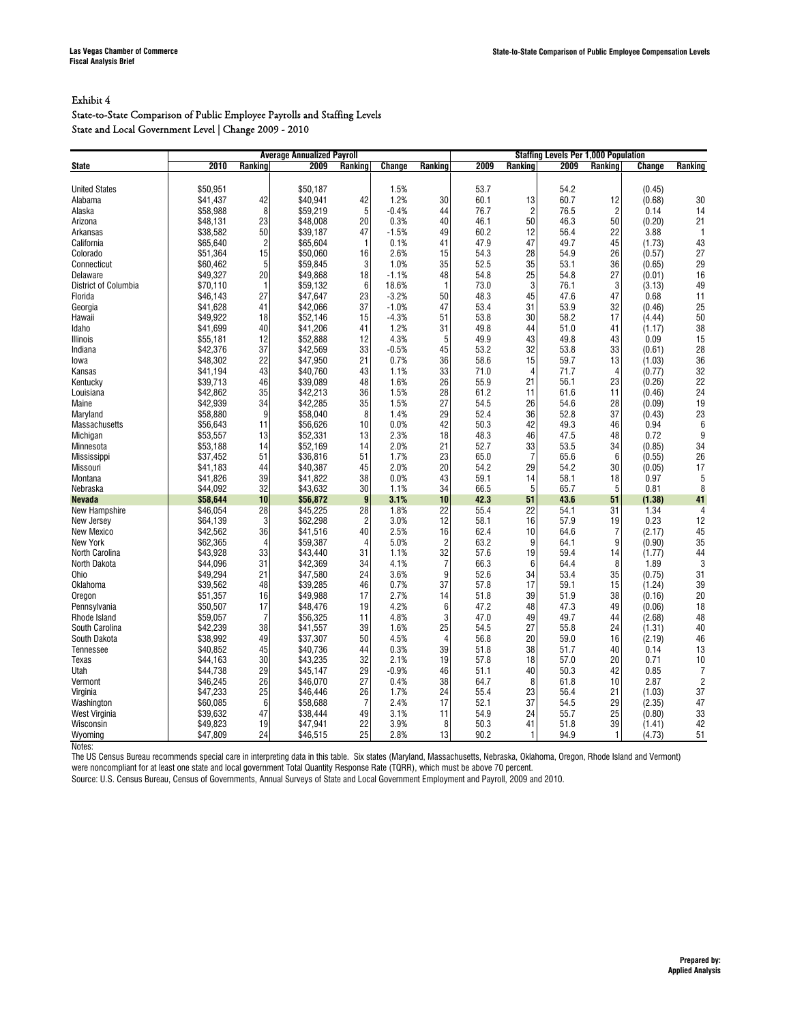#### State-to-State Comparison of Public Employee Payrolls and Staffing Levels State and Local Government Level | Change 2009 - 2010

|                                      |                      |                | <b>Average Annualized Payroll</b> |                |              |                      |              |                | <b>Staffing Levels Per 1,000 Population</b> |                |                |                |
|--------------------------------------|----------------------|----------------|-----------------------------------|----------------|--------------|----------------------|--------------|----------------|---------------------------------------------|----------------|----------------|----------------|
| <b>State</b>                         | 2010                 | Ranking        | 2009                              | Ranking        | Change       | Ranking              | 2009         | Ranking        | 2009                                        | Ranking        | Change         | Ranking        |
|                                      |                      |                |                                   |                |              |                      |              |                |                                             |                |                |                |
| <b>United States</b>                 | \$50,951             |                | \$50.187                          |                | 1.5%         |                      | 53.7         |                | 54.2                                        |                | (0.45)         |                |
| Alabama                              | \$41,437             | 42             | \$40,941                          | 42             | 1.2%         | 30                   | 60.1         | 13             | 60.7                                        | 12             | (0.68)         | 30             |
| Alaska                               | \$58,988             | 8              | \$59,219                          | 5              | $-0.4%$      | 44                   | 76.7         | $\overline{c}$ | 76.5                                        | $\overline{2}$ | 0.14           | 14             |
| Arizona                              | \$48,131             | 23             | \$48,008                          | 20             | 0.3%         | 40                   | 46.1         | 50             | 46.3                                        | 50             | (0.20)         | 21             |
| Arkansas                             | \$38,582             | 50             | \$39,187                          | 47             | $-1.5%$      | 49                   | 60.2         | 12             | 56.4                                        | 22             | 3.88           | $\mathbf{1}$   |
| California                           | \$65,640             | $\overline{c}$ | \$65,604                          | $\overline{1}$ | 0.1%         | 41                   | 47.9         | 47             | 49.7                                        | 45             | (1.73)         | 43             |
| Colorado                             | \$51,364             | 15             | \$50,060                          | 16             | 2.6%         | 15                   | 54.3         | 28             | 54.9                                        | 26             | (0.57)         | 27             |
| Connecticut                          | \$60,462             | 5              | \$59.845                          | 3              | 1.0%         | 35                   | 52.5         | 35             | 53.1                                        | 36             | (0.65)         | 29             |
| Delaware                             | \$49,327             | 20             | \$49,868                          | 18             | $-1.1%$      | 48                   | 54.8         | 25             | 54.8                                        | 27             | (0.01)         | 16             |
| District of Columbia                 | \$70.110             | $\mathbf{1}$   | \$59.132                          | 6              | 18.6%        | $\mathbf{1}$         | 73.0         | 3              | 76.1                                        | 3              | (3.13)         | 49             |
| Florida                              | \$46,143             | 27             | \$47,647                          | 23             | $-3.2%$      | 50                   | 48.3         | 45             | 47.6                                        | 47             | 0.68           | 11             |
| Georgia                              | \$41,628             | 41             | \$42,066                          | 37             | $-1.0%$      | 47                   | 53.4         | 31             | 53.9                                        | 32             | (0.46)         | 25             |
| Hawaii                               | \$49,922             | 18             | \$52.146                          | 15             | $-4.3%$      | 51                   | 53.8         | 30             | 58.2                                        | 17             | (4.44)         | 50             |
| Idaho                                | \$41,699             | 40             | \$41,206                          | 41             | 1.2%         | 31                   | 49.8         | 44             | 51.0                                        | 41             | (1.17)         | 38             |
| Illinois                             | \$55,181             | 12             | \$52,888                          | 12             | 4.3%         | 5                    | 49.9         | 43             | 49.8                                        | 43             | 0.09           | 15             |
| Indiana                              | \$42,376             | 37             | \$42.569                          | 33             | $-0.5%$      | 45                   | 53.2         | 32             | 53.8                                        | 33             | (0.61)         | 28             |
| lowa                                 | \$48,302             | 22             | \$47,950                          | 21             | 0.7%         | 36                   | 58.6         | 15             | 59.7                                        | 13             | (1.03)         | 36             |
| Kansas                               | \$41,194             | 43             | \$40,760                          | 43             | 1.1%         | 33                   | 71.0         | $\overline{4}$ | 71.7                                        | $\overline{4}$ | (0.77)         | 32             |
| Kentucky                             | \$39,713             | 46             | \$39,089                          | 48             | 1.6%         | 26                   | 55.9         | 21             | 56.1                                        | 23             | (0.26)         | 22             |
| Louisiana                            | \$42,862             | 35             | \$42,213                          | 36             | 1.5%         | 28                   | 61.2         | 11             | 61.6                                        | 11             | (0.46)         | 24             |
| Maine                                | \$42,939             | 34             | \$42,285                          | 35             | 1.5%         | 27                   | 54.5         | 26             | 54.6                                        | 28             | (0.09)         | 19             |
| Maryland                             | \$58,880             | 9              | \$58,040                          | 8              | 1.4%         | 29                   | 52.4         | 36             | 52.8                                        | 37             | (0.43)         | 23             |
| Massachusetts                        | \$56,643             | 11             | \$56,626                          | 10             | 0.0%         | 42                   | 50.3         | 42             | 49.3                                        | 46             | 0.94           | $6\phantom{1}$ |
| Michigan                             | \$53,557             | 13             | \$52,331                          | 13             | 2.3%         | 18                   | 48.3         | 46             | 47.5                                        | 48             | 0.72           | 9              |
| Minnesota                            | \$53,188             | 14             | \$52,169                          | 14             | 2.0%         | 21                   | 52.7         | 33             | 53.5                                        | 34             | (0.85)         | 34             |
| <b>Mississippi</b>                   | \$37,452             | 51             | \$36.816                          | 51             | 1.7%         | 23                   | 65.0         | $\overline{7}$ | 65.6                                        | 6              | (0.55)         | 26             |
| Missouri                             | \$41,183             | 44             | \$40,387                          | 45             | 2.0%         | 20                   | 54.2         | 29             | 54.2                                        | 30             | (0.05)         | 17             |
| Montana                              | \$41,826             | 39             | \$41,822                          | 38             | 0.0%         | 43                   | 59.1         | 14             | 58.1                                        | 18             | 0.97           | 5              |
| Nebraska                             | \$44,092             | 32             | \$43,632                          | 30             | 1.1%         | 34                   | 66.5         | 5              | 65.7                                        | 5              | 0.81           | 8              |
| <b>Nevada</b>                        | \$58,644             | 10             | \$56,872                          | $\overline{9}$ | 3.1%         | 10                   | 42.3         | 51             | 43.6                                        | 51             | (1.38)         | 41             |
| New Hampshire                        | \$46,054             | 28             | \$45,225                          | 28             | 1.8%         | 22                   | 55.4         | 22             | 54.1                                        | 31             | 1.34           | $\overline{4}$ |
| New Jersey                           | \$64,139             | 3              | \$62,298                          | $\overline{2}$ | 3.0%         | 12                   | 58.1         | 16             | 57.9                                        | 19             | 0.23           | 12             |
|                                      | \$42,562             | 36             | \$41,516                          | 40             | 2.5%         | 16                   | 62.4         | 10             | 64.6                                        |                |                | 45             |
| <b>New Mexico</b><br><b>New York</b> |                      | $\overline{4}$ | \$59,387                          | $\overline{4}$ | 5.0%         | $\overline{c}$       | 63.2         | 9              | 64.1                                        | 7<br>9         | (2.17)         | 35             |
|                                      | \$62,365             |                |                                   |                |              | 32                   |              |                |                                             |                | (0.90)         |                |
| North Carolina<br>North Dakota       | \$43,928<br>\$44.096 | 33<br>31       | \$43,440<br>\$42.369              | 31<br>34       | 1.1%<br>4.1% | $\overline{7}$       | 57.6<br>66.3 | 19<br>6        | 59.4<br>64.4                                | 14<br>8        | (1.77)<br>1.89 | 44<br>3        |
|                                      |                      | 21             | \$47,580                          | 24             | 3.6%         | 9                    | 52.6         | 34             | 53.4                                        | 35             |                | 31             |
| Ohio                                 | \$49,294             |                | \$39.285                          |                | 0.7%         | 37                   | 57.8         | 17             | 59.1                                        | 15             | (0.75)         | 39             |
| Oklahoma                             | \$39,562             | 48             |                                   | 46             |              |                      |              |                |                                             |                | (1.24)         |                |
| Oregon                               | \$51,357             | 16             | \$49,988                          | 17             | 2.7%         | 14<br>6              | 51.8         | 39             | 51.9                                        | 38             | (0.16)         | 20             |
| Pennsylvania                         | \$50,507             | 17             | \$48,476                          | 19             | 4.2%         |                      | 47.2         | 48             | 47.3                                        | 49             | (0.06)         | 18             |
| Rhode Island                         | \$59,057             | $\overline{7}$ | \$56,325                          | 11             | 4.8%         | 3                    | 47.0         | 49             | 49.7                                        | 44             | (2.68)         | 48             |
| South Carolina                       | \$42,239             | 38             | \$41,557                          | 39             | 1.6%         | 25<br>$\overline{4}$ | 54.5         | 27             | 55.8                                        | 24             | (1.31)         | 40             |
| South Dakota                         | \$38,992             | 49             | \$37,307                          | 50             | 4.5%         |                      | 56.8         | 20             | 59.0                                        | 16             | (2.19)         | 46             |
| Tennessee                            | \$40,852             | 45             | \$40,736                          | 44             | 0.3%         | 39                   | 51.8         | 38             | 51.7                                        | 40             | 0.14           | 13             |
| Texas                                | \$44,163             | 30             | \$43,235                          | 32             | 2.1%         | 19                   | 57.8         | 18             | 57.0                                        | 20             | 0.71           | 10             |
| Utah                                 | \$44,738             | 29             | \$45.147                          | 29             | $-0.9%$      | 46                   | 51.1         | 40             | 50.3                                        | 42             | 0.85           | $\overline{7}$ |
| Vermont                              | \$46,245             | 26             | \$46,070                          | 27             | 0.4%         | 38                   | 64.7         | 8              | 61.8                                        | 10             | 2.87           | $\overline{c}$ |
| Virginia                             | \$47,233             | 25             | \$46.446                          | 26             | 1.7%         | 24                   | 55.4         | 23             | 56.4                                        | 21             | (1.03)         | 37             |
| Washington                           | \$60,085             | 6              | \$58,688                          | $\overline{7}$ | 2.4%         | 17                   | 52.1         | 37             | 54.5                                        | 29             | (2.35)         | 47             |
| West Virginia                        | \$39,632             | 47             | \$38.444                          | 49             | 3.1%         | 11                   | 54.9         | 24             | 55.7                                        | 25             | (0.80)         | 33             |
| Wisconsin                            | \$49,823             | 19             | \$47,941                          | 22             | 3.9%         | 8                    | 50.3         | 41             | 51.8                                        | 39             | (1.41)         | 42             |
| Wyoming                              | \$47,809             | 24             | \$46,515                          | 25             | 2.8%         | 13                   | 90.2         | $\overline{1}$ | 94.9                                        | $\mathbf{1}$   | (4.73)         | 51             |

Notes:

The US Census Bureau recommends special care in interpreting data in this table. Six states (Maryland, Massachusetts, Nebraska, Oklahoma, Oregon, Rhode Island and Vermont) were noncompliant for at least one state and local government Total Quantity Response Rate (TQRR), which must be above 70 percent.

Source: U.S. Census Bureau, Census of Governments, Annual Surveys of State and Local Government Employment and Payroll, 2009 and 2010.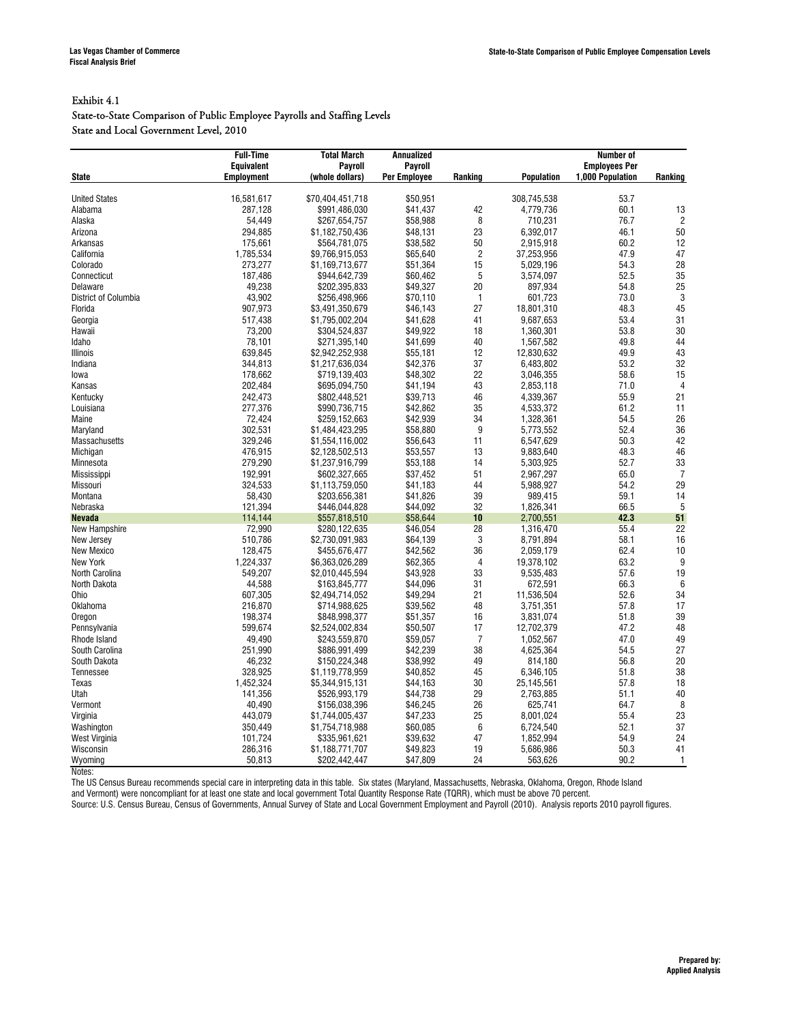#### Exhibit 4.1

#### State-to-State Comparison of Public Employee Payrolls and Staffing Levels State and Local Government Level, 2010

|                      | <b>Full-Time</b>  | <b>Total March</b> | <b>Annualized</b>   |                |                   | <b>Number of</b>     |                  |
|----------------------|-------------------|--------------------|---------------------|----------------|-------------------|----------------------|------------------|
|                      | <b>Equivalent</b> | <b>Payroll</b>     | Payroll             |                |                   | <b>Employees Per</b> |                  |
| <b>State</b>         | <b>Employment</b> | (whole dollars)    | <b>Per Employee</b> | Ranking        | <b>Population</b> | 1.000 Population     | Ranking          |
| <b>United States</b> |                   |                    | \$50.951            |                |                   | 53.7                 |                  |
|                      | 16,581,617        | \$70,404,451,718   |                     |                | 308,745,538       | 60.1                 |                  |
| Alabama              | 287,128           | \$991,486,030      | \$41,437            | 42             | 4,779,736         |                      | 13               |
| Alaska               | 54,449            | \$267,654,757      | \$58,988            | 8              | 710,231           | 76.7                 | $\overline{2}$   |
| Arizona              | 294,885           | \$1,182,750,436    | \$48,131            | 23             | 6,392,017         | 46.1<br>60.2         | 50<br>12         |
| Arkansas             | 175,661           | \$564,781,075      | \$38,582            | 50             | 2,915,918         |                      | 47               |
| California           | 1,785,534         | \$9,766,915,053    | \$65.640            | $\overline{c}$ | 37,253,956        | 47.9                 |                  |
| Colorado             | 273,277           | \$1,169,713,677    | \$51,364            | 15             | 5,029,196         | 54.3                 | 28               |
| Connecticut          | 187.486           | \$944.642.739      | \$60.462            | 5              | 3.574.097         | 52.5                 | 35               |
| Delaware             | 49,238            | \$202,395,833      | \$49,327            | 20             | 897,934           | 54.8                 | 25               |
| District of Columbia | 43,902            | \$256,498,966      | \$70,110            | $\mathbf{1}$   | 601,723           | 73.0                 | 3                |
| Florida              | 907,973           | \$3,491,350,679    | \$46,143            | 27             | 18,801,310        | 48.3                 | 45               |
| Georgia              | 517,438           | \$1,795,002,204    | \$41,628            | 41             | 9,687,653         | 53.4                 | 31               |
| Hawaii               | 73,200            | \$304,524,837      | \$49,922            | 18             | 1,360,301         | 53.8                 | 30               |
| Idaho                | 78.101            | \$271,395,140      | \$41.699            | 40             | 1,567,582         | 49.8                 | 44               |
| Illinois             | 639,845           | \$2,942,252,938    | \$55,181            | 12             | 12,830,632        | 49.9                 | 43               |
| Indiana              | 344,813           | \$1,217,636,034    | \$42,376            | 37             | 6,483,802         | 53.2                 | 32               |
| lowa                 | 178,662           | \$719,139,403      | \$48,302            | 22             | 3,046,355         | 58.6                 | 15               |
| Kansas               | 202,484           | \$695,094,750      | \$41.194            | 43             | 2,853,118         | 71.0                 | $\overline{4}$   |
| Kentucky             | 242,473           | \$802,448,521      | \$39,713            | 46             | 4,339,367         | 55.9                 | 21               |
| Louisiana            | 277,376           | \$990,736,715      | \$42,862            | 35             | 4,533,372         | 61.2                 | 11               |
| Maine                | 72,424            | \$259,152,663      | \$42,939            | 34             | 1,328,361         | 54.5                 | 26               |
| Maryland             | 302,531           | \$1,484,423,295    | \$58,880            | 9              | 5,773,552         | 52.4                 | 36               |
| Massachusetts        | 329,246           | \$1,554,116,002    | \$56,643            | 11             | 6,547,629         | 50.3                 | 42               |
| Michigan             | 476,915           | \$2,128,502,513    | \$53,557            | 13             | 9,883,640         | 48.3                 | 46               |
| Minnesota            | 279,290           | \$1,237,916,799    | \$53.188            | 14             | 5,303,925         | 52.7                 | 33               |
| Mississippi          | 192,991           | \$602,327,665      | \$37,452            | 51             | 2,967,297         | 65.0                 | $\overline{7}$   |
| Missouri             | 324,533           | \$1,113,759,050    | \$41.183            | 44             | 5,988,927         | 54.2                 | 29               |
| Montana              | 58,430            | \$203,656,381      | \$41,826            | 39             | 989,415           | 59.1                 | 14               |
| Nebraska             | 121,394           | \$446,044,828      | \$44.092            | 32             | 1,826,341         | 66.5                 | 5                |
| <b>Nevada</b>        | 114,144           | \$557,818,510      | \$58,644            | 10             | 2,700,551         | 42.3                 | 51               |
| New Hampshire        | 72,990            | \$280.122.635      | \$46.054            | 28             | 1,316,470         | 55.4                 | 22               |
| New Jersey           | 510,786           | \$2,730,091,983    | \$64,139            | 3              | 8,791,894         | 58.1                 | 16               |
| <b>New Mexico</b>    | 128,475           | \$455.676.477      | \$42.562            | 36             | 2.059.179         | 62.4                 | 10               |
| New York             | 1,224,337         | \$6,363,026,289    | \$62,365            | $\overline{4}$ | 19,378,102        | 63.2                 | $\boldsymbol{9}$ |
| North Carolina       | 549,207           | \$2,010,445,594    | \$43,928            | 33             | 9,535,483         | 57.6                 | 19               |
| North Dakota         | 44,588            | \$163,845,777      | \$44,096            | 31             | 672,591           | 66.3                 | 6                |
| Ohio                 | 607,305           | \$2,494,714,052    | \$49.294            | 21             | 11,536,504        | 52.6                 | 34               |
| Oklahoma             | 216,870           | \$714,988,625      | \$39,562            | 48             | 3,751,351         | 57.8                 | 17               |
| Oregon               | 198,374           | \$848,998,377      | \$51,357            | 16             | 3,831,074         | 51.8                 | 39               |
| Pennsylvania         | 599.674           | \$2.524.002.834    | \$50.507            | 17             | 12.702.379        | 47.2                 | 48               |
| Rhode Island         | 49,490            | \$243,559,870      | \$59,057            | $\overline{7}$ | 1,052,567         | 47.0                 | 49               |
| South Carolina       | 251,990           | \$886,991,499      | \$42,239            | 38             | 4,625,364         | 54.5                 | 27               |
| South Dakota         | 46,232            | \$150,224,348      | \$38.992            | 49             | 814,180           | 56.8                 | 20               |
| <b>Tennessee</b>     | 328,925           | \$1,119,778,959    | \$40.852            | 45             | 6,346,105         | 51.8                 | 38               |
| Texas                | 1,452,324         | \$5,344,915,131    | \$44,163            | 30             | 25,145,561        | 57.8                 | 18               |
| Utah                 | 141.356           | \$526,993,179      | \$44.738            | 29             | 2,763,885         | 51.1                 | 40               |
| Vermont              | 40,490            | \$156,038,396      | \$46,245            | 26             | 625,741           | 64.7                 | 8                |
| Virginia             | 443,079           | \$1,744,005,437    | \$47,233            | 25             | 8,001,024         | 55.4                 | 23               |
| Washington           | 350,449           | \$1,754,718,988    | \$60,085            | 6              | 6,724,540         | 52.1                 | 37               |
| West Virginia        | 101,724           | \$335,961,621      | \$39,632            | 47             | 1,852,994         | 54.9                 | 24               |
| Wisconsin            | 286,316           | \$1,188,771,707    | \$49,823            | 19             | 5,686,986         | 50.3                 | 41               |
| Wyoming              | 50,813            | \$202,442,447      | \$47,809            | 24             | 563,626           | 90.2                 | 1                |

Notes:

The US Census Bureau recommends special care in interpreting data in this table. Six states (Maryland, Massachusetts, Nebraska, Oklahoma, Oregon, Rhode Island and Vermont) were noncompliant for at least one state and local government Total Quantity Response Rate (TQRR), which must be above 70 percent.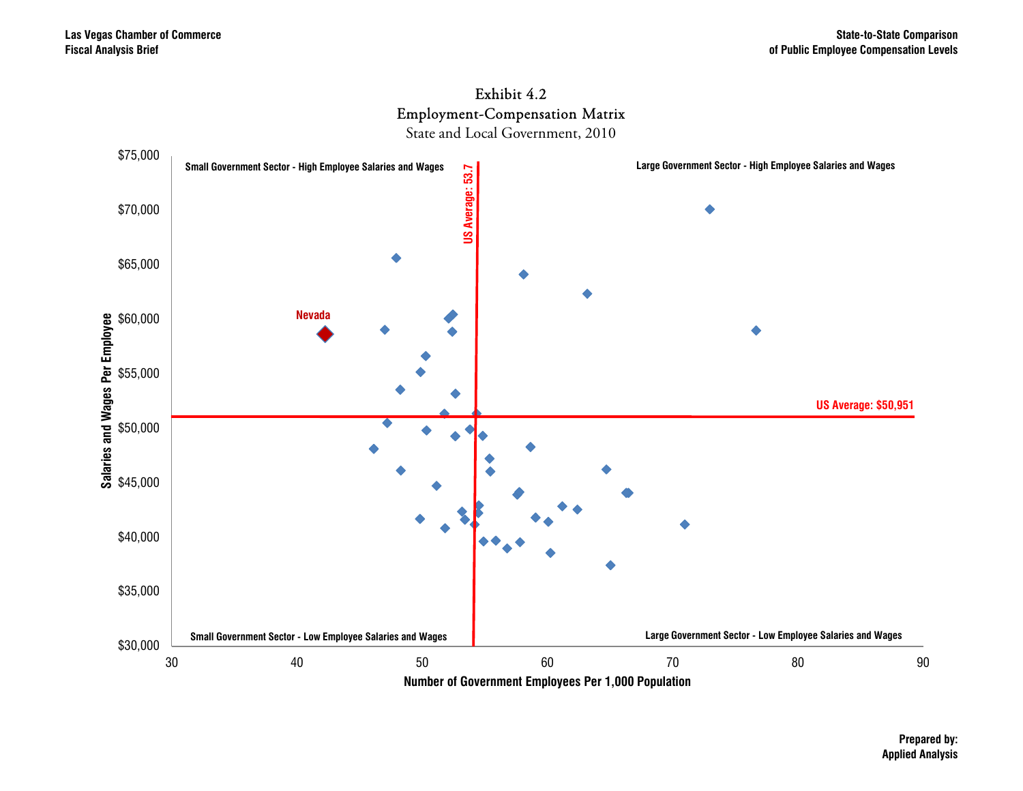

State and Local Government, 2010



**Prepared by: Applied Analysis**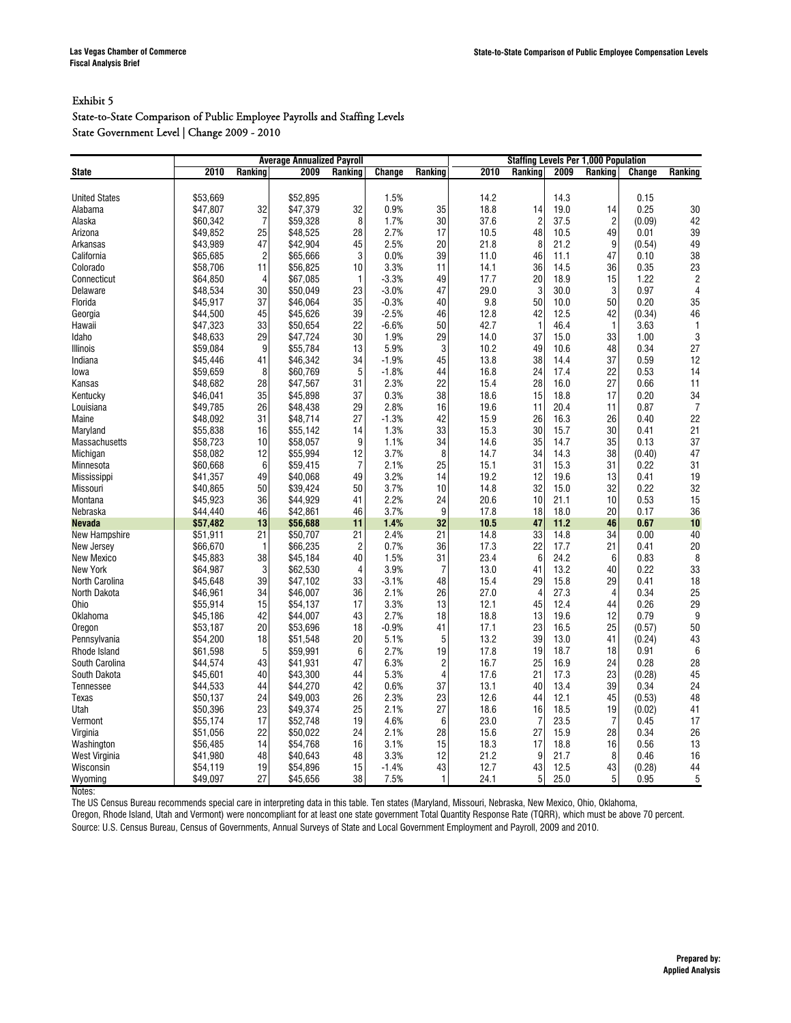#### State-to-State Comparison of Public Employee Payrolls and Staffing Levels State Government Level | Change 2009 - 2010

|                      | <b>Average Annualized Payroll</b> |                |          |                |         | <b>Staffing Levels Per 1,000 Population</b> |      |                |      |                |        |                  |
|----------------------|-----------------------------------|----------------|----------|----------------|---------|---------------------------------------------|------|----------------|------|----------------|--------|------------------|
| <b>State</b>         | 2010                              | Ranking        | 2009     | Ranking        | Change  | Ranking                                     | 2010 | Ranking        | 2009 | Ranking        | Change | Ranking          |
|                      |                                   |                |          |                |         |                                             |      |                |      |                |        |                  |
| <b>United States</b> | \$53.669                          |                | \$52.895 |                | 1.5%    |                                             | 14.2 |                | 14.3 |                | 0.15   |                  |
| Alabama              | \$47,807                          | 32             | \$47,379 | 32             | 0.9%    | 35                                          | 18.8 | 14             | 19.0 | 14             | 0.25   | 30               |
| Alaska               | \$60.342                          | $\overline{7}$ | \$59,328 | 8              | 1.7%    | 30                                          | 37.6 | $\overline{c}$ | 37.5 | $\overline{2}$ | (0.09) | 42               |
| Arizona              | \$49,852                          | 25             | \$48,525 | 28             | 2.7%    | 17                                          | 10.5 | 48             | 10.5 | 49             | 0.01   | 39               |
| Arkansas             | \$43,989                          | 47             | \$42,904 | 45             | 2.5%    | 20                                          | 21.8 | 8              | 21.2 | 9              | (0.54) | 49               |
| California           | \$65,685                          | $\overline{c}$ | \$65,666 | 3              | 0.0%    | 39                                          | 11.0 | 46             | 11.1 | 47             | 0.10   | 38               |
| Colorado             | \$58,706                          | 11             | \$56,825 | 10             | 3.3%    | 11                                          | 14.1 | 36             | 14.5 | 36             | 0.35   | 23               |
| Connecticut          | \$64,850                          | $\overline{4}$ | \$67,085 | $\mathbf{1}$   | $-3.3%$ | 49                                          | 17.7 | 20             | 18.9 | 15             | 1.22   | $\sqrt{2}$       |
| Delaware             | \$48,534                          | 30             | \$50,049 | 23             | $-3.0%$ | 47                                          | 29.0 | 3              | 30.0 | 3              | 0.97   | $\overline{4}$   |
| Florida              | \$45,917                          | 37             | \$46,064 | 35             | $-0.3%$ | 40                                          | 9.8  | 50             | 10.0 | 50             | 0.20   | 35               |
| Georgia              | \$44,500                          | 45             | \$45,626 | 39             | $-2.5%$ | 46                                          | 12.8 | 42             | 12.5 | 42             | (0.34) | 46               |
| Hawaii               | \$47.323                          | 33             | \$50.654 | 22             | $-6.6%$ | 50                                          | 42.7 | $\mathbf{1}$   | 46.4 | $\mathbf{1}$   | 3.63   | $\mathbf{1}$     |
| Idaho                | \$48,633                          | 29             | \$47,724 | 30             | 1.9%    | 29                                          | 14.0 | 37             | 15.0 | 33             | 1.00   | 3                |
| <b>Illinois</b>      | \$59.084                          | 9              | \$55.784 | 13             | 5.9%    | 3                                           | 10.2 | 49             | 10.6 | 48             | 0.34   | 27               |
| Indiana              | \$45,446                          | 41             | \$46,342 | 34             | $-1.9%$ | 45                                          | 13.8 | 38             | 14.4 | 37             | 0.59   | 12               |
| lowa                 | \$59.659                          | 8              | \$60.769 | 5              | $-1.8%$ | 44                                          | 16.8 | 24             | 17.4 | 22             | 0.53   | 14               |
| Kansas               | \$48,682                          | 28             | \$47,567 | 31             | 2.3%    | 22                                          | 15.4 | 28             | 16.0 | 27             | 0.66   | 11               |
| Kentucky             | \$46.041                          | 35             | \$45,898 | 37             | 0.3%    | 38                                          | 18.6 | 15             | 18.8 | 17             | 0.20   | 34               |
| Louisiana            | \$49,785                          | 26             | \$48,438 | 29             | 2.8%    | 16                                          | 19.6 | 11             | 20.4 | 11             | 0.87   | $\overline{7}$   |
| Maine                | \$48,092                          | 31             | \$48,714 | 27             | $-1.3%$ | 42                                          | 15.9 | 26             | 16.3 | 26             | 0.40   | 22               |
| Maryland             | \$55,838                          | 16             | \$55,142 | 14             | 1.3%    | 33                                          | 15.3 | 30             | 15.7 | 30             | 0.41   | 21               |
| Massachusetts        | \$58,723                          | 10             | \$58,057 | 9              | 1.1%    | 34                                          | 14.6 | 35             | 14.7 | 35             | 0.13   | 37               |
| Michigan             | \$58,082                          | 12             | \$55,994 | 12             | 3.7%    | 8                                           | 14.7 | 34             | 14.3 | 38             | (0.40) | 47               |
| Minnesota            | \$60.668                          | 6              | \$59.415 | $\overline{7}$ | 2.1%    | 25                                          | 15.1 | 31             | 15.3 | 31             | 0.22   | 31               |
| Mississippi          | \$41,357                          | 49             | \$40,068 | 49             | 3.2%    | 14                                          | 19.2 | 12             | 19.6 | 13             | 0.41   | 19               |
| Missouri             | \$40.865                          | 50             | \$39,424 | 50             | 3.7%    | 10                                          | 14.8 | 32             | 15.0 | 32             | 0.22   | 32               |
| Montana              | \$45.923                          | 36             | \$44,929 | 41             | 2.2%    | 24                                          | 20.6 | 10             | 21.1 | 10             | 0.53   | 15               |
| Nebraska             | \$44.440                          | 46             | \$42,861 | 46             | 3.7%    | 9                                           | 17.8 | 18             | 18.0 | 20             | 0.17   | 36               |
| <b>Nevada</b>        | \$57,482                          | 13             | \$56,688 | 11             | 1.4%    | 32                                          | 10.5 | 47             | 11.2 | 46             | 0.67   | 10               |
| New Hampshire        | \$51,911                          | 21             | \$50,707 | 21             | 2.4%    | 21                                          | 14.8 | 33             | 14.8 | 34             | 0.00   | 40               |
| New Jersey           | \$66,670                          | $\mathbf{1}$   | \$66,235 | $\overline{2}$ | 0.7%    | 36                                          | 17.3 | 22             | 17.7 | 21             | 0.41   | 20               |
| New Mexico           | \$45,883                          | 38             | \$45,184 | 40             | 1.5%    | 31                                          | 23.4 | 6              | 24.2 | 6              | 0.83   | 8                |
| New York             | \$64,987                          | 3              | \$62,530 | $\overline{4}$ | 3.9%    | $\overline{7}$                              | 13.0 | 41             | 13.2 | 40             | 0.22   | 33               |
| North Carolina       | \$45,648                          | 39             | \$47,102 | 33             | $-3.1%$ | 48                                          | 15.4 | 29             | 15.8 | 29             | 0.41   | 18               |
| North Dakota         | \$46.961                          | 34             | \$46.007 | 36             | 2.1%    | 26                                          | 27.0 | $\overline{4}$ | 27.3 | $\overline{4}$ | 0.34   | 25               |
| Ohio                 | \$55.914                          | 15             | \$54,137 | 17             | 3.3%    | 13                                          | 12.1 | 45             | 12.4 | 44             | 0.26   | 29               |
| Oklahoma             | \$45.186                          | 42             | \$44.007 | 43             | 2.7%    | 18                                          | 18.8 | 13             | 19.6 | 12             | 0.79   | 9                |
| Oregon               | \$53,187                          | 20             | \$53,696 | 18             | $-0.9%$ | 41                                          | 17.1 | 23             | 16.5 | 25             | (0.57) | 50               |
| Pennsylvania         | \$54.200                          | 18             | \$51,548 | 20             | 5.1%    | 5                                           | 13.2 | 39             | 13.0 | 41             | (0.24) | 43               |
| Rhode Island         | \$61,598                          | 5              | \$59,991 | 6              | 2.7%    | 19                                          | 17.8 | 19             | 18.7 | 18             | 0.91   | $\boldsymbol{6}$ |
| South Carolina       | \$44.574                          | 43             | \$41,931 | 47             | 6.3%    | $\overline{c}$                              | 16.7 | 25             | 16.9 | 24             | 0.28   | 28               |
| South Dakota         | \$45,601                          | 40             | \$43,300 | 44             | 5.3%    | $\overline{4}$                              | 17.6 | 21             | 17.3 | 23             | (0.28) | 45               |
| Tennessee            | \$44,533                          | 44             | \$44,270 | 42             | 0.6%    | 37                                          | 13.1 | 40             | 13.4 | 39             | 0.34   | 24               |
| Texas                | \$50,137                          | 24             | \$49,003 | 26             | 2.3%    | 23                                          | 12.6 | 44             | 12.1 | 45             | (0.53) | 48               |
| Utah                 | \$50.396                          | 23             | \$49,374 | 25             | 2.1%    | 27                                          | 18.6 | 16             | 18.5 | 19             | (0.02) | 41               |
| Vermont              | \$55,174                          | 17             | \$52,748 | 19             | 4.6%    | 6                                           | 23.0 | $\overline{7}$ | 23.5 | $\overline{7}$ | 0.45   | 17               |
| Virginia             | \$51.056                          | 22             | \$50.022 | 24             | 2.1%    | 28                                          | 15.6 | 27             | 15.9 | 28             | 0.34   | 26               |
| Washington           | \$56,485                          | 14             | \$54,768 | 16             | 3.1%    | 15                                          | 18.3 | 17             | 18.8 | 16             | 0.56   | 13               |
| West Virginia        | \$41,980                          | 48             | \$40,643 | 48             | 3.3%    | 12                                          | 21.2 | 9              | 21.7 | 8              | 0.46   | 16               |
| Wisconsin            | \$54,119                          | 19             | \$54,896 | 15             | $-1.4%$ | 43                                          | 12.7 | 43             | 12.5 | 43             | (0.28) | 44               |
| Wyoming              | \$49.097                          | 27             | \$45,656 | 38             | 7.5%    | 1                                           | 24.1 | 5              | 25.0 | 5              | 0.95   | 5                |

Notes:

The US Census Bureau recommends special care in interpreting data in this table. Ten states (Maryland, Missouri, Nebraska, New Mexico, Ohio, Oklahoma,

Oregon, Rhode Island, Utah and Vermont) were noncompliant for at least one state government Total Quantity Response Rate (TQRR), which must be above 70 percent. Source: U.S. Census Bureau, Census of Governments, Annual Surveys of State and Local Government Employment and Payroll, 2009 and 2010.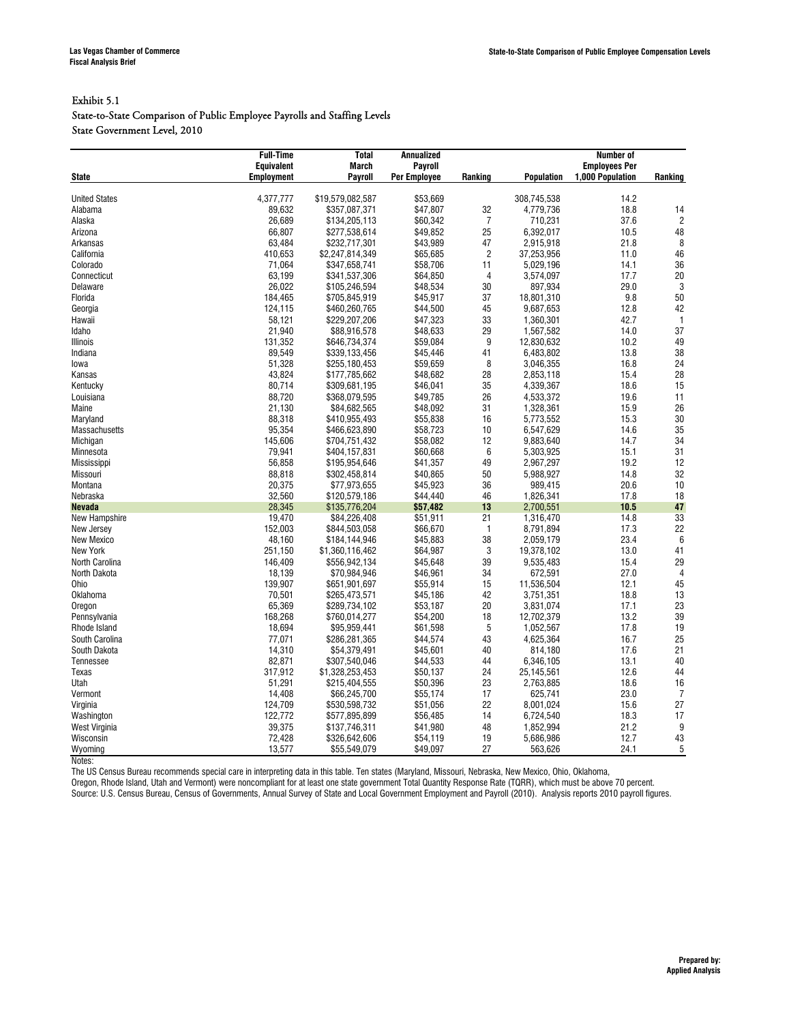#### Exhibit 5.1

State-to-State Comparison of Public Employee Payrolls and Staffing Levels State Government Level, 2010

|                      | <b>Full-Time</b>  | <b>Total</b>     | <b>Annualized</b>   |                | <b>Number of</b>  |                      |                |  |
|----------------------|-------------------|------------------|---------------------|----------------|-------------------|----------------------|----------------|--|
|                      | <b>Equivalent</b> | <b>March</b>     | Payroll             |                |                   | <b>Employees Per</b> |                |  |
| <b>State</b>         | <b>Employment</b> | Payroll          | <b>Per Employee</b> | Ranking        | <b>Population</b> | 1,000 Population     | Ranking        |  |
|                      |                   |                  |                     |                |                   |                      |                |  |
| <b>United States</b> | 4,377,777         | \$19,579,082,587 | \$53,669            |                | 308,745,538       | 14.2                 |                |  |
| Alabama              | 89,632            | \$357,087,371    | \$47,807            | 32             | 4,779,736         | 18.8                 | 14             |  |
| Alaska               | 26,689            | \$134,205,113    | \$60,342            | $\overline{7}$ | 710,231           | 37.6                 | $\overline{c}$ |  |
| Arizona              | 66,807            | \$277,538,614    | \$49,852            | 25             | 6,392,017         | 10.5                 | 48             |  |
| Arkansas             | 63,484            | \$232,717,301    | \$43,989            | 47             | 2,915,918         | 21.8                 | 8              |  |
| California           | 410,653           | \$2,247,814,349  | \$65,685            | $\overline{c}$ | 37,253,956        | 11.0                 | 46             |  |
| Colorado             | 71,064            | \$347,658,741    | \$58,706            | 11             | 5,029,196         | 14.1                 | 36             |  |
| Connecticut          | 63,199            | \$341,537,306    | \$64,850            | $\overline{4}$ | 3,574,097         | 17.7                 | 20             |  |
| Delaware             | 26,022            | \$105,246,594    | \$48,534            | 30             | 897,934           | 29.0                 | $\sqrt{3}$     |  |
| Florida              | 184,465           | \$705,845,919    | \$45,917            | 37             | 18,801,310        | 9.8                  | 50             |  |
| Georgia              | 124,115           | \$460,260,765    | \$44,500            | 45             | 9,687,653         | 12.8                 | 42             |  |
| Hawaii               | 58,121            | \$229,207,206    | \$47,323            | 33             | 1,360,301         | 42.7                 | $\mathbf{1}$   |  |
| Idaho                | 21,940            | \$88,916,578     | \$48,633            | 29             | 1,567,582         | 14.0                 | 37             |  |
| Illinois             | 131,352           | \$646,734,374    | \$59,084            | 9              | 12,830,632        | 10.2                 | 49             |  |
| Indiana              | 89,549            | \$339,133,456    | \$45,446            | 41             | 6,483,802         | 13.8                 | 38             |  |
| lowa                 | 51,328            | \$255,180,453    | \$59,659            | 8              | 3,046,355         | 16.8                 | 24             |  |
| Kansas               | 43,824            | \$177,785,662    | \$48,682            | 28             | 2,853,118         | 15.4                 | 28             |  |
| Kentucky             | 80,714            | \$309,681,195    | \$46,041            | 35             | 4,339,367         | 18.6                 | 15             |  |
| Louisiana            | 88.720            | \$368.079.595    | \$49.785            | 26             | 4,533,372         | 19.6                 | 11             |  |
| Maine                | 21,130            | \$84,682,565     | \$48,092            | 31             | 1,328,361         | 15.9                 | 26             |  |
| Maryland             | 88,318            | \$410,955,493    | \$55,838            | 16             | 5,773,552         | 15.3                 | 30             |  |
| Massachusetts        | 95,354            | \$466,623,890    | \$58,723            | 10             | 6,547,629         | 14.6                 | 35             |  |
| Michigan             | 145,606           | \$704,751,432    | \$58,082            | 12             | 9,883,640         | 14.7                 | 34             |  |
| Minnesota            | 79,941            | \$404,157,831    | \$60,668            | 6              | 5,303,925         | 15.1                 | 31             |  |
| Mississippi          | 56,858            | \$195,954,646    | \$41,357            | 49             | 2,967,297         | 19.2                 | 12             |  |
| Missouri             | 88,818            | \$302,458,814    | \$40,865            | 50             | 5,988,927         | 14.8                 | 32             |  |
| Montana              | 20,375            | \$77,973,655     | \$45,923            | 36             | 989,415           | 20.6                 | 10             |  |
| Nebraska             | 32,560            | \$120,579,186    | \$44,440            | 46             | 1,826,341         | 17.8                 | 18             |  |
| <b>Nevada</b>        | 28,345            | \$135,776,204    | \$57,482            | 13             | 2.700.551         | 10.5                 | 47             |  |
| New Hampshire        | 19,470            | \$84,226,408     | \$51,911            | 21             | 1,316,470         | 14.8                 | 33             |  |
| New Jersey           | 152,003           | \$844,503,058    | \$66,670            | $\mathbf{1}$   | 8,791,894         | 17.3                 | 22             |  |
| New Mexico           | 48,160            | \$184,144,946    | \$45,883            | 38             | 2,059,179         | 23.4                 | 6              |  |
| New York             | 251,150           | \$1,360,116,462  | \$64,987            | 3              | 19,378,102        | 13.0                 | 41             |  |
| North Carolina       | 146,409           | \$556,942,134    | \$45,648            | 39             | 9,535,483         | 15.4                 | 29             |  |
| North Dakota         | 18,139            | \$70,984,946     | \$46,961            | 34             | 672,591           | 27.0                 | $\overline{4}$ |  |
| Ohio                 | 139,907           | \$651,901,697    | \$55,914            | 15             | 11,536,504        | 12.1                 | 45             |  |
| Oklahoma             | 70,501            | \$265,473,571    | \$45,186            | 42             | 3,751,351         | 18.8                 | 13             |  |
| Oregon               | 65,369            | \$289,734,102    | \$53,187            | 20             | 3,831,074         | 17.1                 | 23             |  |
| Pennsylvania         | 168,268           | \$760,014,277    | \$54,200            | 18             | 12,702,379        | 13.2                 | 39             |  |
| Rhode Island         | 18,694            | \$95,959,441     | \$61,598            | 5              | 1,052,567         | 17.8                 | 19             |  |
| South Carolina       | 77,071            | \$286,281,365    | \$44,574            | 43             | 4,625,364         | 16.7                 | 25             |  |
| South Dakota         | 14,310            | \$54,379,491     | \$45,601            | 40             | 814,180           | 17.6                 | 21             |  |
| <b>Tennessee</b>     | 82,871            | \$307,540,046    | \$44,533            | 44             | 6,346,105         | 13.1                 | 40             |  |
| Texas                | 317,912           | \$1,328,253,453  | \$50,137            | 24             | 25,145,561        | 12.6                 | 44             |  |
| Utah                 | 51,291            | \$215,404,555    | \$50,396            | 23             | 2,763,885         | 18.6                 | 16             |  |
| Vermont              | 14,408            | \$66,245,700     | \$55,174            | 17             | 625,741           | 23.0                 | $\overline{7}$ |  |
| Virginia             | 124,709           | \$530,598,732    | \$51,056            | 22             | 8,001,024         | 15.6                 | 27             |  |
| Washington           | 122,772           | \$577,895,899    | \$56,485            | 14             | 6,724,540         | 18.3                 | 17             |  |
| West Virginia        | 39,375            | \$137,746,311    | \$41,980            | 48             | 1,852,994         | 21.2                 | 9              |  |
| Wisconsin            | 72,428            | \$326,642,606    | \$54,119            | 19             | 5,686,986         | 12.7                 | 43             |  |
|                      | 13,577            | \$55,549,079     | \$49,097            | 27             |                   | 24.1                 | 5              |  |
| Wyoming              |                   |                  |                     |                | 563,626           |                      |                |  |

Notes:

The US Census Bureau recommends special care in interpreting data in this table. Ten states (Maryland, Missouri, Nebraska, New Mexico, Ohio, Oklahoma,

Oregon, Rhode Island, Utah and Vermont) were noncompliant for at least one state government Total Quantity Response Rate (TQRR), which must be above 70 percent.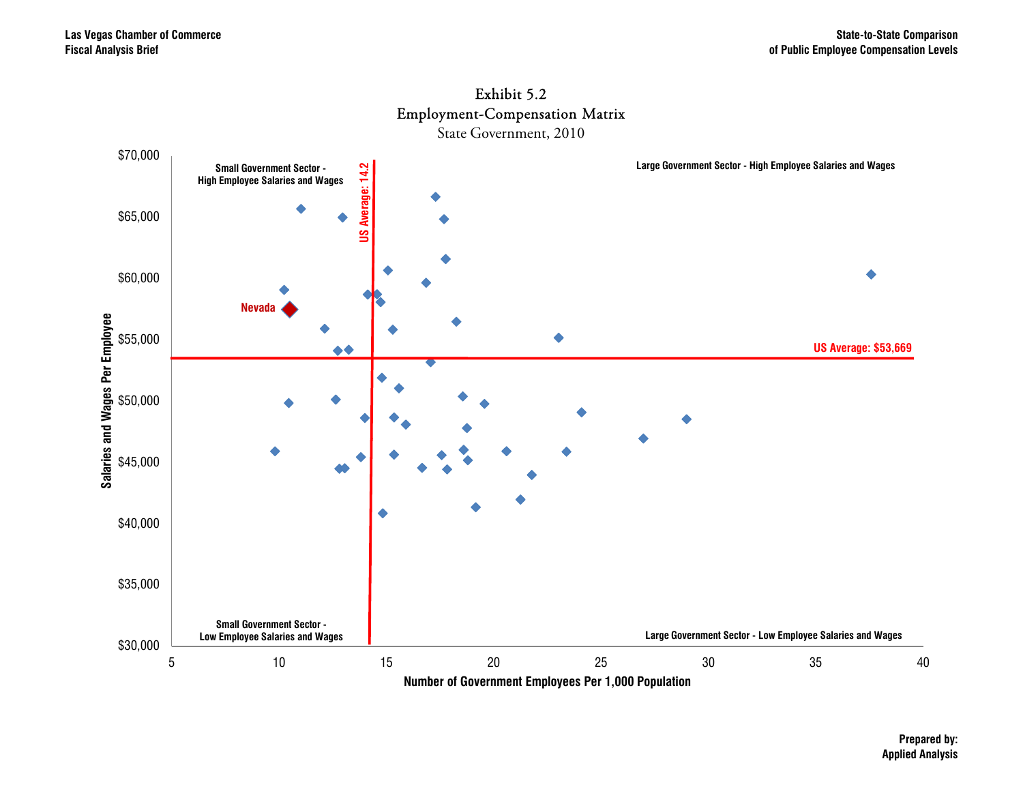

## Exhibit 5.2

**Prepared by: Applied Analysis**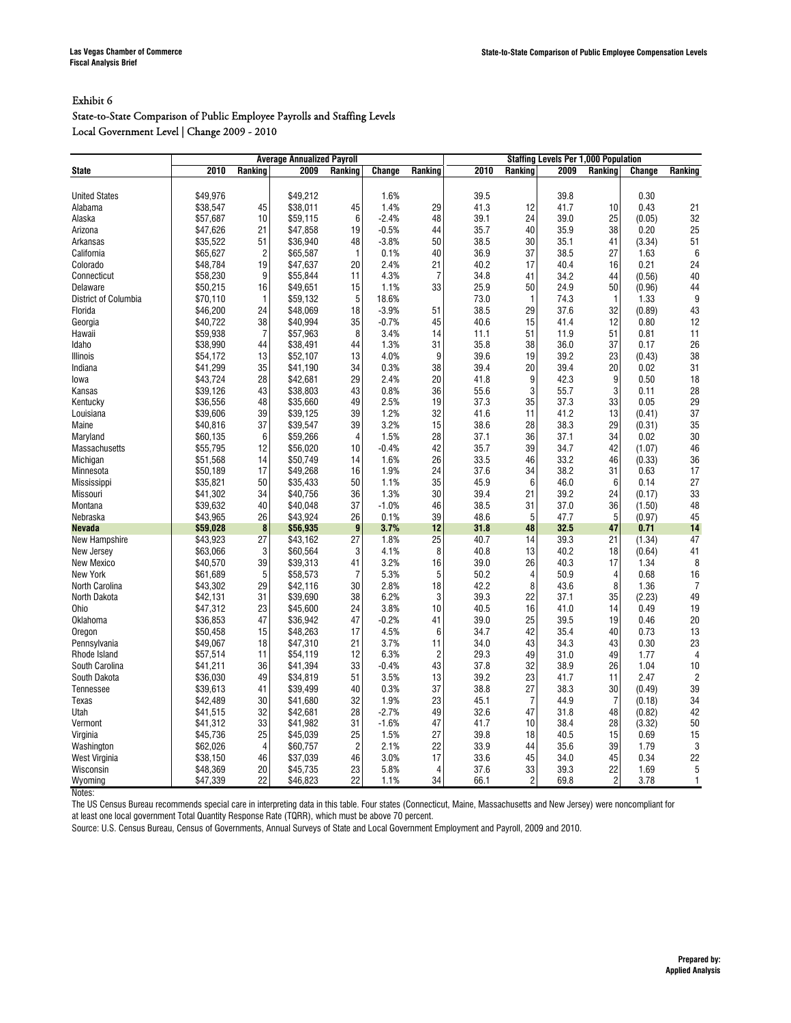#### State-to-State Comparison of Public Employee Payrolls and Staffing Levels Local Government Level | Change 2009 - 2010

|                      | <b>Staffing Levels Per 1,000 Population</b><br><b>Average Annualized Payroll</b> |                |          |                |         |                |      |                 |      |                 |        |                |
|----------------------|----------------------------------------------------------------------------------|----------------|----------|----------------|---------|----------------|------|-----------------|------|-----------------|--------|----------------|
| State                | 2010                                                                             | Ranking        | 2009     | Ranking        | Change  | Ranking        | 2010 | Ranking         | 2009 | Ranking         | Change | Ranking        |
|                      |                                                                                  |                |          |                |         |                |      |                 |      |                 |        |                |
| <b>United States</b> | \$49.976                                                                         |                | \$49,212 |                | 1.6%    |                | 39.5 |                 | 39.8 |                 | 0.30   |                |
| Alabama              | \$38,547                                                                         | 45             | \$38,011 | 45             | 1.4%    | 29             | 41.3 | 12              | 41.7 | 10              | 0.43   | 21             |
| Alaska               | \$57,687                                                                         | 10             | \$59,115 | 6              | $-2.4%$ | 48             | 39.1 | 24              | 39.0 | 25              | (0.05) | 32             |
| Arizona              | \$47.626                                                                         | 21             | \$47.858 | 19             | $-0.5%$ | 44             | 35.7 | 40              | 35.9 | 38              | 0.20   | 25             |
| Arkansas             | \$35,522                                                                         | 51             | \$36,940 | 48             | $-3.8%$ | 50             | 38.5 | 30              | 35.1 | 41              | (3.34) | 51             |
| California           | \$65,627                                                                         | $\overline{c}$ | \$65,587 | $\mathbf{1}$   | 0.1%    | 40             | 36.9 | 37              | 38.5 | 27              | 1.63   | 6              |
| Colorado             | \$48.784                                                                         | 19             | \$47.637 | 20             | 2.4%    | 21             | 40.2 | 17              | 40.4 | 16              | 0.21   | 24             |
| Connecticut          | \$58,230                                                                         | 9              | \$55,844 | 11             | 4.3%    | $\overline{7}$ | 34.8 | 41              | 34.2 | 44              | (0.56) | 40             |
| Delaware             | \$50.215                                                                         | 16             | \$49,651 | 15             | 1.1%    | 33             | 25.9 | 50              | 24.9 | 50              | (0.96) | 44             |
| District of Columbia | \$70.110                                                                         | 1              | \$59.132 | 5              | 18.6%   |                | 73.0 | $\mathbf{1}$    | 74.3 | $\mathbf{1}$    | 1.33   | 9              |
| Florida              | \$46,200                                                                         | 24             | \$48,069 | 18             | $-3.9%$ | 51             | 38.5 | 29              | 37.6 | 32              | (0.89) | 43             |
| Georgia              | \$40,722                                                                         | 38             | \$40,994 | 35             | $-0.7%$ | 45             | 40.6 | 15              | 41.4 | 12              | 0.80   | 12             |
| Hawaii               | \$59,938                                                                         | $\overline{7}$ | \$57,963 | 8              | 3.4%    | 14             | 11.1 | 51              | 11.9 | 51              | 0.81   | 11             |
| Idaho                | \$38,990                                                                         | 44             | \$38,491 | 44             | 1.3%    | 31             | 35.8 | 38              | 36.0 | 37              | 0.17   | 26             |
| Illinois             | \$54,172                                                                         | 13             | \$52,107 | 13             | 4.0%    | 9              | 39.6 | 19              | 39.2 | 23              | (0.43) | 38             |
| Indiana              | \$41,299                                                                         | 35             | \$41,190 | 34             | 0.3%    | 38             | 39.4 | 20              | 39.4 | 20              | 0.02   | 31             |
| lowa                 | \$43,724                                                                         | 28             | \$42,681 | 29             | 2.4%    | 20             | 41.8 | 9               | 42.3 | 9               | 0.50   | 18             |
| Kansas               | \$39,126                                                                         | 43             | \$38,803 | 43             | 0.8%    | 36             | 55.6 | 3               | 55.7 | 3               | 0.11   | 28             |
| Kentucky             | \$36,556                                                                         | 48             | \$35,660 | 49             | 2.5%    | 19             | 37.3 | 35              | 37.3 | 33              | 0.05   | 29             |
| Louisiana            | \$39,606                                                                         | 39             | \$39,125 | 39             | 1.2%    | 32             | 41.6 | 11              | 41.2 | 13              | (0.41) | 37             |
| Maine                | \$40,816                                                                         | 37             | \$39,547 | 39             | 3.2%    | 15             | 38.6 | 28              | 38.3 | 29              | (0.31) | 35             |
| Maryland             | \$60.135                                                                         | 6              | \$59,266 | $\overline{4}$ | 1.5%    | 28             | 37.1 | 36              | 37.1 | 34              | 0.02   | 30             |
| Massachusetts        | \$55,795                                                                         | 12             | \$56,020 | 10             | $-0.4%$ | 42             | 35.7 | 39              | 34.7 | 42              | (1.07) | 46             |
| Michigan             | \$51,568                                                                         | 14             | \$50.749 | 14             | 1.6%    | 26             | 33.5 | 46              | 33.2 | 46              | (0.33) | 36             |
| Minnesota            | \$50,189                                                                         | 17             | \$49,268 | 16             | 1.9%    | 24             | 37.6 | 34              | 38.2 | 31              | 0.63   | 17             |
| Mississippi          | \$35.821                                                                         | 50             | \$35.433 | 50             | 1.1%    | 35             | 45.9 | $6\phantom{1}6$ | 46.0 | $6\phantom{1}6$ | 0.14   | 27             |
| Missouri             | \$41,302                                                                         | 34             | \$40.756 | 36             | 1.3%    | 30             | 39.4 | 21              | 39.2 | 24              | (0.17) | 33             |
| Montana              | \$39,632                                                                         | 40             | \$40,048 | 37             | $-1.0%$ | 46             | 38.5 | 31              | 37.0 | 36              | (1.50) | 48             |
| Nebraska             | \$43,965                                                                         | 26             | \$43,924 | 26             | 0.1%    | 39             | 48.6 | 5               | 47.7 | 5               | (0.97) | 45             |
| <b>Nevada</b>        | \$59,028                                                                         | 8              | \$56,935 | 9              | 3.7%    | 12             | 31.8 | 48              | 32.5 | 47              | 0.71   | 14             |
| New Hampshire        | \$43,923                                                                         | 27             | \$43,162 | 27             | 1.8%    | 25             | 40.7 | 14              | 39.3 | 21              | (1.34) | 47             |
| New Jersey           | \$63,066                                                                         | 3              | \$60,564 | 3              | 4.1%    | 8              | 40.8 | 13              | 40.2 | 18              | (0.64) | 41             |
| New Mexico           | \$40,570                                                                         | 39             | \$39,313 | 41             | 3.2%    | 16             | 39.0 | 26              | 40.3 | 17              | 1.34   | 8              |
| <b>New York</b>      | \$61,689                                                                         | 5              | \$58,573 | $\overline{7}$ | 5.3%    | 5              | 50.2 | $\overline{4}$  | 50.9 | 4               | 0.68   | 16             |
| North Carolina       | \$43,302                                                                         | 29             | \$42,116 | 30             | 2.8%    | 18             | 42.2 | 8               | 43.6 | 8               | 1.36   | $\overline{7}$ |
| North Dakota         | \$42,131                                                                         | 31             | \$39,690 | 38             | 6.2%    | 3              | 39.3 | 22              | 37.1 | 35              | (2.23) | 49             |
| Ohio                 | \$47,312                                                                         | 23             | \$45,600 | 24             | 3.8%    | 10             | 40.5 | 16              | 41.0 | 14              | 0.49   | 19             |
| Oklahoma             | \$36,853                                                                         | 47             | \$36,942 | 47             | $-0.2%$ | 41             | 39.0 | 25              | 39.5 | 19              | 0.46   | 20             |
| Oregon               | \$50,458                                                                         | 15             | \$48,263 | 17             | 4.5%    | 6              | 34.7 | 42              | 35.4 | 40              | 0.73   | 13             |
| Pennsylvania         | \$49,067                                                                         | 18             | \$47,310 | 21             | 3.7%    | 11             | 34.0 | 43              | 34.3 | 43              | 0.30   | 23             |
| Rhode Island         | \$57.514                                                                         | 11             | \$54.119 | 12             | 6.3%    | $\overline{2}$ | 29.3 | 49              | 31.0 | 49              | 1.77   | $\overline{4}$ |
| South Carolina       | \$41,211                                                                         | 36             | \$41,394 | 33             | $-0.4%$ | 43             | 37.8 | 32              | 38.9 | 26              | 1.04   | 10             |
| South Dakota         | \$36,030                                                                         | 49             | \$34,819 | 51             | 3.5%    | 13             | 39.2 | 23              | 41.7 | 11              | 2.47   | $\overline{c}$ |
| Tennessee            | \$39.613                                                                         | 41             | \$39.499 | 40             | 0.3%    | 37             | 38.8 | 27              | 38.3 | 30              | (0.49) | 39             |
| Texas                | \$42,489                                                                         | 30             | \$41,680 | 32             | 1.9%    | 23             | 45.1 | $\overline{7}$  | 44.9 | $\overline{7}$  | (0.18) | 34             |
| Utah                 | \$41.515                                                                         | 32             | \$42,681 | 28             | $-2.7%$ | 49             | 32.6 | 47              | 31.8 | 48              | (0.82) | 42             |
| Vermont              | \$41,312                                                                         | 33             | \$41.982 | 31             | $-1.6%$ | 47             | 41.7 | 10              | 38.4 | 28              | (3.32) | 50             |
| Virginia             | \$45,736                                                                         | 25             | \$45,039 | 25             | 1.5%    | 27             | 39.8 | 18              | 40.5 | 15              | 0.69   | 15             |
| Washington           | \$62,026                                                                         | $\overline{4}$ | \$60,757 | $\overline{c}$ | 2.1%    | 22             | 33.9 | 44              | 35.6 | 39              | 1.79   | 3              |
| West Virginia        | \$38,150                                                                         | 46             | \$37,039 | 46             | 3.0%    | 17             | 33.6 | 45              | 34.0 | 45              | 0.34   | 22             |
| Wisconsin            | \$48,369                                                                         | 20             | \$45,735 | 23             | 5.8%    | $\overline{4}$ | 37.6 | 33              | 39.3 | 22              | 1.69   | 5              |
| Wyoming              | \$47,339                                                                         | 22             | \$46,823 | 22             | 1.1%    | 34             | 66.1 | $\overline{c}$  | 69.8 | $\overline{c}$  | 3.78   | $\mathbf{1}$   |

Notes:

The US Census Bureau recommends special care in interpreting data in this table. Four states (Connecticut, Maine, Massachusetts and New Jersey) were noncompliant for at least one local government Total Quantity Response Rate (TQRR), which must be above 70 percent.

Source: U.S. Census Bureau, Census of Governments, Annual Surveys of State and Local Government Employment and Payroll, 2009 and 2010.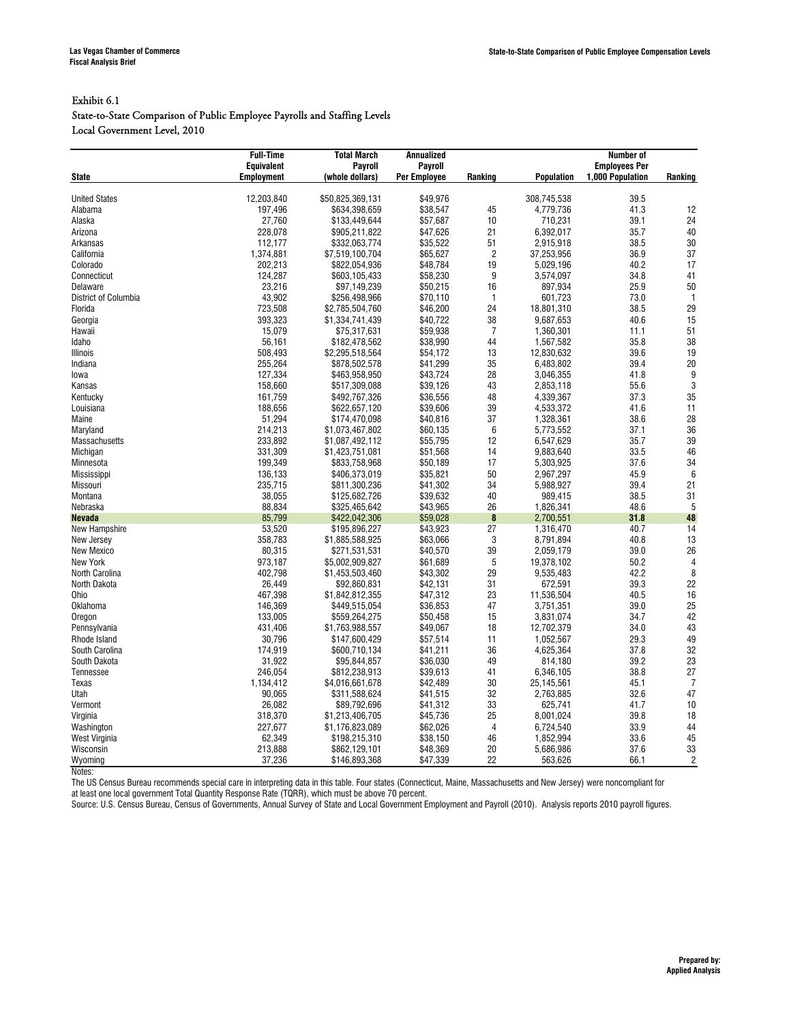#### Exhibit 6.1

State-to-State Comparison of Public Employee Payrolls and Staffing Levels Local Government Level, 2010

| <b>Equivalent</b><br>Payroll<br><b>Employees Per</b><br>Payroll<br><b>Employment</b><br>1,000 Population<br>(whole dollars)<br><b>Per Employee</b><br>Ranking<br><b>Population</b><br><b>State</b><br>Ranking<br>12,203,840<br>\$50,825,369,131<br>\$49,976<br>39.5<br><b>United States</b><br>308,745,538<br>197,496<br>\$38,547<br>45<br>41.3<br>12<br>Alabama<br>\$634,398,659<br>4,779,736<br>10<br>39.1<br>24<br>Alaska<br>27,760<br>\$133,449,644<br>\$57,687<br>710,231<br>21<br>35.7<br>40<br>228.078<br>\$47,626<br>Arizona<br>\$905,211,822<br>6,392,017<br>30<br>38.5<br>112,177<br>\$332,063,774<br>\$35,522<br>51<br>2,915,918<br>Arkansas<br>$\overline{c}$<br>1,374,881<br>37,253,956<br>36.9<br>37<br>California<br>\$7,519,100,704<br>\$65,627<br>19<br>40.2<br>17<br>Colorado<br>202,213<br>\$822.054.936<br>\$48,784<br>5,029,196<br>9<br>34.8<br>41<br>124,287<br>\$58,230<br>Connecticut<br>\$603,105,433<br>3,574,097<br>23,216<br>\$50,215<br>16<br>897,934<br>25.9<br>50<br>Delaware<br>\$97,149,239<br>43,902<br>\$256,498,966<br>$\overline{1}$<br>73.0<br>$\overline{1}$<br>District of Columbia<br>\$70,110<br>601,723<br>723,508<br>24<br>38.5<br>29<br>\$2,785,504,760<br>\$46,200<br>18,801,310<br>Florida<br>393,323<br>38<br>40.6<br>15<br>Georgia<br>\$1,334,741,439<br>\$40,722<br>9,687,653<br>$\overline{7}$<br>51<br>15,079<br>\$59,938<br>11.1<br>\$75,317,631<br>1,360,301<br>Hawaii<br>35.8<br>38<br>56.161<br>\$182,478,562<br>\$38,990<br>44<br>1,567,582<br>Idaho<br>39.6<br>508,493<br>13<br>12,830,632<br>19<br>Illinois<br>\$2,295,518,564<br>\$54,172<br>35<br>39.4<br>20<br>255,264<br>\$41,299<br>6,483,802<br>Indiana<br>\$878,502,578<br>9<br>127,334<br>\$43,724<br>28<br>41.8<br>\$463,958,950<br>3,046,355<br>lowa<br>3<br>158,660<br>\$517,309,088<br>\$39,126<br>43<br>55.6<br>Kansas<br>2,853,118<br>161,759<br>48<br>37.3<br>35<br>\$492,767,326<br>\$36,556<br>4,339,367<br>Kentucky<br>39<br>188,656<br>\$39,606<br>4,533,372<br>41.6<br>11<br>Louisiana<br>\$622,657,120<br>28<br>37<br>38.6<br>51,294<br>\$174,470,098<br>\$40,816<br>1,328,361<br>Maine<br>$6\phantom{1}$<br>36<br>214,213<br>\$60,135<br>37.1<br>Maryland<br>\$1,073,467,802<br>5,773,552<br>39<br>233,892<br>\$55,795<br>12<br>35.7<br>\$1,087,492,112<br>6,547,629<br>Massachusetts<br>46<br>14<br>33.5<br>Michigan<br>331,309<br>\$1,423,751,081<br>\$51,568<br>9,883,640<br>17<br>37.6<br>34<br>199,349<br>\$50,189<br>5.303.925<br>Minnesota<br>\$833,758,968<br>45.9<br>$\boldsymbol{6}$<br>\$35,821<br>50<br>Mississippi<br>136,133<br>\$406,373,019<br>2,967,297<br>34<br>39.4<br>21<br>Missouri<br>235,715<br>\$811,300,236<br>\$41,302<br>5,988,927<br>38,055<br>40<br>38.5<br>31<br>Montana<br>\$125,682,726<br>\$39,632<br>989,415<br>26<br>48.6<br>$5\phantom{.0}$<br>88.834<br>\$43,965<br>1,826,341<br>Nebraska<br>\$325,465,642<br>$\pmb{8}$<br>31.8<br>48<br><b>Nevada</b><br>85,799<br>\$422,042,306<br>\$59,028<br>2,700,551<br>53,520<br>\$43,923<br>27<br>40.7<br>14<br>\$195,896,227<br>1,316,470<br>New Hampshire<br>358,783<br>3<br>40.8<br>13<br>\$1,885,588,925<br>\$63,066<br>8,791,894<br>New Jersey<br>26<br>80,315<br>39<br>39.0<br>New Mexico<br>\$271,531,531<br>\$40,570<br>2,059,179<br>$5\phantom{.0}$<br>$\overline{4}$<br>973,187<br>\$61,689<br>50.2<br>New York<br>\$5,002,909,827<br>19,378,102<br>8<br>402,798<br>\$43,302<br>29<br>42.2<br>North Carolina<br>\$1,453,503,460<br>9,535,483<br>22<br>26,449<br>31<br>39.3<br>North Dakota<br>\$92,860,831<br>\$42,131<br>672,591<br>467.398<br>\$47.312<br>23<br>40.5<br>16<br>\$1.842.812.355<br>11.536.504<br>Ohio<br>25<br>146,369<br>\$36,853<br>47<br>3,751,351<br>39.0<br>Oklahoma<br>\$449,515,054<br>42<br>34.7<br>133,005<br>15<br>Oregon<br>\$559,264,275<br>\$50,458<br>3,831,074<br>43<br>431,406<br>\$49,067<br>18<br>34.0<br>Pennsylvania<br>\$1,763,988,557<br>12,702,379<br>29.3<br>49<br>30,796<br>\$57,514<br>11<br>1,052,567<br>Rhode Island<br>\$147,600,429<br>32<br>174,919<br>36<br>37.8<br>South Carolina<br>\$41,211<br>4,625,364<br>\$600,710,134<br>39.2<br>23<br>31,922<br>\$36,030<br>49<br>South Dakota<br>\$95,844,857<br>814,180<br>27<br>246,054<br>41<br>38.8<br>\$812,238,913<br>\$39,613<br>6,346,105<br><b>Tennessee</b><br>$\overline{7}$<br>30<br>45.1<br>Texas<br>1,134,412<br>\$42,489<br>25,145,561<br>\$4,016,661,678<br>32<br>32.6<br>47<br>90,065<br>\$311,588,624<br>\$41,515<br>2,763,885<br>Utah<br>26,082<br>\$89,792,696<br>\$41,312<br>33<br>625,741<br>41.7<br>10<br>Vermont<br>25<br>39.8<br>318,370<br>\$45,736<br>18<br>Virginia<br>\$1,213,406,705<br>8,001,024<br>4<br>33.9<br>44<br>Washington<br>227,677<br>\$1,176,823,089<br>\$62,026<br>6,724,540 |               | <b>Full-Time</b> | <b>Total March</b><br><b>Annualized</b> |          |    | <b>Number of</b> |      |    |  |
|------------------------------------------------------------------------------------------------------------------------------------------------------------------------------------------------------------------------------------------------------------------------------------------------------------------------------------------------------------------------------------------------------------------------------------------------------------------------------------------------------------------------------------------------------------------------------------------------------------------------------------------------------------------------------------------------------------------------------------------------------------------------------------------------------------------------------------------------------------------------------------------------------------------------------------------------------------------------------------------------------------------------------------------------------------------------------------------------------------------------------------------------------------------------------------------------------------------------------------------------------------------------------------------------------------------------------------------------------------------------------------------------------------------------------------------------------------------------------------------------------------------------------------------------------------------------------------------------------------------------------------------------------------------------------------------------------------------------------------------------------------------------------------------------------------------------------------------------------------------------------------------------------------------------------------------------------------------------------------------------------------------------------------------------------------------------------------------------------------------------------------------------------------------------------------------------------------------------------------------------------------------------------------------------------------------------------------------------------------------------------------------------------------------------------------------------------------------------------------------------------------------------------------------------------------------------------------------------------------------------------------------------------------------------------------------------------------------------------------------------------------------------------------------------------------------------------------------------------------------------------------------------------------------------------------------------------------------------------------------------------------------------------------------------------------------------------------------------------------------------------------------------------------------------------------------------------------------------------------------------------------------------------------------------------------------------------------------------------------------------------------------------------------------------------------------------------------------------------------------------------------------------------------------------------------------------------------------------------------------------------------------------------------------------------------------------------------------------------------------------------------------------------------------------------------------------------------------------------------------------------------------------------------------------------------------------------------------------------------------------------------------------------------------------------------------------------------------------------------------------------------------------------------------------------------------------------------------------------------------------------------------------------------------------------------------------------------------------------------------------------------------------------------------------------------------------------------------------------------------------------------------------------------------------------------------------------------------------------------------------------------------------------------------------------------------------------------------------------------------|---------------|------------------|-----------------------------------------|----------|----|------------------|------|----|--|
|                                                                                                                                                                                                                                                                                                                                                                                                                                                                                                                                                                                                                                                                                                                                                                                                                                                                                                                                                                                                                                                                                                                                                                                                                                                                                                                                                                                                                                                                                                                                                                                                                                                                                                                                                                                                                                                                                                                                                                                                                                                                                                                                                                                                                                                                                                                                                                                                                                                                                                                                                                                                                                                                                                                                                                                                                                                                                                                                                                                                                                                                                                                                                                                                                                                                                                                                                                                                                                                                                                                                                                                                                                                                                                                                                                                                                                                                                                                                                                                                                                                                                                                                                                                                                                                                                                                                                                                                                                                                                                                                                                                                                                                                                                                                          |               |                  |                                         |          |    |                  |      |    |  |
|                                                                                                                                                                                                                                                                                                                                                                                                                                                                                                                                                                                                                                                                                                                                                                                                                                                                                                                                                                                                                                                                                                                                                                                                                                                                                                                                                                                                                                                                                                                                                                                                                                                                                                                                                                                                                                                                                                                                                                                                                                                                                                                                                                                                                                                                                                                                                                                                                                                                                                                                                                                                                                                                                                                                                                                                                                                                                                                                                                                                                                                                                                                                                                                                                                                                                                                                                                                                                                                                                                                                                                                                                                                                                                                                                                                                                                                                                                                                                                                                                                                                                                                                                                                                                                                                                                                                                                                                                                                                                                                                                                                                                                                                                                                                          |               |                  |                                         |          |    |                  |      |    |  |
|                                                                                                                                                                                                                                                                                                                                                                                                                                                                                                                                                                                                                                                                                                                                                                                                                                                                                                                                                                                                                                                                                                                                                                                                                                                                                                                                                                                                                                                                                                                                                                                                                                                                                                                                                                                                                                                                                                                                                                                                                                                                                                                                                                                                                                                                                                                                                                                                                                                                                                                                                                                                                                                                                                                                                                                                                                                                                                                                                                                                                                                                                                                                                                                                                                                                                                                                                                                                                                                                                                                                                                                                                                                                                                                                                                                                                                                                                                                                                                                                                                                                                                                                                                                                                                                                                                                                                                                                                                                                                                                                                                                                                                                                                                                                          |               |                  |                                         |          |    |                  |      |    |  |
|                                                                                                                                                                                                                                                                                                                                                                                                                                                                                                                                                                                                                                                                                                                                                                                                                                                                                                                                                                                                                                                                                                                                                                                                                                                                                                                                                                                                                                                                                                                                                                                                                                                                                                                                                                                                                                                                                                                                                                                                                                                                                                                                                                                                                                                                                                                                                                                                                                                                                                                                                                                                                                                                                                                                                                                                                                                                                                                                                                                                                                                                                                                                                                                                                                                                                                                                                                                                                                                                                                                                                                                                                                                                                                                                                                                                                                                                                                                                                                                                                                                                                                                                                                                                                                                                                                                                                                                                                                                                                                                                                                                                                                                                                                                                          |               |                  |                                         |          |    |                  |      |    |  |
|                                                                                                                                                                                                                                                                                                                                                                                                                                                                                                                                                                                                                                                                                                                                                                                                                                                                                                                                                                                                                                                                                                                                                                                                                                                                                                                                                                                                                                                                                                                                                                                                                                                                                                                                                                                                                                                                                                                                                                                                                                                                                                                                                                                                                                                                                                                                                                                                                                                                                                                                                                                                                                                                                                                                                                                                                                                                                                                                                                                                                                                                                                                                                                                                                                                                                                                                                                                                                                                                                                                                                                                                                                                                                                                                                                                                                                                                                                                                                                                                                                                                                                                                                                                                                                                                                                                                                                                                                                                                                                                                                                                                                                                                                                                                          |               |                  |                                         |          |    |                  |      |    |  |
|                                                                                                                                                                                                                                                                                                                                                                                                                                                                                                                                                                                                                                                                                                                                                                                                                                                                                                                                                                                                                                                                                                                                                                                                                                                                                                                                                                                                                                                                                                                                                                                                                                                                                                                                                                                                                                                                                                                                                                                                                                                                                                                                                                                                                                                                                                                                                                                                                                                                                                                                                                                                                                                                                                                                                                                                                                                                                                                                                                                                                                                                                                                                                                                                                                                                                                                                                                                                                                                                                                                                                                                                                                                                                                                                                                                                                                                                                                                                                                                                                                                                                                                                                                                                                                                                                                                                                                                                                                                                                                                                                                                                                                                                                                                                          |               |                  |                                         |          |    |                  |      |    |  |
|                                                                                                                                                                                                                                                                                                                                                                                                                                                                                                                                                                                                                                                                                                                                                                                                                                                                                                                                                                                                                                                                                                                                                                                                                                                                                                                                                                                                                                                                                                                                                                                                                                                                                                                                                                                                                                                                                                                                                                                                                                                                                                                                                                                                                                                                                                                                                                                                                                                                                                                                                                                                                                                                                                                                                                                                                                                                                                                                                                                                                                                                                                                                                                                                                                                                                                                                                                                                                                                                                                                                                                                                                                                                                                                                                                                                                                                                                                                                                                                                                                                                                                                                                                                                                                                                                                                                                                                                                                                                                                                                                                                                                                                                                                                                          |               |                  |                                         |          |    |                  |      |    |  |
|                                                                                                                                                                                                                                                                                                                                                                                                                                                                                                                                                                                                                                                                                                                                                                                                                                                                                                                                                                                                                                                                                                                                                                                                                                                                                                                                                                                                                                                                                                                                                                                                                                                                                                                                                                                                                                                                                                                                                                                                                                                                                                                                                                                                                                                                                                                                                                                                                                                                                                                                                                                                                                                                                                                                                                                                                                                                                                                                                                                                                                                                                                                                                                                                                                                                                                                                                                                                                                                                                                                                                                                                                                                                                                                                                                                                                                                                                                                                                                                                                                                                                                                                                                                                                                                                                                                                                                                                                                                                                                                                                                                                                                                                                                                                          |               |                  |                                         |          |    |                  |      |    |  |
|                                                                                                                                                                                                                                                                                                                                                                                                                                                                                                                                                                                                                                                                                                                                                                                                                                                                                                                                                                                                                                                                                                                                                                                                                                                                                                                                                                                                                                                                                                                                                                                                                                                                                                                                                                                                                                                                                                                                                                                                                                                                                                                                                                                                                                                                                                                                                                                                                                                                                                                                                                                                                                                                                                                                                                                                                                                                                                                                                                                                                                                                                                                                                                                                                                                                                                                                                                                                                                                                                                                                                                                                                                                                                                                                                                                                                                                                                                                                                                                                                                                                                                                                                                                                                                                                                                                                                                                                                                                                                                                                                                                                                                                                                                                                          |               |                  |                                         |          |    |                  |      |    |  |
|                                                                                                                                                                                                                                                                                                                                                                                                                                                                                                                                                                                                                                                                                                                                                                                                                                                                                                                                                                                                                                                                                                                                                                                                                                                                                                                                                                                                                                                                                                                                                                                                                                                                                                                                                                                                                                                                                                                                                                                                                                                                                                                                                                                                                                                                                                                                                                                                                                                                                                                                                                                                                                                                                                                                                                                                                                                                                                                                                                                                                                                                                                                                                                                                                                                                                                                                                                                                                                                                                                                                                                                                                                                                                                                                                                                                                                                                                                                                                                                                                                                                                                                                                                                                                                                                                                                                                                                                                                                                                                                                                                                                                                                                                                                                          |               |                  |                                         |          |    |                  |      |    |  |
|                                                                                                                                                                                                                                                                                                                                                                                                                                                                                                                                                                                                                                                                                                                                                                                                                                                                                                                                                                                                                                                                                                                                                                                                                                                                                                                                                                                                                                                                                                                                                                                                                                                                                                                                                                                                                                                                                                                                                                                                                                                                                                                                                                                                                                                                                                                                                                                                                                                                                                                                                                                                                                                                                                                                                                                                                                                                                                                                                                                                                                                                                                                                                                                                                                                                                                                                                                                                                                                                                                                                                                                                                                                                                                                                                                                                                                                                                                                                                                                                                                                                                                                                                                                                                                                                                                                                                                                                                                                                                                                                                                                                                                                                                                                                          |               |                  |                                         |          |    |                  |      |    |  |
|                                                                                                                                                                                                                                                                                                                                                                                                                                                                                                                                                                                                                                                                                                                                                                                                                                                                                                                                                                                                                                                                                                                                                                                                                                                                                                                                                                                                                                                                                                                                                                                                                                                                                                                                                                                                                                                                                                                                                                                                                                                                                                                                                                                                                                                                                                                                                                                                                                                                                                                                                                                                                                                                                                                                                                                                                                                                                                                                                                                                                                                                                                                                                                                                                                                                                                                                                                                                                                                                                                                                                                                                                                                                                                                                                                                                                                                                                                                                                                                                                                                                                                                                                                                                                                                                                                                                                                                                                                                                                                                                                                                                                                                                                                                                          |               |                  |                                         |          |    |                  |      |    |  |
|                                                                                                                                                                                                                                                                                                                                                                                                                                                                                                                                                                                                                                                                                                                                                                                                                                                                                                                                                                                                                                                                                                                                                                                                                                                                                                                                                                                                                                                                                                                                                                                                                                                                                                                                                                                                                                                                                                                                                                                                                                                                                                                                                                                                                                                                                                                                                                                                                                                                                                                                                                                                                                                                                                                                                                                                                                                                                                                                                                                                                                                                                                                                                                                                                                                                                                                                                                                                                                                                                                                                                                                                                                                                                                                                                                                                                                                                                                                                                                                                                                                                                                                                                                                                                                                                                                                                                                                                                                                                                                                                                                                                                                                                                                                                          |               |                  |                                         |          |    |                  |      |    |  |
|                                                                                                                                                                                                                                                                                                                                                                                                                                                                                                                                                                                                                                                                                                                                                                                                                                                                                                                                                                                                                                                                                                                                                                                                                                                                                                                                                                                                                                                                                                                                                                                                                                                                                                                                                                                                                                                                                                                                                                                                                                                                                                                                                                                                                                                                                                                                                                                                                                                                                                                                                                                                                                                                                                                                                                                                                                                                                                                                                                                                                                                                                                                                                                                                                                                                                                                                                                                                                                                                                                                                                                                                                                                                                                                                                                                                                                                                                                                                                                                                                                                                                                                                                                                                                                                                                                                                                                                                                                                                                                                                                                                                                                                                                                                                          |               |                  |                                         |          |    |                  |      |    |  |
|                                                                                                                                                                                                                                                                                                                                                                                                                                                                                                                                                                                                                                                                                                                                                                                                                                                                                                                                                                                                                                                                                                                                                                                                                                                                                                                                                                                                                                                                                                                                                                                                                                                                                                                                                                                                                                                                                                                                                                                                                                                                                                                                                                                                                                                                                                                                                                                                                                                                                                                                                                                                                                                                                                                                                                                                                                                                                                                                                                                                                                                                                                                                                                                                                                                                                                                                                                                                                                                                                                                                                                                                                                                                                                                                                                                                                                                                                                                                                                                                                                                                                                                                                                                                                                                                                                                                                                                                                                                                                                                                                                                                                                                                                                                                          |               |                  |                                         |          |    |                  |      |    |  |
|                                                                                                                                                                                                                                                                                                                                                                                                                                                                                                                                                                                                                                                                                                                                                                                                                                                                                                                                                                                                                                                                                                                                                                                                                                                                                                                                                                                                                                                                                                                                                                                                                                                                                                                                                                                                                                                                                                                                                                                                                                                                                                                                                                                                                                                                                                                                                                                                                                                                                                                                                                                                                                                                                                                                                                                                                                                                                                                                                                                                                                                                                                                                                                                                                                                                                                                                                                                                                                                                                                                                                                                                                                                                                                                                                                                                                                                                                                                                                                                                                                                                                                                                                                                                                                                                                                                                                                                                                                                                                                                                                                                                                                                                                                                                          |               |                  |                                         |          |    |                  |      |    |  |
|                                                                                                                                                                                                                                                                                                                                                                                                                                                                                                                                                                                                                                                                                                                                                                                                                                                                                                                                                                                                                                                                                                                                                                                                                                                                                                                                                                                                                                                                                                                                                                                                                                                                                                                                                                                                                                                                                                                                                                                                                                                                                                                                                                                                                                                                                                                                                                                                                                                                                                                                                                                                                                                                                                                                                                                                                                                                                                                                                                                                                                                                                                                                                                                                                                                                                                                                                                                                                                                                                                                                                                                                                                                                                                                                                                                                                                                                                                                                                                                                                                                                                                                                                                                                                                                                                                                                                                                                                                                                                                                                                                                                                                                                                                                                          |               |                  |                                         |          |    |                  |      |    |  |
|                                                                                                                                                                                                                                                                                                                                                                                                                                                                                                                                                                                                                                                                                                                                                                                                                                                                                                                                                                                                                                                                                                                                                                                                                                                                                                                                                                                                                                                                                                                                                                                                                                                                                                                                                                                                                                                                                                                                                                                                                                                                                                                                                                                                                                                                                                                                                                                                                                                                                                                                                                                                                                                                                                                                                                                                                                                                                                                                                                                                                                                                                                                                                                                                                                                                                                                                                                                                                                                                                                                                                                                                                                                                                                                                                                                                                                                                                                                                                                                                                                                                                                                                                                                                                                                                                                                                                                                                                                                                                                                                                                                                                                                                                                                                          |               |                  |                                         |          |    |                  |      |    |  |
|                                                                                                                                                                                                                                                                                                                                                                                                                                                                                                                                                                                                                                                                                                                                                                                                                                                                                                                                                                                                                                                                                                                                                                                                                                                                                                                                                                                                                                                                                                                                                                                                                                                                                                                                                                                                                                                                                                                                                                                                                                                                                                                                                                                                                                                                                                                                                                                                                                                                                                                                                                                                                                                                                                                                                                                                                                                                                                                                                                                                                                                                                                                                                                                                                                                                                                                                                                                                                                                                                                                                                                                                                                                                                                                                                                                                                                                                                                                                                                                                                                                                                                                                                                                                                                                                                                                                                                                                                                                                                                                                                                                                                                                                                                                                          |               |                  |                                         |          |    |                  |      |    |  |
|                                                                                                                                                                                                                                                                                                                                                                                                                                                                                                                                                                                                                                                                                                                                                                                                                                                                                                                                                                                                                                                                                                                                                                                                                                                                                                                                                                                                                                                                                                                                                                                                                                                                                                                                                                                                                                                                                                                                                                                                                                                                                                                                                                                                                                                                                                                                                                                                                                                                                                                                                                                                                                                                                                                                                                                                                                                                                                                                                                                                                                                                                                                                                                                                                                                                                                                                                                                                                                                                                                                                                                                                                                                                                                                                                                                                                                                                                                                                                                                                                                                                                                                                                                                                                                                                                                                                                                                                                                                                                                                                                                                                                                                                                                                                          |               |                  |                                         |          |    |                  |      |    |  |
|                                                                                                                                                                                                                                                                                                                                                                                                                                                                                                                                                                                                                                                                                                                                                                                                                                                                                                                                                                                                                                                                                                                                                                                                                                                                                                                                                                                                                                                                                                                                                                                                                                                                                                                                                                                                                                                                                                                                                                                                                                                                                                                                                                                                                                                                                                                                                                                                                                                                                                                                                                                                                                                                                                                                                                                                                                                                                                                                                                                                                                                                                                                                                                                                                                                                                                                                                                                                                                                                                                                                                                                                                                                                                                                                                                                                                                                                                                                                                                                                                                                                                                                                                                                                                                                                                                                                                                                                                                                                                                                                                                                                                                                                                                                                          |               |                  |                                         |          |    |                  |      |    |  |
|                                                                                                                                                                                                                                                                                                                                                                                                                                                                                                                                                                                                                                                                                                                                                                                                                                                                                                                                                                                                                                                                                                                                                                                                                                                                                                                                                                                                                                                                                                                                                                                                                                                                                                                                                                                                                                                                                                                                                                                                                                                                                                                                                                                                                                                                                                                                                                                                                                                                                                                                                                                                                                                                                                                                                                                                                                                                                                                                                                                                                                                                                                                                                                                                                                                                                                                                                                                                                                                                                                                                                                                                                                                                                                                                                                                                                                                                                                                                                                                                                                                                                                                                                                                                                                                                                                                                                                                                                                                                                                                                                                                                                                                                                                                                          |               |                  |                                         |          |    |                  |      |    |  |
|                                                                                                                                                                                                                                                                                                                                                                                                                                                                                                                                                                                                                                                                                                                                                                                                                                                                                                                                                                                                                                                                                                                                                                                                                                                                                                                                                                                                                                                                                                                                                                                                                                                                                                                                                                                                                                                                                                                                                                                                                                                                                                                                                                                                                                                                                                                                                                                                                                                                                                                                                                                                                                                                                                                                                                                                                                                                                                                                                                                                                                                                                                                                                                                                                                                                                                                                                                                                                                                                                                                                                                                                                                                                                                                                                                                                                                                                                                                                                                                                                                                                                                                                                                                                                                                                                                                                                                                                                                                                                                                                                                                                                                                                                                                                          |               |                  |                                         |          |    |                  |      |    |  |
|                                                                                                                                                                                                                                                                                                                                                                                                                                                                                                                                                                                                                                                                                                                                                                                                                                                                                                                                                                                                                                                                                                                                                                                                                                                                                                                                                                                                                                                                                                                                                                                                                                                                                                                                                                                                                                                                                                                                                                                                                                                                                                                                                                                                                                                                                                                                                                                                                                                                                                                                                                                                                                                                                                                                                                                                                                                                                                                                                                                                                                                                                                                                                                                                                                                                                                                                                                                                                                                                                                                                                                                                                                                                                                                                                                                                                                                                                                                                                                                                                                                                                                                                                                                                                                                                                                                                                                                                                                                                                                                                                                                                                                                                                                                                          |               |                  |                                         |          |    |                  |      |    |  |
|                                                                                                                                                                                                                                                                                                                                                                                                                                                                                                                                                                                                                                                                                                                                                                                                                                                                                                                                                                                                                                                                                                                                                                                                                                                                                                                                                                                                                                                                                                                                                                                                                                                                                                                                                                                                                                                                                                                                                                                                                                                                                                                                                                                                                                                                                                                                                                                                                                                                                                                                                                                                                                                                                                                                                                                                                                                                                                                                                                                                                                                                                                                                                                                                                                                                                                                                                                                                                                                                                                                                                                                                                                                                                                                                                                                                                                                                                                                                                                                                                                                                                                                                                                                                                                                                                                                                                                                                                                                                                                                                                                                                                                                                                                                                          |               |                  |                                         |          |    |                  |      |    |  |
|                                                                                                                                                                                                                                                                                                                                                                                                                                                                                                                                                                                                                                                                                                                                                                                                                                                                                                                                                                                                                                                                                                                                                                                                                                                                                                                                                                                                                                                                                                                                                                                                                                                                                                                                                                                                                                                                                                                                                                                                                                                                                                                                                                                                                                                                                                                                                                                                                                                                                                                                                                                                                                                                                                                                                                                                                                                                                                                                                                                                                                                                                                                                                                                                                                                                                                                                                                                                                                                                                                                                                                                                                                                                                                                                                                                                                                                                                                                                                                                                                                                                                                                                                                                                                                                                                                                                                                                                                                                                                                                                                                                                                                                                                                                                          |               |                  |                                         |          |    |                  |      |    |  |
|                                                                                                                                                                                                                                                                                                                                                                                                                                                                                                                                                                                                                                                                                                                                                                                                                                                                                                                                                                                                                                                                                                                                                                                                                                                                                                                                                                                                                                                                                                                                                                                                                                                                                                                                                                                                                                                                                                                                                                                                                                                                                                                                                                                                                                                                                                                                                                                                                                                                                                                                                                                                                                                                                                                                                                                                                                                                                                                                                                                                                                                                                                                                                                                                                                                                                                                                                                                                                                                                                                                                                                                                                                                                                                                                                                                                                                                                                                                                                                                                                                                                                                                                                                                                                                                                                                                                                                                                                                                                                                                                                                                                                                                                                                                                          |               |                  |                                         |          |    |                  |      |    |  |
|                                                                                                                                                                                                                                                                                                                                                                                                                                                                                                                                                                                                                                                                                                                                                                                                                                                                                                                                                                                                                                                                                                                                                                                                                                                                                                                                                                                                                                                                                                                                                                                                                                                                                                                                                                                                                                                                                                                                                                                                                                                                                                                                                                                                                                                                                                                                                                                                                                                                                                                                                                                                                                                                                                                                                                                                                                                                                                                                                                                                                                                                                                                                                                                                                                                                                                                                                                                                                                                                                                                                                                                                                                                                                                                                                                                                                                                                                                                                                                                                                                                                                                                                                                                                                                                                                                                                                                                                                                                                                                                                                                                                                                                                                                                                          |               |                  |                                         |          |    |                  |      |    |  |
|                                                                                                                                                                                                                                                                                                                                                                                                                                                                                                                                                                                                                                                                                                                                                                                                                                                                                                                                                                                                                                                                                                                                                                                                                                                                                                                                                                                                                                                                                                                                                                                                                                                                                                                                                                                                                                                                                                                                                                                                                                                                                                                                                                                                                                                                                                                                                                                                                                                                                                                                                                                                                                                                                                                                                                                                                                                                                                                                                                                                                                                                                                                                                                                                                                                                                                                                                                                                                                                                                                                                                                                                                                                                                                                                                                                                                                                                                                                                                                                                                                                                                                                                                                                                                                                                                                                                                                                                                                                                                                                                                                                                                                                                                                                                          |               |                  |                                         |          |    |                  |      |    |  |
|                                                                                                                                                                                                                                                                                                                                                                                                                                                                                                                                                                                                                                                                                                                                                                                                                                                                                                                                                                                                                                                                                                                                                                                                                                                                                                                                                                                                                                                                                                                                                                                                                                                                                                                                                                                                                                                                                                                                                                                                                                                                                                                                                                                                                                                                                                                                                                                                                                                                                                                                                                                                                                                                                                                                                                                                                                                                                                                                                                                                                                                                                                                                                                                                                                                                                                                                                                                                                                                                                                                                                                                                                                                                                                                                                                                                                                                                                                                                                                                                                                                                                                                                                                                                                                                                                                                                                                                                                                                                                                                                                                                                                                                                                                                                          |               |                  |                                         |          |    |                  |      |    |  |
|                                                                                                                                                                                                                                                                                                                                                                                                                                                                                                                                                                                                                                                                                                                                                                                                                                                                                                                                                                                                                                                                                                                                                                                                                                                                                                                                                                                                                                                                                                                                                                                                                                                                                                                                                                                                                                                                                                                                                                                                                                                                                                                                                                                                                                                                                                                                                                                                                                                                                                                                                                                                                                                                                                                                                                                                                                                                                                                                                                                                                                                                                                                                                                                                                                                                                                                                                                                                                                                                                                                                                                                                                                                                                                                                                                                                                                                                                                                                                                                                                                                                                                                                                                                                                                                                                                                                                                                                                                                                                                                                                                                                                                                                                                                                          |               |                  |                                         |          |    |                  |      |    |  |
|                                                                                                                                                                                                                                                                                                                                                                                                                                                                                                                                                                                                                                                                                                                                                                                                                                                                                                                                                                                                                                                                                                                                                                                                                                                                                                                                                                                                                                                                                                                                                                                                                                                                                                                                                                                                                                                                                                                                                                                                                                                                                                                                                                                                                                                                                                                                                                                                                                                                                                                                                                                                                                                                                                                                                                                                                                                                                                                                                                                                                                                                                                                                                                                                                                                                                                                                                                                                                                                                                                                                                                                                                                                                                                                                                                                                                                                                                                                                                                                                                                                                                                                                                                                                                                                                                                                                                                                                                                                                                                                                                                                                                                                                                                                                          |               |                  |                                         |          |    |                  |      |    |  |
|                                                                                                                                                                                                                                                                                                                                                                                                                                                                                                                                                                                                                                                                                                                                                                                                                                                                                                                                                                                                                                                                                                                                                                                                                                                                                                                                                                                                                                                                                                                                                                                                                                                                                                                                                                                                                                                                                                                                                                                                                                                                                                                                                                                                                                                                                                                                                                                                                                                                                                                                                                                                                                                                                                                                                                                                                                                                                                                                                                                                                                                                                                                                                                                                                                                                                                                                                                                                                                                                                                                                                                                                                                                                                                                                                                                                                                                                                                                                                                                                                                                                                                                                                                                                                                                                                                                                                                                                                                                                                                                                                                                                                                                                                                                                          |               |                  |                                         |          |    |                  |      |    |  |
|                                                                                                                                                                                                                                                                                                                                                                                                                                                                                                                                                                                                                                                                                                                                                                                                                                                                                                                                                                                                                                                                                                                                                                                                                                                                                                                                                                                                                                                                                                                                                                                                                                                                                                                                                                                                                                                                                                                                                                                                                                                                                                                                                                                                                                                                                                                                                                                                                                                                                                                                                                                                                                                                                                                                                                                                                                                                                                                                                                                                                                                                                                                                                                                                                                                                                                                                                                                                                                                                                                                                                                                                                                                                                                                                                                                                                                                                                                                                                                                                                                                                                                                                                                                                                                                                                                                                                                                                                                                                                                                                                                                                                                                                                                                                          |               |                  |                                         |          |    |                  |      |    |  |
|                                                                                                                                                                                                                                                                                                                                                                                                                                                                                                                                                                                                                                                                                                                                                                                                                                                                                                                                                                                                                                                                                                                                                                                                                                                                                                                                                                                                                                                                                                                                                                                                                                                                                                                                                                                                                                                                                                                                                                                                                                                                                                                                                                                                                                                                                                                                                                                                                                                                                                                                                                                                                                                                                                                                                                                                                                                                                                                                                                                                                                                                                                                                                                                                                                                                                                                                                                                                                                                                                                                                                                                                                                                                                                                                                                                                                                                                                                                                                                                                                                                                                                                                                                                                                                                                                                                                                                                                                                                                                                                                                                                                                                                                                                                                          |               |                  |                                         |          |    |                  |      |    |  |
|                                                                                                                                                                                                                                                                                                                                                                                                                                                                                                                                                                                                                                                                                                                                                                                                                                                                                                                                                                                                                                                                                                                                                                                                                                                                                                                                                                                                                                                                                                                                                                                                                                                                                                                                                                                                                                                                                                                                                                                                                                                                                                                                                                                                                                                                                                                                                                                                                                                                                                                                                                                                                                                                                                                                                                                                                                                                                                                                                                                                                                                                                                                                                                                                                                                                                                                                                                                                                                                                                                                                                                                                                                                                                                                                                                                                                                                                                                                                                                                                                                                                                                                                                                                                                                                                                                                                                                                                                                                                                                                                                                                                                                                                                                                                          |               |                  |                                         |          |    |                  |      |    |  |
|                                                                                                                                                                                                                                                                                                                                                                                                                                                                                                                                                                                                                                                                                                                                                                                                                                                                                                                                                                                                                                                                                                                                                                                                                                                                                                                                                                                                                                                                                                                                                                                                                                                                                                                                                                                                                                                                                                                                                                                                                                                                                                                                                                                                                                                                                                                                                                                                                                                                                                                                                                                                                                                                                                                                                                                                                                                                                                                                                                                                                                                                                                                                                                                                                                                                                                                                                                                                                                                                                                                                                                                                                                                                                                                                                                                                                                                                                                                                                                                                                                                                                                                                                                                                                                                                                                                                                                                                                                                                                                                                                                                                                                                                                                                                          |               |                  |                                         |          |    |                  |      |    |  |
|                                                                                                                                                                                                                                                                                                                                                                                                                                                                                                                                                                                                                                                                                                                                                                                                                                                                                                                                                                                                                                                                                                                                                                                                                                                                                                                                                                                                                                                                                                                                                                                                                                                                                                                                                                                                                                                                                                                                                                                                                                                                                                                                                                                                                                                                                                                                                                                                                                                                                                                                                                                                                                                                                                                                                                                                                                                                                                                                                                                                                                                                                                                                                                                                                                                                                                                                                                                                                                                                                                                                                                                                                                                                                                                                                                                                                                                                                                                                                                                                                                                                                                                                                                                                                                                                                                                                                                                                                                                                                                                                                                                                                                                                                                                                          |               |                  |                                         |          |    |                  |      |    |  |
|                                                                                                                                                                                                                                                                                                                                                                                                                                                                                                                                                                                                                                                                                                                                                                                                                                                                                                                                                                                                                                                                                                                                                                                                                                                                                                                                                                                                                                                                                                                                                                                                                                                                                                                                                                                                                                                                                                                                                                                                                                                                                                                                                                                                                                                                                                                                                                                                                                                                                                                                                                                                                                                                                                                                                                                                                                                                                                                                                                                                                                                                                                                                                                                                                                                                                                                                                                                                                                                                                                                                                                                                                                                                                                                                                                                                                                                                                                                                                                                                                                                                                                                                                                                                                                                                                                                                                                                                                                                                                                                                                                                                                                                                                                                                          |               |                  |                                         |          |    |                  |      |    |  |
|                                                                                                                                                                                                                                                                                                                                                                                                                                                                                                                                                                                                                                                                                                                                                                                                                                                                                                                                                                                                                                                                                                                                                                                                                                                                                                                                                                                                                                                                                                                                                                                                                                                                                                                                                                                                                                                                                                                                                                                                                                                                                                                                                                                                                                                                                                                                                                                                                                                                                                                                                                                                                                                                                                                                                                                                                                                                                                                                                                                                                                                                                                                                                                                                                                                                                                                                                                                                                                                                                                                                                                                                                                                                                                                                                                                                                                                                                                                                                                                                                                                                                                                                                                                                                                                                                                                                                                                                                                                                                                                                                                                                                                                                                                                                          |               |                  |                                         |          |    |                  |      |    |  |
|                                                                                                                                                                                                                                                                                                                                                                                                                                                                                                                                                                                                                                                                                                                                                                                                                                                                                                                                                                                                                                                                                                                                                                                                                                                                                                                                                                                                                                                                                                                                                                                                                                                                                                                                                                                                                                                                                                                                                                                                                                                                                                                                                                                                                                                                                                                                                                                                                                                                                                                                                                                                                                                                                                                                                                                                                                                                                                                                                                                                                                                                                                                                                                                                                                                                                                                                                                                                                                                                                                                                                                                                                                                                                                                                                                                                                                                                                                                                                                                                                                                                                                                                                                                                                                                                                                                                                                                                                                                                                                                                                                                                                                                                                                                                          |               |                  |                                         |          |    |                  |      |    |  |
|                                                                                                                                                                                                                                                                                                                                                                                                                                                                                                                                                                                                                                                                                                                                                                                                                                                                                                                                                                                                                                                                                                                                                                                                                                                                                                                                                                                                                                                                                                                                                                                                                                                                                                                                                                                                                                                                                                                                                                                                                                                                                                                                                                                                                                                                                                                                                                                                                                                                                                                                                                                                                                                                                                                                                                                                                                                                                                                                                                                                                                                                                                                                                                                                                                                                                                                                                                                                                                                                                                                                                                                                                                                                                                                                                                                                                                                                                                                                                                                                                                                                                                                                                                                                                                                                                                                                                                                                                                                                                                                                                                                                                                                                                                                                          |               |                  |                                         |          |    |                  |      |    |  |
|                                                                                                                                                                                                                                                                                                                                                                                                                                                                                                                                                                                                                                                                                                                                                                                                                                                                                                                                                                                                                                                                                                                                                                                                                                                                                                                                                                                                                                                                                                                                                                                                                                                                                                                                                                                                                                                                                                                                                                                                                                                                                                                                                                                                                                                                                                                                                                                                                                                                                                                                                                                                                                                                                                                                                                                                                                                                                                                                                                                                                                                                                                                                                                                                                                                                                                                                                                                                                                                                                                                                                                                                                                                                                                                                                                                                                                                                                                                                                                                                                                                                                                                                                                                                                                                                                                                                                                                                                                                                                                                                                                                                                                                                                                                                          |               |                  |                                         |          |    |                  |      |    |  |
|                                                                                                                                                                                                                                                                                                                                                                                                                                                                                                                                                                                                                                                                                                                                                                                                                                                                                                                                                                                                                                                                                                                                                                                                                                                                                                                                                                                                                                                                                                                                                                                                                                                                                                                                                                                                                                                                                                                                                                                                                                                                                                                                                                                                                                                                                                                                                                                                                                                                                                                                                                                                                                                                                                                                                                                                                                                                                                                                                                                                                                                                                                                                                                                                                                                                                                                                                                                                                                                                                                                                                                                                                                                                                                                                                                                                                                                                                                                                                                                                                                                                                                                                                                                                                                                                                                                                                                                                                                                                                                                                                                                                                                                                                                                                          |               |                  |                                         |          |    |                  |      |    |  |
|                                                                                                                                                                                                                                                                                                                                                                                                                                                                                                                                                                                                                                                                                                                                                                                                                                                                                                                                                                                                                                                                                                                                                                                                                                                                                                                                                                                                                                                                                                                                                                                                                                                                                                                                                                                                                                                                                                                                                                                                                                                                                                                                                                                                                                                                                                                                                                                                                                                                                                                                                                                                                                                                                                                                                                                                                                                                                                                                                                                                                                                                                                                                                                                                                                                                                                                                                                                                                                                                                                                                                                                                                                                                                                                                                                                                                                                                                                                                                                                                                                                                                                                                                                                                                                                                                                                                                                                                                                                                                                                                                                                                                                                                                                                                          |               |                  |                                         |          |    |                  |      |    |  |
|                                                                                                                                                                                                                                                                                                                                                                                                                                                                                                                                                                                                                                                                                                                                                                                                                                                                                                                                                                                                                                                                                                                                                                                                                                                                                                                                                                                                                                                                                                                                                                                                                                                                                                                                                                                                                                                                                                                                                                                                                                                                                                                                                                                                                                                                                                                                                                                                                                                                                                                                                                                                                                                                                                                                                                                                                                                                                                                                                                                                                                                                                                                                                                                                                                                                                                                                                                                                                                                                                                                                                                                                                                                                                                                                                                                                                                                                                                                                                                                                                                                                                                                                                                                                                                                                                                                                                                                                                                                                                                                                                                                                                                                                                                                                          |               |                  |                                         |          |    |                  |      |    |  |
|                                                                                                                                                                                                                                                                                                                                                                                                                                                                                                                                                                                                                                                                                                                                                                                                                                                                                                                                                                                                                                                                                                                                                                                                                                                                                                                                                                                                                                                                                                                                                                                                                                                                                                                                                                                                                                                                                                                                                                                                                                                                                                                                                                                                                                                                                                                                                                                                                                                                                                                                                                                                                                                                                                                                                                                                                                                                                                                                                                                                                                                                                                                                                                                                                                                                                                                                                                                                                                                                                                                                                                                                                                                                                                                                                                                                                                                                                                                                                                                                                                                                                                                                                                                                                                                                                                                                                                                                                                                                                                                                                                                                                                                                                                                                          |               |                  |                                         |          |    |                  |      |    |  |
|                                                                                                                                                                                                                                                                                                                                                                                                                                                                                                                                                                                                                                                                                                                                                                                                                                                                                                                                                                                                                                                                                                                                                                                                                                                                                                                                                                                                                                                                                                                                                                                                                                                                                                                                                                                                                                                                                                                                                                                                                                                                                                                                                                                                                                                                                                                                                                                                                                                                                                                                                                                                                                                                                                                                                                                                                                                                                                                                                                                                                                                                                                                                                                                                                                                                                                                                                                                                                                                                                                                                                                                                                                                                                                                                                                                                                                                                                                                                                                                                                                                                                                                                                                                                                                                                                                                                                                                                                                                                                                                                                                                                                                                                                                                                          |               |                  |                                         |          |    |                  |      |    |  |
|                                                                                                                                                                                                                                                                                                                                                                                                                                                                                                                                                                                                                                                                                                                                                                                                                                                                                                                                                                                                                                                                                                                                                                                                                                                                                                                                                                                                                                                                                                                                                                                                                                                                                                                                                                                                                                                                                                                                                                                                                                                                                                                                                                                                                                                                                                                                                                                                                                                                                                                                                                                                                                                                                                                                                                                                                                                                                                                                                                                                                                                                                                                                                                                                                                                                                                                                                                                                                                                                                                                                                                                                                                                                                                                                                                                                                                                                                                                                                                                                                                                                                                                                                                                                                                                                                                                                                                                                                                                                                                                                                                                                                                                                                                                                          |               |                  |                                         |          |    |                  |      |    |  |
|                                                                                                                                                                                                                                                                                                                                                                                                                                                                                                                                                                                                                                                                                                                                                                                                                                                                                                                                                                                                                                                                                                                                                                                                                                                                                                                                                                                                                                                                                                                                                                                                                                                                                                                                                                                                                                                                                                                                                                                                                                                                                                                                                                                                                                                                                                                                                                                                                                                                                                                                                                                                                                                                                                                                                                                                                                                                                                                                                                                                                                                                                                                                                                                                                                                                                                                                                                                                                                                                                                                                                                                                                                                                                                                                                                                                                                                                                                                                                                                                                                                                                                                                                                                                                                                                                                                                                                                                                                                                                                                                                                                                                                                                                                                                          |               |                  |                                         |          |    |                  |      |    |  |
|                                                                                                                                                                                                                                                                                                                                                                                                                                                                                                                                                                                                                                                                                                                                                                                                                                                                                                                                                                                                                                                                                                                                                                                                                                                                                                                                                                                                                                                                                                                                                                                                                                                                                                                                                                                                                                                                                                                                                                                                                                                                                                                                                                                                                                                                                                                                                                                                                                                                                                                                                                                                                                                                                                                                                                                                                                                                                                                                                                                                                                                                                                                                                                                                                                                                                                                                                                                                                                                                                                                                                                                                                                                                                                                                                                                                                                                                                                                                                                                                                                                                                                                                                                                                                                                                                                                                                                                                                                                                                                                                                                                                                                                                                                                                          |               |                  |                                         |          |    |                  |      |    |  |
|                                                                                                                                                                                                                                                                                                                                                                                                                                                                                                                                                                                                                                                                                                                                                                                                                                                                                                                                                                                                                                                                                                                                                                                                                                                                                                                                                                                                                                                                                                                                                                                                                                                                                                                                                                                                                                                                                                                                                                                                                                                                                                                                                                                                                                                                                                                                                                                                                                                                                                                                                                                                                                                                                                                                                                                                                                                                                                                                                                                                                                                                                                                                                                                                                                                                                                                                                                                                                                                                                                                                                                                                                                                                                                                                                                                                                                                                                                                                                                                                                                                                                                                                                                                                                                                                                                                                                                                                                                                                                                                                                                                                                                                                                                                                          | West Virginia | 62,349           | \$198,215,310                           | \$38,150 | 46 | 1,852,994        | 33.6 | 45 |  |
| 33<br>20<br>37.6<br>Wisconsin<br>213,888<br>\$48,369<br>\$862,129,101<br>5,686,986                                                                                                                                                                                                                                                                                                                                                                                                                                                                                                                                                                                                                                                                                                                                                                                                                                                                                                                                                                                                                                                                                                                                                                                                                                                                                                                                                                                                                                                                                                                                                                                                                                                                                                                                                                                                                                                                                                                                                                                                                                                                                                                                                                                                                                                                                                                                                                                                                                                                                                                                                                                                                                                                                                                                                                                                                                                                                                                                                                                                                                                                                                                                                                                                                                                                                                                                                                                                                                                                                                                                                                                                                                                                                                                                                                                                                                                                                                                                                                                                                                                                                                                                                                                                                                                                                                                                                                                                                                                                                                                                                                                                                                                       |               |                  |                                         |          |    |                  |      |    |  |
| $\overline{c}$<br>22<br>66.1<br>37,236<br>\$146,893,368<br>\$47,339<br>563,626<br>Wyoming                                                                                                                                                                                                                                                                                                                                                                                                                                                                                                                                                                                                                                                                                                                                                                                                                                                                                                                                                                                                                                                                                                                                                                                                                                                                                                                                                                                                                                                                                                                                                                                                                                                                                                                                                                                                                                                                                                                                                                                                                                                                                                                                                                                                                                                                                                                                                                                                                                                                                                                                                                                                                                                                                                                                                                                                                                                                                                                                                                                                                                                                                                                                                                                                                                                                                                                                                                                                                                                                                                                                                                                                                                                                                                                                                                                                                                                                                                                                                                                                                                                                                                                                                                                                                                                                                                                                                                                                                                                                                                                                                                                                                                                |               |                  |                                         |          |    |                  |      |    |  |

Notes:

The US Census Bureau recommends special care in interpreting data in this table. Four states (Connecticut, Maine, Massachusetts and New Jersey) were noncompliant for at least one local government Total Quantity Response Rate (TQRR), which must be above 70 percent.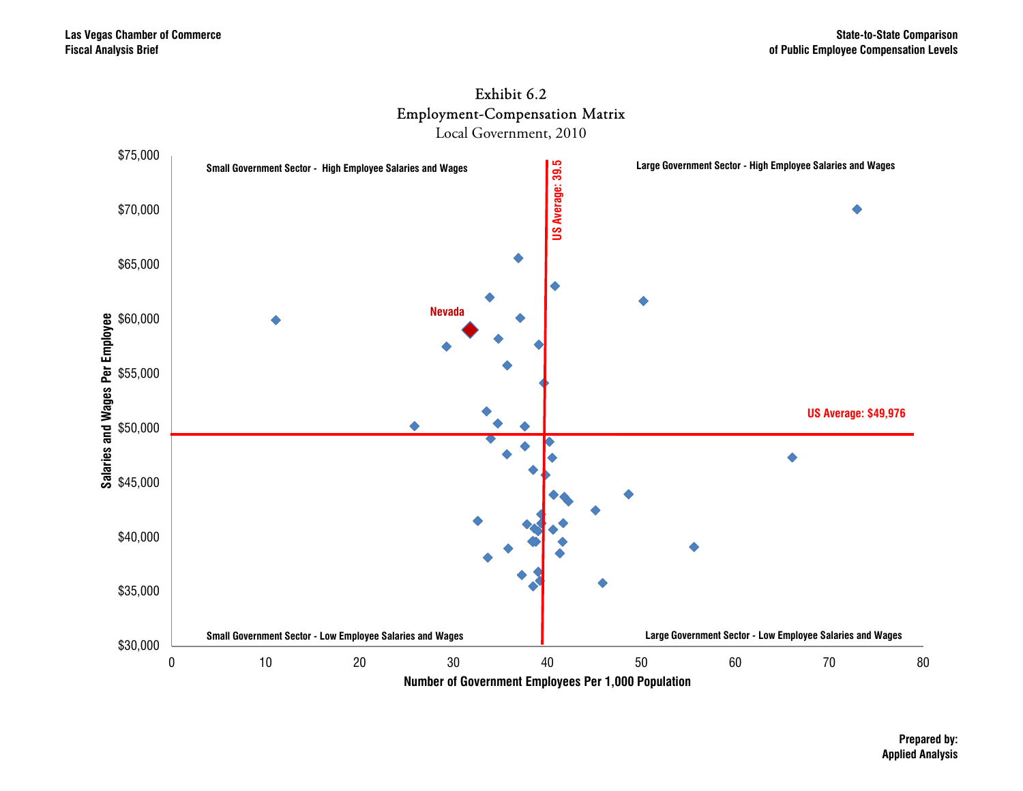



Local Government, 2010

**Prepared by: Applied Analysis**